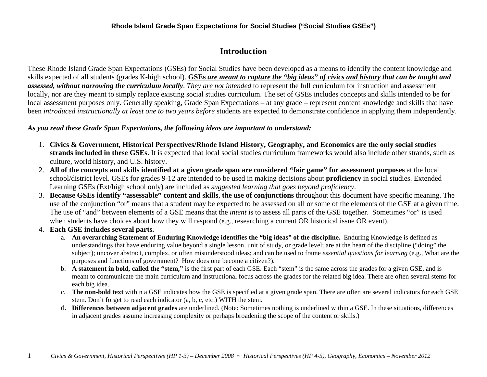# **Introduction**

These Rhode Island Grade Span Expectations (GSEs) for Social Studies have been developed as a means to identify the content knowledge and skills expected of all students (grades K-high school). **GSEs** *are meant to capture the "big ideas" of civics and history that can be taught and assessed, without narrowing the curriculum locally*. *They are not intended* to represent the full curriculum for instruction and assessment locally, nor are they meant to simply replace existing social studies curriculum. The set of GSEs includes concepts and skills intended to be for local assessment purposes only. Generally speaking, Grade Span Expectations – at any grade – represent content knowledge and skills that have been *introduced instructionally at least one to two years before* students are expected to demonstrate confidence in applying them independently.

### *As you read these Grade Span Expectations, the following ideas are important to understand:*

- 1. **Civics & Government, Historical Perspectives/Rhode Island History, Geography, and Economics are the only social studies strands included in these GSEs.** It is expected that local social studies curriculum frameworks would also include other strands, such as culture, world history, and U.S. history.
- 2. **All of the concepts and skills identified at a given grade span are considered "fair game" for assessment purposes** at the local school/district level. GSEs for grades 9-12 are intended to be used in making decisions about **proficiency** in social studies. Extended Learning GSEs (Ext/high school only) are included as *suggested learning that goes beyond proficiency*.
- 3. **Because GSEs identify "assessable" content and skills**, **the use of conjunctions** throughout this document have specific meaning. The use of the conjunction "or" means that a student may be expected to be assessed on all or some of the elements of the GSE at a given time. The use of "and" between elements of a GSE means that the *intent* is to assess all parts of the GSE together. Sometimes "or" is used when students have choices about how they will respond (e.g., researching a current OR historical issue OR event).
- 4. **Each GSE includes several parts.** 
	- a. **An overarching Statement of Enduring Knowledge identifies the "big ideas" of the discipline.** Enduring Knowledge is defined as understandings that have enduring value beyond a single lesson, unit of study, or grade level; are at the heart of the discipline ("doing" the subject); uncover abstract, complex, or often misunderstood ideas; and can be used to frame *essential questions for learning* (e.g., What are the purposes and functions of government? How does one become a citizen?).
	- b. **A statement in bold, called the "stem,"** is the first part of each GSE. Each "stem" is the same across the grades for a given GSE, and is meant to communicate the main curriculum and instructional focus across the grades for the related big idea. There are often several stems for each big idea.
	- c. **The non-bold text** within a GSE indicates how the GSE is specified at a given grade span. There are often are several indicators for each GSE stem. Don't forget to read each indicator (a, b, c, etc.) WITH the stem.
	- d. **Differences between adjacent grades** are underlined. (Note: Sometimes nothing is underlined within a GSE. In these situations, differences in adjacent grades assume increasing complexity or perhaps broadening the scope of the content or skills.)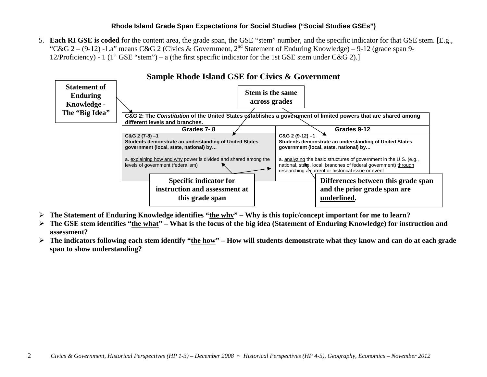5. **Each RI GSE is coded** for the content area, the grade span, the GSE "stem" number, and the specific indicator for that GSE stem. [E.g., "C&G 2 – (9-12) -1.a" means C&G 2 (Civics & Government,  $2^{nd}$  Statement of Enduring Knowledge) – 9-12 (grade span 9-12/Proficiency) - 1 (1<sup>st</sup> GSE "stem") – a (the first specific indicator for the 1st GSE stem under C&G 2).]



- **The Statement of Enduring Knowledge identifies "the why" Why is this topic/concept important for me to learn?**
- ➤ **The GSE stem identifies "the what" – What is the focus of the big idea (Statement of Enduring Knowledge) for instruction and assessment?**
- ➤ **The indicators following each stem identify "the how" – How will students demonstrate what they know and can do at each grade span to show understanding?**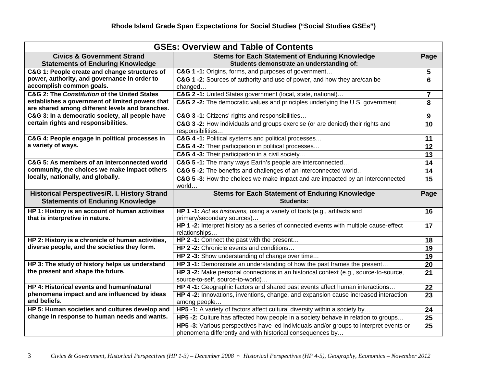| <b>GSEs: Overview and Table of Contents</b>                                             |                                                                                                                                                                             |                         |  |  |  |
|-----------------------------------------------------------------------------------------|-----------------------------------------------------------------------------------------------------------------------------------------------------------------------------|-------------------------|--|--|--|
| <b>Civics &amp; Government Strand</b>                                                   | <b>Stems for Each Statement of Enduring Knowledge</b>                                                                                                                       | Page                    |  |  |  |
| <b>Statements of Enduring Knowledge</b>                                                 | Students demonstrate an understanding of:                                                                                                                                   |                         |  |  |  |
| C&G 1: People create and change structures of                                           | C&G 1 -1: Origins, forms, and purposes of government                                                                                                                        | 5                       |  |  |  |
| power, authority, and governance in order to                                            | C&G 1 -2: Sources of authority and use of power, and how they are/can be                                                                                                    | 6                       |  |  |  |
| accomplish common goals.                                                                | changed                                                                                                                                                                     |                         |  |  |  |
| C&G 2: The Constitution of the United States                                            | C&G 2 -1: United States government (local, state, national)                                                                                                                 | $\overline{\mathbf{7}}$ |  |  |  |
| establishes a government of limited powers that                                         | C&G 2 -2: The democratic values and principles underlying the U.S. government                                                                                               | 8                       |  |  |  |
| are shared among different levels and branches.                                         |                                                                                                                                                                             |                         |  |  |  |
| C&G 3: In a democratic society, all people have<br>certain rights and responsibilities. | C&G 3 -1: Citizens' rights and responsibilities                                                                                                                             | 9                       |  |  |  |
|                                                                                         | C&G 3 -2: How individuals and groups exercise (or are denied) their rights and<br>responsibilities                                                                          | 10                      |  |  |  |
| C&G 4: People engage in political processes in                                          | C&G 4 -1: Political systems and political processes                                                                                                                         | 11                      |  |  |  |
| a variety of ways.                                                                      | C&G 4 -2: Their participation in political processes                                                                                                                        | 12                      |  |  |  |
|                                                                                         | C&G 4 -3: Their participation in a civil society                                                                                                                            | 13                      |  |  |  |
| C&G 5: As members of an interconnected world                                            | C&G 5 -1: The many ways Earth's people are interconnected                                                                                                                   | 14                      |  |  |  |
| community, the choices we make impact others                                            |                                                                                                                                                                             | 14                      |  |  |  |
| locally, nationally, and globally.                                                      | C&G 5 -2: The benefits and challenges of an interconnected world                                                                                                            |                         |  |  |  |
|                                                                                         | C&G 5-3: How the choices we make impact and are impacted by an interconnected<br>world                                                                                      | 15                      |  |  |  |
|                                                                                         |                                                                                                                                                                             |                         |  |  |  |
| <b>Historical Perspectives/R. I. History Strand</b>                                     | <b>Stems for Each Statement of Enduring Knowledge</b>                                                                                                                       | Page                    |  |  |  |
| <b>Statements of Enduring Knowledge</b>                                                 | <b>Students:</b>                                                                                                                                                            |                         |  |  |  |
| HP 1: History is an account of human activities                                         | HP 1 -1: Act as historians, using a variety of tools (e.g., artifacts and                                                                                                   | 16                      |  |  |  |
| that is interpretive in nature.                                                         | primary/secondary sources)                                                                                                                                                  |                         |  |  |  |
|                                                                                         | HP 1 -2: Interpret history as a series of connected events with multiple cause-effect                                                                                       | 17                      |  |  |  |
|                                                                                         | relationships                                                                                                                                                               |                         |  |  |  |
| HP 2: History is a chronicle of human activities,                                       | HP 2 -1: Connect the past with the present                                                                                                                                  | 18                      |  |  |  |
| diverse people, and the societies they form.                                            | HP 2 -2: Chronicle events and conditions                                                                                                                                    | 19                      |  |  |  |
|                                                                                         | HP 2 -3: Show understanding of change over time                                                                                                                             | 19                      |  |  |  |
| HP 3: The study of history helps us understand                                          | HP 3-1: Demonstrate an understanding of how the past frames the present                                                                                                     | 20                      |  |  |  |
| the present and shape the future.                                                       | HP 3 -2: Make personal connections in an historical context (e.g., source-to-source,                                                                                        | 21                      |  |  |  |
|                                                                                         | source-to-self, source-to-world)                                                                                                                                            |                         |  |  |  |
| HP 4: Historical events and human/natural                                               | HP 4-1: Geographic factors and shared past events affect human interactions                                                                                                 | 22                      |  |  |  |
| phenomena impact and are influenced by ideas                                            | HP 4 -2: Innovations, inventions, change, and expansion cause increased interaction                                                                                         | 23                      |  |  |  |
| and beliefs.                                                                            | among people                                                                                                                                                                |                         |  |  |  |
| HP 5: Human societies and cultures develop and                                          | HP5 -1: A variety of factors affect cultural diversity within a society by                                                                                                  | 24                      |  |  |  |
| change in response to human needs and wants.                                            | HP5 -2: Culture has affected how people in a society behave in relation to groups<br>HP5 -3: Various perspectives have led individuals and/or groups to interpret events or | 25<br>25                |  |  |  |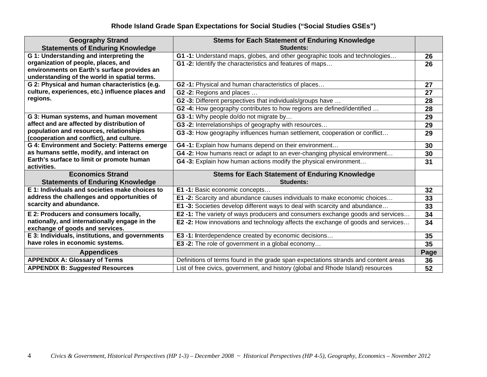| <b>Geography Strand</b>                                                          | <b>Stems for Each Statement of Enduring Knowledge</b>                                  |      |
|----------------------------------------------------------------------------------|----------------------------------------------------------------------------------------|------|
| <b>Statements of Enduring Knowledge</b>                                          | <b>Students:</b>                                                                       |      |
| G 1: Understanding and interpreting the                                          | G1-1: Understand maps, globes, and other geographic tools and technologies             | 26   |
| organization of people, places, and                                              | G1-2: Identify the characteristics and features of maps                                | 26   |
| environments on Earth's surface provides an                                      |                                                                                        |      |
| understanding of the world in spatial terms.                                     |                                                                                        |      |
| G 2: Physical and human characteristics (e.g.                                    | G2-1: Physical and human characteristics of places                                     | 27   |
| culture, experiences, etc.) influence places and                                 | G2 -2: Regions and places                                                              | 27   |
| regions.                                                                         | G2 -3: Different perspectives that individuals/groups have                             | 28   |
|                                                                                  | G2-4: How geography contributes to how regions are defined/identified                  | 28   |
| G 3: Human systems, and human movement                                           | G3 -1: Why people do/do not migrate by                                                 | 29   |
| affect and are affected by distribution of                                       | G3-2: Interrelationships of geography with resources                                   | 29   |
| population and resources, relationships                                          | G3-3: How geography influences human settlement, cooperation or conflict               | 29   |
| (cooperation and conflict), and culture.                                         |                                                                                        |      |
| G 4: Environment and Society: Patterns emerge                                    | G4-1: Explain how humans depend on their environment                                   | 30   |
| as humans settle, modify, and interact on                                        | G4-2: How humans react or adapt to an ever-changing physical environment               | 30   |
| Earth's surface to limit or promote human<br>activities.                         | G4-3: Explain how human actions modify the physical environment                        | 31   |
| <b>Economics Strand</b>                                                          | <b>Stems for Each Statement of Enduring Knowledge</b>                                  |      |
| <b>Statements of Enduring Knowledge</b>                                          | <b>Students:</b>                                                                       |      |
| E 1: Individuals and societies make choices to                                   | E1 -1: Basic economic concepts                                                         | 32   |
| address the challenges and opportunities of                                      | <b>E1-2:</b> Scarcity and abundance causes individuals to make economic choices        | 33   |
| scarcity and abundance.                                                          | E1 -3: Societies develop different ways to deal with scarcity and abundance            | 33   |
| E 2: Producers and consumers locally,                                            | E2-1: The variety of ways producers and consumers exchange goods and services          | 34   |
| nationally, and internationally engage in the<br>exchange of goods and services. | <b>E2-2:</b> How innovations and technology affects the exchange of goods and services | 34   |
| E 3: Individuals, institutions, and governments                                  | E3 -1: Interdependence created by economic decisions                                   | 35   |
| have roles in economic systems.                                                  | E3 -2: The role of government in a global economy                                      | 35   |
| <b>Appendices</b>                                                                |                                                                                        | Page |
| <b>APPENDIX A: Glossary of Terms</b>                                             | Definitions of terms found in the grade span expectations strands and content areas    | 36   |
| <b>APPENDIX B: Suggested Resources</b>                                           | List of free civics, government, and history (global and Rhode Island) resources       | 52   |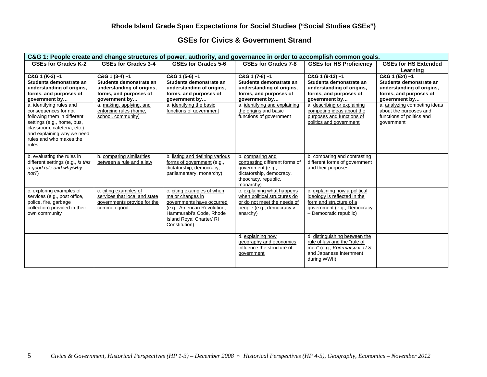#### **GSEs for Civics & Government Strand**

| C&G 1: People create and change structures of power, authority, and governance in order to accomplish common goals.                                                                                            |                                                                                                                       |                                                                                                                                                                                   |                                                                                                                                          |                                                                                                                                                   |                                                                                                                   |  |
|----------------------------------------------------------------------------------------------------------------------------------------------------------------------------------------------------------------|-----------------------------------------------------------------------------------------------------------------------|-----------------------------------------------------------------------------------------------------------------------------------------------------------------------------------|------------------------------------------------------------------------------------------------------------------------------------------|---------------------------------------------------------------------------------------------------------------------------------------------------|-------------------------------------------------------------------------------------------------------------------|--|
| GSEs for Grades K-2                                                                                                                                                                                            | GSEs for Grades 3-4                                                                                                   | GSEs for Grades 5-6                                                                                                                                                               | GSEs for Grades 7-8                                                                                                                      | <b>GSEs for HS Proficiency</b>                                                                                                                    | <b>GSEs for HS Extended</b><br>Learning                                                                           |  |
| $C&G$ 1 (K-2) -1<br>Students demonstrate an<br>understanding of origins,<br>forms, and purposes of<br>government by                                                                                            | $C&G$ 1 (3-4) $-1$<br>Students demonstrate an<br>understanding of origins,<br>forms, and purposes of<br>government by | $C&G$ 1 (5-6) $-1$<br>Students demonstrate an<br>understanding of origins,<br>forms, and purposes of<br>government by                                                             | $C&G$ 1 (7-8) $-1$<br>Students demonstrate an<br>understanding of origins,<br>forms, and purposes of<br>government by                    | $C&G$ 1 (9-12) -1<br>Students demonstrate an<br>understanding of origins,<br>forms, and purposes of<br>government by                              | C&G 1 (Ext) -1<br>Students demonstrate an<br>understanding of origins,<br>forms, and purposes of<br>government by |  |
| a. identifying rules and<br>consequences for not<br>following them in different<br>settings (e.g., home, bus,<br>classroom, cafeteria, etc.)<br>and explaining why we need<br>rules and who makes the<br>rules | a. making, applying, and<br>enforcing rules (home,<br>school, community)                                              | a. identifying the basic<br>functions of government                                                                                                                               | a. identifying and explaining<br>the origins and basic<br>functions of government                                                        | a. describing or explaining<br>competing ideas about the<br>purposes and functions of<br>politics and government                                  | a. analyzing competing ideas<br>about the purposes and<br>functions of politics and<br>qovernment                 |  |
| b. evaluating the rules in<br>different settings (e.g., Is this<br>a good rule and why/why<br>not?                                                                                                             | b. comparing similarities<br>between a rule and a law                                                                 | b. listing and defining various<br>forms of government (e.g.,<br>dictatorship, democracy,<br>parliamentary, monarchy)                                                             | b. comparing and<br>contrasting different forms of<br>government (e.g.,<br>dictatorship, democracy,<br>theocracy, republic,<br>monarchy) | b. comparing and contrasting<br>different forms of government<br>and their purposes                                                               |                                                                                                                   |  |
| c. exploring examples of<br>services (e.g., post office,<br>police, fire, garbage<br>collection) provided in their<br>own community                                                                            | c. citing examples of<br>services that local and state<br>governments provide for the<br>common good                  | c. citing examples of when<br>major changes in<br>governments have occurred<br>(e.g., American Revolution,<br>Hammurabi's Code, Rhode<br>Island Royal Charter/RI<br>Constitution) | c. explaining what happens<br>when political structures do<br>or do not meet the needs of<br>people (e.g., democracy v.<br>anarchy)      | c. explaining how a political<br>ideology is reflected in the<br>form and structure of a<br>government (e.g., Democracy<br>- Democratic republic) |                                                                                                                   |  |
|                                                                                                                                                                                                                |                                                                                                                       |                                                                                                                                                                                   | d. explaining how<br>geography and economics<br>influence the structure of<br>government                                                 | d. distinguishing between the<br>rule of law and the "rule of<br>men" (e.g., Korematsu v. U.S.<br>and Japanese internment<br>during WWII)         |                                                                                                                   |  |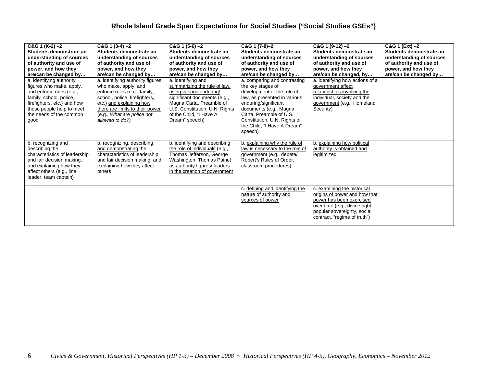| $C&G$ 1 (K-2) -2<br>Students demonstrate an<br>understanding of sources<br>of authority and use of<br>power, and how they<br>are/can be changed by<br>a. identifying authority<br>figures who make, apply,<br>and enforce rules (e.g., | $C&G$ 1 (3-4) -2<br>Students demonstrate an<br>understanding of sources<br>of authority and use of<br>power, and how they<br>are/can be changed by<br>a. identifying authority figures<br>who make, apply, and<br>enforce rules (e.g., family, | $C&G$ 1 (5-6) $-2$<br>Students demonstrate an<br>understanding of sources<br>of authority and use of<br>power, and how they<br>are/can be changed by<br>a. identifying and<br>summarizing the rule of law.<br>using various enduring/ | C&G 1 (7-8)-2<br>Students demonstrate an<br>understanding of sources<br>of authority and use of<br>power, and how they<br>are/can be changed by<br>a. comparing and contrasting<br>the key stages of<br>development of the rule of | $C&G$ 1 (9-12) -2<br>Students demonstrate an<br>understanding of sources<br>of authority and use of<br>power, and how they<br>are/can be changed, by<br>a. identifying how actions of a<br>government affect<br>relationships involving the | $C&G$ 1 (Ext) $-2$<br>Students demonstrate an<br>understanding of sources<br>of authority and use of<br>power, and how they<br>are/can be changed by |
|----------------------------------------------------------------------------------------------------------------------------------------------------------------------------------------------------------------------------------------|------------------------------------------------------------------------------------------------------------------------------------------------------------------------------------------------------------------------------------------------|---------------------------------------------------------------------------------------------------------------------------------------------------------------------------------------------------------------------------------------|------------------------------------------------------------------------------------------------------------------------------------------------------------------------------------------------------------------------------------|---------------------------------------------------------------------------------------------------------------------------------------------------------------------------------------------------------------------------------------------|------------------------------------------------------------------------------------------------------------------------------------------------------|
| family, school, police,<br>firefighters, etc.) and how<br>these people help to meet<br>the needs of the common<br>good                                                                                                                 | school, police, firefighters,<br>etc.) and explaining how<br>there are limits to their power<br>(e.g., What are police not<br>allowed to do?)                                                                                                  | significant documents (e.g.,<br>Magna Carta, Preamble of<br>U.S. Constitution, U.N. Rights<br>of the Child, "I Have A<br>Dream" speech)                                                                                               | law, as presented in various<br>enduring/significant<br>documents (e.g., Magna<br>Carta, Preamble of U.S.<br>Constitution, U.N. Rights of<br>the Child. "I Have A Dream"<br>speech)                                                | individual, society and the<br>government (e.g., Homeland<br>Security)                                                                                                                                                                      |                                                                                                                                                      |
| b. recognizing and<br>describing the<br>characteristics of leadership<br>and fair decision making,<br>and explaining how they<br>affect others (e.g., line<br>leader, team captain)                                                    | b. recognizing, describing,<br>and demonstrating the<br>characteristics of leadership<br>and fair decision making, and<br>explaining how they affect<br>others                                                                                 | b. identifying and describing<br>the role of individuals (e.g.,<br>Thomas Jefferson, George<br>Washington, Thomas Paine)<br>as authority figures/ leaders<br>in the creation of government                                            | b. explaining why the rule of<br>law is necessary to the role of<br>government (e.g., debate/<br>Robert's Rules of Order.<br>classroom procedures)                                                                                 | b. explaining how political<br>authority is obtained and<br>legitimized                                                                                                                                                                     |                                                                                                                                                      |
|                                                                                                                                                                                                                                        |                                                                                                                                                                                                                                                |                                                                                                                                                                                                                                       | c. defining and identifying the<br>nature of authority and<br>sources of power                                                                                                                                                     | c. examining the historical<br>origins of power and how that<br>power has been exercised<br>over time (e.g., divine right,<br>popular sovereignty, social<br>contract, "regime of truth")                                                   |                                                                                                                                                      |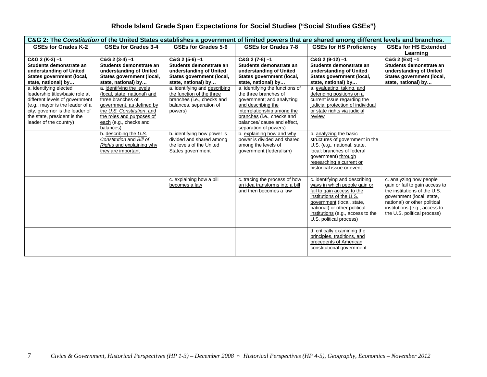| C&G 2: The Constitution of the United States establishes a government of limited powers that are shared among different levels and branches.                                                                               |                                                                                                                                                                                                               |                                                                                                                                |                                                                                                                                                                                                                                  |                                                                                                                                                                                                                                                      |                                                                                                                                                                                                                        |  |
|----------------------------------------------------------------------------------------------------------------------------------------------------------------------------------------------------------------------------|---------------------------------------------------------------------------------------------------------------------------------------------------------------------------------------------------------------|--------------------------------------------------------------------------------------------------------------------------------|----------------------------------------------------------------------------------------------------------------------------------------------------------------------------------------------------------------------------------|------------------------------------------------------------------------------------------------------------------------------------------------------------------------------------------------------------------------------------------------------|------------------------------------------------------------------------------------------------------------------------------------------------------------------------------------------------------------------------|--|
| <b>GSEs for Grades K-2</b>                                                                                                                                                                                                 | GSEs for Grades 3-4                                                                                                                                                                                           | GSEs for Grades 5-6                                                                                                            | GSEs for Grades 7-8                                                                                                                                                                                                              | <b>GSEs for HS Proficiency</b>                                                                                                                                                                                                                       | <b>GSEs for HS Extended</b><br>Learning                                                                                                                                                                                |  |
| $C&G$ 2 (K-2) -1<br>Students demonstrate an<br>understanding of United<br>States government (local,<br>state, national) by                                                                                                 | $C&G$ 2 (3-4) $-1$<br>Students demonstrate an<br>understanding of United<br>States government (local,<br>state, national) by                                                                                  | $C&G$ 2 (5-6) $-1$<br>Students demonstrate an<br>understanding of United<br>States government (local,<br>state, national) by   | $C&G$ 2 (7-8) $-1$<br>Students demonstrate an<br>understanding of United<br>States government (local,<br>state, national) by                                                                                                     | $C&G$ 2 (9-12) $-1$<br>Students demonstrate an<br>understanding of United<br>States government (local,<br>state, national) by                                                                                                                        | C&G 2 (Ext) -1<br>Students demonstrate an<br>understanding of United<br>States government (local,<br>state, national) by                                                                                               |  |
| a. identifying elected<br>leadership titles/basic role at<br>different levels of government<br>(e.g., mayor is the leader of a<br>city, governor is the leader of<br>the state, president is the<br>leader of the country) | a. identifying the levels<br>(local, state, national) and<br>three branches of<br>government, as defined by<br>the U.S. Constitution, and<br>the roles and purposes of<br>each (e.g., checks and<br>balances) | a. identifying and describing<br>the function of the three<br>branches (i.e., checks and<br>balances, separation of<br>powers) | a. identifying the functions of<br>the three branches of<br>government; and analyzing<br>and describing the<br>interrelationship among the<br>branches (i.e., checks and<br>balances/ cause and effect.<br>separation of powers) | a. evaluating, taking, and<br>defending positions on a<br>current issue regarding the<br>judicial protection of individual<br>or state rights via judicial<br>review                                                                                 |                                                                                                                                                                                                                        |  |
|                                                                                                                                                                                                                            | b. describing the $U.S.$<br>Constitution and Bill of<br>Rights and explaining why<br>they are important                                                                                                       | b. identifying how power is<br>divided and shared among<br>the levels of the United<br>States government                       | b. explaining how and why<br>power is divided and shared<br>among the levels of<br>government (federalism)                                                                                                                       | b. analyzing the basic<br>structures of government in the<br>U.S. (e.g., national, state,<br>local; branches of federal<br>government) through<br>researching a current or<br>historical issue or event                                              |                                                                                                                                                                                                                        |  |
|                                                                                                                                                                                                                            |                                                                                                                                                                                                               | c. explaining how a bill<br>becomes a law                                                                                      | c. tracing the process of how<br>an idea transforms into a bill<br>and then becomes a law                                                                                                                                        | c. identifying and describing<br>ways in which people gain or<br>fail to gain access to the<br>institutions of the U.S.<br>government (local, state,<br>national) or other political<br>institutions (e.g., access to the<br>U.S. political process) | c. analyzing how people<br>gain or fail to gain access to<br>the institutions of the U.S.<br>government (local, state,<br>national) or other political<br>institutions (e.g., access to<br>the U.S. political process) |  |
|                                                                                                                                                                                                                            |                                                                                                                                                                                                               |                                                                                                                                |                                                                                                                                                                                                                                  | d. critically examining the<br>principles, traditions, and<br>precedents of American<br>constitutional government                                                                                                                                    |                                                                                                                                                                                                                        |  |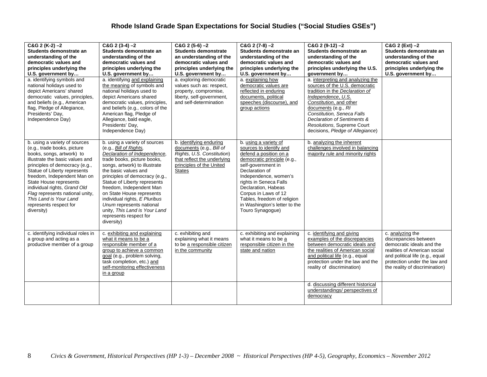| $C&G$ 2 (K-2) -2<br>Students demonstrate an<br>understanding of the<br>democratic values and<br>principles underlying the<br>U.S. government by<br>a. identifying symbols and<br>national holidays used to<br>depict Americans' shared<br>democratic values, principles,<br>and beliefs (e.g., American<br>flag, Pledge of Allegiance,<br>Presidents' Day,<br>Independence Day)              | $C&G$ 2 (3-4) $-2$<br>Students demonstrate an<br>understanding of the<br>democratic values and<br>principles underlying the<br>U.S. government by<br>a. identifying and explaining<br>the meaning of symbols and<br>national holidays used to<br>depict Americans shared<br>democratic values, principles,<br>and beliefs (e.g., colors of the<br>American flag, Pledge of<br>Allegiance, bald eagle,<br>Presidents' Day,<br>Independence Day)   | $C&G$ 2 (5-6) $-2$<br><b>Students demonstrate</b><br>an understanding of the<br>democratic values and<br>principles underlying the<br>U.S. government by<br>a. exploring democratic<br>values such as: respect,<br>property, compromise,<br>liberty, self-government,<br>and self-determination | $C&G$ 2 (7-8) $-2$<br>Students demonstrate an<br>understanding of the<br>democratic values and<br>principles underlying the<br>U.S. government by<br>a. explaining how<br>democratic values are<br>reflected in enduring<br>documents, political<br>speeches (discourse), and<br>group actions                                          | $C&G$ 2 (9-12) $-2$<br>Students demonstrate an<br>understanding of the<br>democratic values and<br>principles underlying the U.S.<br>government by<br>a. interpreting and analyzing the<br>sources of the U.S. democratic<br>tradition in the Declaration of<br>Independence, U.S.<br>Constitution, and other<br>documents (e.g., RI<br>Constitution, Seneca Falls<br>Declaration of Sentiments &<br>Resolutions, Supreme Court<br>decisions, Pledge of Allegiance) | C&G 2 (Ext) -2<br>Students demonstrate an<br>understanding of the<br>democratic values and<br>principles underlying the<br>U.S. government by                                                               |
|----------------------------------------------------------------------------------------------------------------------------------------------------------------------------------------------------------------------------------------------------------------------------------------------------------------------------------------------------------------------------------------------|--------------------------------------------------------------------------------------------------------------------------------------------------------------------------------------------------------------------------------------------------------------------------------------------------------------------------------------------------------------------------------------------------------------------------------------------------|-------------------------------------------------------------------------------------------------------------------------------------------------------------------------------------------------------------------------------------------------------------------------------------------------|-----------------------------------------------------------------------------------------------------------------------------------------------------------------------------------------------------------------------------------------------------------------------------------------------------------------------------------------|---------------------------------------------------------------------------------------------------------------------------------------------------------------------------------------------------------------------------------------------------------------------------------------------------------------------------------------------------------------------------------------------------------------------------------------------------------------------|-------------------------------------------------------------------------------------------------------------------------------------------------------------------------------------------------------------|
| b. using a variety of sources<br>(e.g., trade books, picture<br>books, songs, artwork) to<br>illustrate the basic values and<br>principles of democracy (e.g.,<br>Statue of Liberty represents<br>freedom, Independent Man on<br>State House represents<br>individual rights, Grand Old<br>Flag represents national unity,<br>This Land is Your Land<br>represents respect for<br>diversity) | b. using a variety of sources<br>(e.g., Bill of Rights,<br>Declaration of Independence,<br>trade books, picture books,<br>songs, artwork) to illustrate<br>the basic values and<br>principles of democracy (e.g.,<br>Statue of Liberty represents<br>freedom, Independent Man<br>on State House represents<br>individual rights, E Pluribus<br>Unum represents national<br>unity, This Land is Your Land<br>represents respect for<br>diversity) | b. identifying enduring<br>documents (e.g., Bill of<br>Rights, U.S. Constitution)<br>that reflect the underlying<br>principles of the United<br><b>States</b>                                                                                                                                   | b. using a variety of<br>sources to identify and<br>defend a position on a<br>democratic principle (e.g.,<br>self-government in<br>Declaration of<br>Independence, women's<br>rights in Seneca Falls<br>Declaration, Habeas<br>Corpus in Laws of 12<br>Tables, freedom of religion<br>in Washington's letter to the<br>Touro Synagogue) | b. analyzing the inherent<br>challenges involved in balancing<br>majority rule and minority rights                                                                                                                                                                                                                                                                                                                                                                  |                                                                                                                                                                                                             |
| c. identifying individual roles in<br>a group and acting as a<br>productive member of a group                                                                                                                                                                                                                                                                                                | c. exhibiting and explaining<br>what it means to be a<br>responsible member of a<br>group to achieve a common<br>goal (e.g., problem solving,<br>task completion, etc.) and<br>self-monitoring effectiveness<br>in a group                                                                                                                                                                                                                       | c. exhibiting and<br>explaining what it means<br>to be a responsible citizen<br>in the community                                                                                                                                                                                                | c. exhibiting and explaining<br>what it means to be a<br>responsible citizen in the<br>state and nation                                                                                                                                                                                                                                 | c. identifying and giving<br>examples of the discrepancies<br>between democratic ideals and<br>the realities of American social<br>and political life (e.g., equal<br>protection under the law and the<br>reality of discrimination)                                                                                                                                                                                                                                | c. analyzing the<br>discrepancies between<br>democratic ideals and the<br>realities of American social<br>and political life (e.g., equal<br>protection under the law and<br>the reality of discrimination) |
|                                                                                                                                                                                                                                                                                                                                                                                              |                                                                                                                                                                                                                                                                                                                                                                                                                                                  |                                                                                                                                                                                                                                                                                                 |                                                                                                                                                                                                                                                                                                                                         | d. discussing different historical<br>understandings/ perspectives of<br>democracy                                                                                                                                                                                                                                                                                                                                                                                  |                                                                                                                                                                                                             |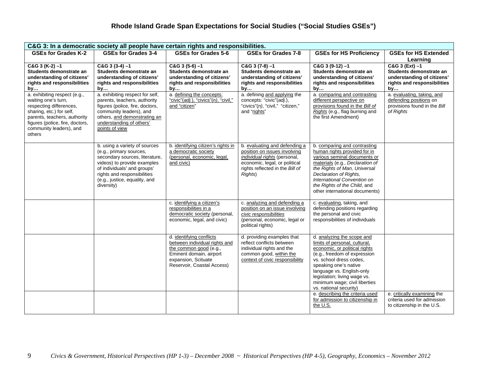| C&G 3: In a democratic society all people have certain rights and responsibilities.                                                                                                                                |                                                                                                                                                                                                                                        |                                                                                                                                                                     |                                                                                                                                                                              |                                                                                                                                                                                                                                                                                                          |                                                                                                                  |
|--------------------------------------------------------------------------------------------------------------------------------------------------------------------------------------------------------------------|----------------------------------------------------------------------------------------------------------------------------------------------------------------------------------------------------------------------------------------|---------------------------------------------------------------------------------------------------------------------------------------------------------------------|------------------------------------------------------------------------------------------------------------------------------------------------------------------------------|----------------------------------------------------------------------------------------------------------------------------------------------------------------------------------------------------------------------------------------------------------------------------------------------------------|------------------------------------------------------------------------------------------------------------------|
| <b>GSEs for Grades K-2</b>                                                                                                                                                                                         | <b>GSEs for Grades 3-4</b>                                                                                                                                                                                                             | <b>GSEs for Grades 5-6</b>                                                                                                                                          | GSEs for Grades 7-8                                                                                                                                                          | <b>GSEs for HS Proficiency</b>                                                                                                                                                                                                                                                                           | <b>GSEs for HS Extended</b><br>Learning                                                                          |
| $C&G$ 3 (K-2) -1<br>Students demonstrate an<br>understanding of citizens'<br>rights and responsibilities<br>by                                                                                                     | $C&G$ 3 (3-4) $-1$<br>Students demonstrate an<br>understanding of citizens'<br>rights and responsibilities<br>by                                                                                                                       | $C&G3(5-6)-1$<br>Students demonstrate an<br>understanding of citizens'<br>rights and responsibilities<br>by                                                         | $C&G$ 3 (7-8) $-1$<br>Students demonstrate an<br>understanding of citizens'<br>rights and responsibilities<br>by                                                             | $C&G$ 3 (9-12) $-1$<br>Students demonstrate an<br>understanding of citizens'<br>rights and responsibilities<br>by                                                                                                                                                                                        | $C&G$ 3 (Ext) $-1$<br>Students demonstrate an<br>understanding of citizens'<br>rights and responsibilities<br>by |
| a. exhibiting respect (e.g.,<br>waiting one's turn,<br>respecting differences,<br>sharing, etc.) for self,<br>parents, teachers, authority<br>figures (police, fire, doctors,<br>community leaders), and<br>others | a. exhibiting respect for self,<br>parents, teachers, authority<br>figures (police, fire, doctors,<br>community leaders), and<br>others, and demonstrating an<br>understanding of others'<br>points of view                            | a. defining the concepts:<br>"civic"(adj.), "civics"(n), "civil,"<br>and "citizen"                                                                                  | a. defining and applying the<br>concepts: "civic"(adj.),<br>"civics"(n), "civil," "citizen,"<br>and "rights"                                                                 | a. comparing and contrasting<br>different perspective on<br>provisions found in the Bill of<br>Rights (e.g., flag burning and<br>the first Amendment)                                                                                                                                                    | a. evaluating, taking, and<br>defending positions on<br>provisions found in the Bill<br>of Rights                |
|                                                                                                                                                                                                                    | b. using a variety of sources<br>(e.g., primary sources,<br>secondary sources, literature,<br>videos) to provide examples<br>of individuals' and groups'<br>rights and responsibilities<br>(e.g., justice, equality, and<br>diversity) | b. identifying citizen's rights in<br>a democratic society<br>(personal, economic, legal,<br>and civic)                                                             | b. evaluating and defending a<br>position on issues involving<br>individual rights (personal,<br>economic, legal, or political<br>rights reflected in the Bill of<br>Rights) | b. comparing and contrasting<br>human rights provided for in<br>various seminal documents or<br>materials (e.g., Declaration of<br>the Rights of Man, Universal<br>Declaration of Rights,<br>International Convention on<br>the Rights of the Child, and<br>other international documents)               |                                                                                                                  |
|                                                                                                                                                                                                                    |                                                                                                                                                                                                                                        | c. identifying a citizen's<br>responsibilities in a<br>democratic society (personal,<br>economic, legal, and civic)                                                 | c. analyzing and defending a<br>position on an issue involving<br>civic responsibilities<br>(personal, economic, legal or<br>political rights)                               | c. evaluating, taking, and<br>defending positions regarding<br>the personal and civic<br>responsibilities of individuals                                                                                                                                                                                 |                                                                                                                  |
|                                                                                                                                                                                                                    |                                                                                                                                                                                                                                        | d. identifying conflicts<br>between individual rights and<br>the common good (e.g.,<br>Eminent domain, airport<br>expansion, Scituate<br>Reservoir, Coastal Access) | d. providing examples that<br>reflect conflicts between<br>individual rights and the<br>common good, within the<br>context of civic responsibility                           | d. analyzing the scope and<br>limits of personal, cultural,<br>economic, or political rights<br>(e.g., freedom of expression<br>vs. school dress codes,<br>speaking one's native<br>language vs. English-only<br>legislation; living wage vs.<br>minimum wage; civil liberties<br>vs. national security) |                                                                                                                  |
|                                                                                                                                                                                                                    |                                                                                                                                                                                                                                        |                                                                                                                                                                     |                                                                                                                                                                              | e. describing the criteria used<br>for admission to citizenship in<br>the U.S.                                                                                                                                                                                                                           | e. critically examining the<br>criteria used for admission<br>to citizenship in the U.S.                         |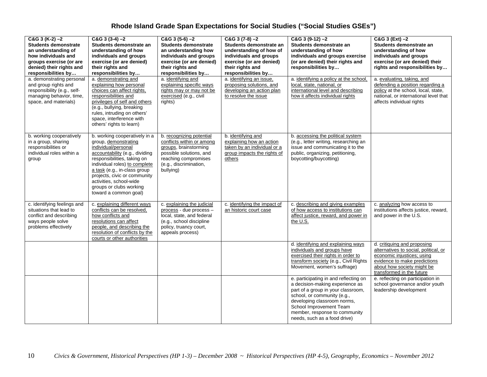| $C&G$ 3 (K-2) -2<br><b>Students demonstrate</b><br>an understanding of<br>how individuals and<br>groups exercise (or are<br>denied) their rights and<br>responsibilities by<br>a. demonstrating personal<br>and group rights and<br>responsibility (e.g., self-<br>managing behavior, time,<br>space, and materials) | $C&G$ 3 (3-4) $-2$<br>Students demonstrate an<br>understanding of how<br>individuals and groups<br>exercise (or are denied)<br>their rights and<br>responsibilities by<br>a. demonstrating and<br>explaining how personal<br>choices can affect rights,<br>responsibilities and<br>privileges of self and others<br>(e.g., bullying, breaking<br>rules, intruding on others'<br>space, interference with<br>others' rights to learn) | $C&G3(5-6)-2$<br><b>Students demonstrate</b><br>an understanding how<br>individuals and groups<br>exercise (or are denied)<br>their rights and<br>responsibilities by<br>a. identifving and<br>explaining specific ways<br>rights may or may not be<br>exercised (e.g., civil<br>rights) | $C&G$ 3 (7-8) $-2$<br>Students demonstrate an<br>understanding of how of<br>individuals and groups<br>exercise (or are denied)<br>their rights and<br>responsibilities by<br>a. identifying an issue.<br>proposing solutions, and<br>developing an action plan<br>to resolve the issue | $C&G$ 3 (9-12) $-2$<br>Students demonstrate an<br>understanding of how<br>individuals and groups exercise<br>(or are denied) their rights and<br>responsibilities by<br>a. identifying a policy at the school.<br>local, state, national, or<br>international level and describing<br>how it affects individual rights | $C&G$ 3 (Ext) $-2$<br>Students demonstrate an<br>understanding of how<br>individuals and groups<br>exercise (or are denied) their<br>rights and responsibilities by<br>a. evaluating, taking, and<br>defending a position regarding a<br>policy at the school, local, state,<br>national, or international level that<br>affects individual rights |
|----------------------------------------------------------------------------------------------------------------------------------------------------------------------------------------------------------------------------------------------------------------------------------------------------------------------|--------------------------------------------------------------------------------------------------------------------------------------------------------------------------------------------------------------------------------------------------------------------------------------------------------------------------------------------------------------------------------------------------------------------------------------|------------------------------------------------------------------------------------------------------------------------------------------------------------------------------------------------------------------------------------------------------------------------------------------|----------------------------------------------------------------------------------------------------------------------------------------------------------------------------------------------------------------------------------------------------------------------------------------|------------------------------------------------------------------------------------------------------------------------------------------------------------------------------------------------------------------------------------------------------------------------------------------------------------------------|----------------------------------------------------------------------------------------------------------------------------------------------------------------------------------------------------------------------------------------------------------------------------------------------------------------------------------------------------|
| b. working cooperatively<br>in a group, sharing<br>responsibilities or<br>individual roles within a<br>group                                                                                                                                                                                                         | b. working cooperatively in a<br>group, demonstrating<br>individual/personal<br>accountability (e.g., dividing<br>responsibilities, taking on<br>individual roles) to complete<br>a task (e.g., in-class group<br>projects, civic or community<br>activities, school-wide<br>groups or clubs working<br>toward a common goal)                                                                                                        | b. recognizing potential<br>conflicts within or among<br>groups, brainstorming<br>possible solutions, and<br>reaching compromises<br>(e.g., discrimination,<br>bullying)                                                                                                                 | b. identifying and<br>explaining how an action<br>taken by an individual or a<br>group impacts the rights of<br>others                                                                                                                                                                 | b. accessing the political system<br>(e.g., letter writing, researching an<br>issue and communicating it to the<br>public, organizing, petitioning,<br>boycotting/buycotting)                                                                                                                                          |                                                                                                                                                                                                                                                                                                                                                    |
| c. identifying feelings and<br>situations that lead to<br>conflict and describing<br>ways people solve<br>problems effectively                                                                                                                                                                                       | c. explaining different ways<br>conflicts can be resolved,<br>how conflicts and<br>resolutions can affect<br>people, and describing the<br>resolution of conflicts by the<br>courts or other authorities                                                                                                                                                                                                                             | c. explaining the judicial<br>process - due process -<br>local, state, and federal<br>(e.g., school discipline<br>policy, truancy court,<br>appeals process)                                                                                                                             | c. identifying the impact of<br>an historic court case                                                                                                                                                                                                                                 | c. describing and giving examples<br>of how access to institutions can<br>affect justice, reward, and power in<br>the U.S.                                                                                                                                                                                             | c. analyzing how access to<br>institutions affects justice, reward,<br>and power in the U.S.                                                                                                                                                                                                                                                       |
|                                                                                                                                                                                                                                                                                                                      |                                                                                                                                                                                                                                                                                                                                                                                                                                      |                                                                                                                                                                                                                                                                                          |                                                                                                                                                                                                                                                                                        | d. identifying and explaining ways<br>individuals and groups have<br>exercised their rights in order to<br>transform society (e.g., Civil Rights<br>Movement, women's suffrage)                                                                                                                                        | d. critiquing and proposing<br>alternatives to social, political, or<br>economic injustices; using<br>evidence to make predictions<br>about how society might be<br>transformed in the future                                                                                                                                                      |
|                                                                                                                                                                                                                                                                                                                      |                                                                                                                                                                                                                                                                                                                                                                                                                                      |                                                                                                                                                                                                                                                                                          |                                                                                                                                                                                                                                                                                        | e. participating in and reflecting on<br>a decision-making experience as<br>part of a group in your classroom,<br>school, or community (e.g.,<br>developing classroom norms,<br>School Improvement Team<br>member, response to community<br>needs, such as a food drive)                                               | e. reflecting on participation in<br>school governance and/or youth<br>leadership development                                                                                                                                                                                                                                                      |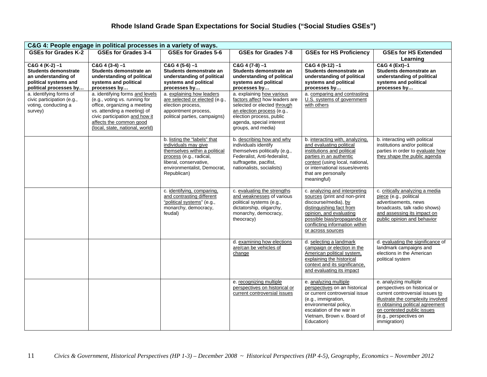| C&G 4: People engage in political processes in a variety of ways.                                                                                      |                                                                                                                                                                                              |                                                                                                                                                                                          |                                                                                                                                                                           |                                                                                                                                                                                                                                    |                                                                                                                                                                                                                                             |  |
|--------------------------------------------------------------------------------------------------------------------------------------------------------|----------------------------------------------------------------------------------------------------------------------------------------------------------------------------------------------|------------------------------------------------------------------------------------------------------------------------------------------------------------------------------------------|---------------------------------------------------------------------------------------------------------------------------------------------------------------------------|------------------------------------------------------------------------------------------------------------------------------------------------------------------------------------------------------------------------------------|---------------------------------------------------------------------------------------------------------------------------------------------------------------------------------------------------------------------------------------------|--|
| <b>GSEs for Grades K-2</b>                                                                                                                             | <b>GSEs for Grades 3-4</b>                                                                                                                                                                   | <b>GSEs for Grades 5-6</b>                                                                                                                                                               | <b>GSEs for Grades 7-8</b>                                                                                                                                                | <b>GSEs for HS Proficiency</b>                                                                                                                                                                                                     | <b>GSEs for HS Extended</b>                                                                                                                                                                                                                 |  |
|                                                                                                                                                        |                                                                                                                                                                                              |                                                                                                                                                                                          |                                                                                                                                                                           |                                                                                                                                                                                                                                    | Learning                                                                                                                                                                                                                                    |  |
| $C&G$ 4 (K-2) $-1$<br><b>Students demonstrate</b><br>an understanding of<br>political systems and<br>political processes by<br>a. identifying forms of | $C&G4(3-4)-1$<br>Students demonstrate an<br>understanding of political<br>systems and political<br>processes by<br>a. identifying forms and levels                                           | $C&G$ 4 (5-6) -1<br>Students demonstrate an<br>understanding of political<br>systems and political<br>processes by<br>a. explaining how leaders                                          | $C&G4(7-8)-1$<br>Students demonstrate an<br>understanding of political<br>systems and political<br>processes by<br>a. explaining how various                              | $C&G$ 4 (9-12) $-1$<br>Students demonstrate an<br>understanding of political<br>systems and political<br>processes by<br>a. comparing and contrasting                                                                              | C&G 4 (Ext)-1<br>Students demonstrate an<br>understanding of political<br>systems and political<br>processes by                                                                                                                             |  |
| civic participation (e.g.,<br>voting, conducting a<br>survey)                                                                                          | (e.g., voting vs. running for<br>office, organizing a meeting<br>vs. attending a meeting) of<br>civic participation and how it<br>affects the common good<br>(local, state, national, world) | are selected or elected (e.g.,<br>election process,<br>appointment process,<br>political parties, campaigns)                                                                             | factors affect how leaders are<br>selected or elected through<br>an election process (e.g.,<br>election process, public<br>agenda, special interest<br>groups, and media) | U.S. systems of government<br>with others                                                                                                                                                                                          |                                                                                                                                                                                                                                             |  |
|                                                                                                                                                        |                                                                                                                                                                                              | b. listing the "labels" that<br>individuals may give<br>themselves within a political<br>process (e.g., radical,<br>liberal, conservative,<br>environmentalist, Democrat,<br>Republican) | b. describing how and why<br>individuals identify<br>themselves politically (e.g.,<br>Federalist, Anti-federalist,<br>suffragette, pacifist,<br>nationalists, socialists) | b. interacting with, analyzing,<br>and evaluating political<br>institutions and political<br>parties in an authentic<br>context (using local, national,<br>or international issues/events<br>that are personally<br>meaningful)    | b. interacting with political<br>institutions and/or political<br>parties in order to evaluate how<br>they shape the public agenda                                                                                                          |  |
|                                                                                                                                                        |                                                                                                                                                                                              | c. identifying, comparing,<br>and contrasting different<br>"political systems" (e.g.,<br>monarchy, democracy,<br>feudal)                                                                 | c. evaluating the strengths<br>and weaknesses of various<br>political systems (e.g.,<br>dictatorship, oligarchy,<br>monarchy, democracy,<br>theocracy)                    | c. analyzing and interpreting<br>sources (print and non-print<br>discourse/media), by<br>distinguishing fact from<br>opinion, and evaluating<br>possible bias/propaganda or<br>conflicting information within<br>or across sources | c. critically analyzing a media<br>piece (e.g., political<br>advertisements, news<br>broadcasts, talk radio shows)<br>and assessing its impact on<br>public opinion and behavior                                                            |  |
|                                                                                                                                                        |                                                                                                                                                                                              |                                                                                                                                                                                          | d. examining how elections<br>are/can be vehicles of<br>change                                                                                                            | d. selecting a landmark<br>campaign or election in the<br>American political system,<br>explaining the historical<br>context and its significance,<br>and evaluating its impact                                                    | d. evaluating the significance of<br>landmark campaigns and<br>elections in the American<br>political system                                                                                                                                |  |
|                                                                                                                                                        |                                                                                                                                                                                              |                                                                                                                                                                                          | e. recognizing multiple<br>perspectives on historical or<br>current controversial issues                                                                                  | e. analyzing multiple<br>perspectives on an historical<br>or current controversial issue<br>(e.g., immigration,<br>environmental policy,<br>escalation of the war in<br>Vietnam, Brown v. Board of<br>Education)                   | e. analyzing multiple<br>perspectives on historical or<br>current controversial issues to<br>illustrate the complexity involved<br>in obtaining political agreement<br>on contested public issues<br>(e.g., perspectives on<br>immigration) |  |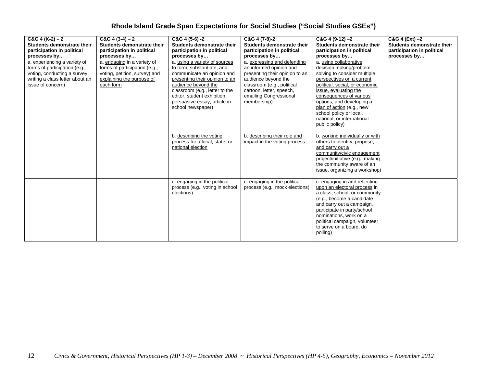| $C&G$ 4 (K-2) – 2<br>Students demonstrate their<br>participation in political<br>processes by<br>a. experiencing a variety of<br>forms of participation (e.g.,<br>voting, conducting a survey,<br>writing a class letter about an<br>issue of concern) | $C&G$ 4 (3-4) – 2<br>Students demonstrate their<br>participation in political<br>processes by<br>a. engaging in a variety of<br>forms of participation (e.g.,<br>voting, petition, survey) and<br>explaining the purpose of<br>each form | C&G 4 (5-6) -2<br>Students demonstrate their<br>participation in political<br>processes by<br>a. using a variety of sources<br>to form, substantiate, and<br>communicate an opinion and<br>presenting their opinion to an<br>audience bevond the<br>classroom (e.g., letter to the<br>editor, student exhibition,<br>persuasive essay, article in<br>school newspaper) | C&G 4 (7-8)-2<br>Students demonstrate their<br>participation in political<br>processes by<br>a. expressing and defending<br>an informed opinion and<br>presenting their opinion to an<br>audience beyond the<br>classroom (e.g., political<br>cartoon, letter, speech,<br>emailing Congressional<br>membership) | $C&G$ 4 (9-12) $-2$<br>Students demonstrate their<br>participation in political<br>processes by<br>a. using collaborative<br>decision making/problem<br>solving to consider multiple<br>perspectives on a current<br>political, social, or economic<br>issue, evaluating the<br>consequences of various<br>options, and developing a<br>plan of action (e.g., new<br>school policy or local,<br>national, or international<br>public policy) | C&G 4 (Ext) -2<br>Students demonstrate their<br>participation in political<br>processes by |
|--------------------------------------------------------------------------------------------------------------------------------------------------------------------------------------------------------------------------------------------------------|------------------------------------------------------------------------------------------------------------------------------------------------------------------------------------------------------------------------------------------|------------------------------------------------------------------------------------------------------------------------------------------------------------------------------------------------------------------------------------------------------------------------------------------------------------------------------------------------------------------------|-----------------------------------------------------------------------------------------------------------------------------------------------------------------------------------------------------------------------------------------------------------------------------------------------------------------|----------------------------------------------------------------------------------------------------------------------------------------------------------------------------------------------------------------------------------------------------------------------------------------------------------------------------------------------------------------------------------------------------------------------------------------------|--------------------------------------------------------------------------------------------|
|                                                                                                                                                                                                                                                        |                                                                                                                                                                                                                                          | b. describing the voting<br>process for a local, state, or<br>national election                                                                                                                                                                                                                                                                                        | b. describing their role and<br>impact in the voting process                                                                                                                                                                                                                                                    | b. working individually or with<br>others to identify, propose,<br>and carry out a<br>community/civic engagement<br>project/initiative (e.g., making<br>the community aware of an<br>issue, organizing a workshop)                                                                                                                                                                                                                           |                                                                                            |
|                                                                                                                                                                                                                                                        |                                                                                                                                                                                                                                          | c. engaging in the political<br>process (e.g., voting in school<br>elections)                                                                                                                                                                                                                                                                                          | c. engaging in the political<br>process (e.g., mock elections)                                                                                                                                                                                                                                                  | c. engaging in and reflecting<br>upon an electoral process in<br>a class, school, or community<br>(e.g., become a candidate<br>and carry out a campaign,<br>participate in party/school<br>nominations, work on a<br>political campaign, volunteer<br>to serve on a board, do<br>polling)                                                                                                                                                    |                                                                                            |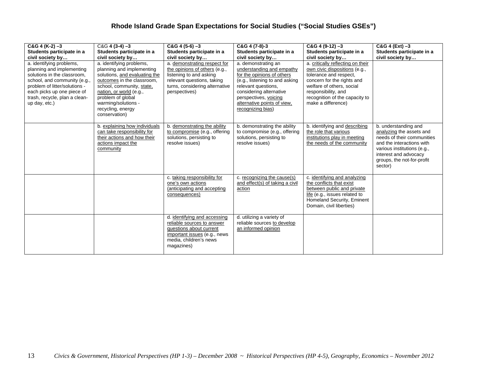| $C&G$ 4 (K-2) -3<br>Students participate in a<br>civil society by                                                                                                                                                                     | $C&G$ 4 (3-4) -3<br>Students participate in a<br>civil society by                                                                                                                                                                                              | $C&G$ 4 (5-6) $-3$<br>Students participate in a<br>civil society by                                                                                                       | C&G 4 (7-8)-3<br>Students participate in a<br>civil society by                                                                                                                                                                                  | $C&G$ 4 (9-12) $-3$<br>Students participate in a<br>civil society by                                                                                                                                                                   | C&G 4 (Ext) -3<br>Students participate in a<br>civil society by                                                                                                                                              |
|---------------------------------------------------------------------------------------------------------------------------------------------------------------------------------------------------------------------------------------|----------------------------------------------------------------------------------------------------------------------------------------------------------------------------------------------------------------------------------------------------------------|---------------------------------------------------------------------------------------------------------------------------------------------------------------------------|-------------------------------------------------------------------------------------------------------------------------------------------------------------------------------------------------------------------------------------------------|----------------------------------------------------------------------------------------------------------------------------------------------------------------------------------------------------------------------------------------|--------------------------------------------------------------------------------------------------------------------------------------------------------------------------------------------------------------|
| a. identifying problems,<br>planning and implementing<br>solutions in the classroom.<br>school, and community (e.g.,<br>problem of litter/solutions -<br>each picks up one piece of<br>trash, recycle, plan a clean-<br>up day, etc.) | a. identifying problems,<br>planning and implementing<br>solutions, and evaluating the<br>outcomes in the classroom,<br>school, community, state,<br>nation, or world (e.g.,<br>problem of global<br>warming/solutions -<br>recycling, energy<br>conservation) | a. demonstrating respect for<br>the opinions of others (e.g.,<br>listening to and asking<br>relevant questions, taking<br>turns, considering alternative<br>perspectives) | a. demonstrating an<br>understanding and empathy<br>for the opinions of others<br>(e.g., listening to and asking<br>relevant questions,<br>considering alternative<br>perspectives, voicing<br>alternative points of view,<br>recognizing bias) | a. critically reflecting on their<br>own civic dispositions (e.g.,<br>tolerance and respect,<br>concern for the rights and<br>welfare of others, social<br>responsibility, and<br>recognition of the capacity to<br>make a difference) |                                                                                                                                                                                                              |
|                                                                                                                                                                                                                                       | b. explaining how individuals<br>can take responsibility for<br>their actions and how their<br>actions impact the<br>community                                                                                                                                 | b. demonstrating the ability<br>to compromise (e.g., offering<br>solutions, persisting to<br>resolve issues)                                                              | b. demonstrating the ability<br>to compromise (e.g., offering<br>solutions, persisting to<br>resolve issues)                                                                                                                                    | b. identifying and describing<br>the role that various<br>institutions play in meeting<br>the needs of the community                                                                                                                   | b. understanding and<br>analyzing the assets and<br>needs of their communities<br>and the interactions with<br>various institutions (e.g.,<br>interest and advocacy<br>groups, the not-for-profit<br>sector) |
|                                                                                                                                                                                                                                       |                                                                                                                                                                                                                                                                | c. taking responsibility for<br>one's own actions<br>(anticipating and accepting<br>consequences)                                                                         | c. recognizing the cause(s)<br>and effect(s) of taking a civil<br>action                                                                                                                                                                        | c. identifying and analyzing<br>the conflicts that exist<br>between public and private<br>life (e.g., issues related to<br>Homeland Security, Eminent<br>Domain, civil liberties)                                                      |                                                                                                                                                                                                              |
|                                                                                                                                                                                                                                       |                                                                                                                                                                                                                                                                | d. identifying and accessing<br>reliable sources to answer<br>questions about current<br>important issues (e.g., news<br>media, children's news<br>magazines)             | d. utilizing a variety of<br>reliable sources to develop<br>an informed opinion                                                                                                                                                                 |                                                                                                                                                                                                                                        |                                                                                                                                                                                                              |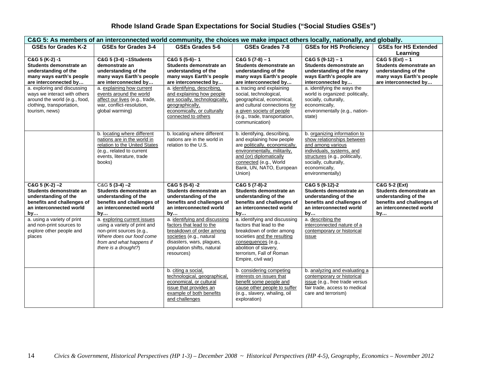| C&G 5: As members of an interconnected world community, the choices we make impact others locally, nationally, and globally.                |                                                                                                                                                                         |                                                                                                                                                                                            |                                                                                                                                                                                                                        |                                                                                                                                                                                                              |                                                                                                                                       |
|---------------------------------------------------------------------------------------------------------------------------------------------|-------------------------------------------------------------------------------------------------------------------------------------------------------------------------|--------------------------------------------------------------------------------------------------------------------------------------------------------------------------------------------|------------------------------------------------------------------------------------------------------------------------------------------------------------------------------------------------------------------------|--------------------------------------------------------------------------------------------------------------------------------------------------------------------------------------------------------------|---------------------------------------------------------------------------------------------------------------------------------------|
| <b>GSEs for Grades K-2</b>                                                                                                                  | <b>GSEs for Grades 3-4</b>                                                                                                                                              | GSEs Grades 5-6                                                                                                                                                                            | <b>GSEs Grades 7-8</b>                                                                                                                                                                                                 | <b>GSEs for HS Proficiency</b>                                                                                                                                                                               | <b>GSEs for HS Extended</b>                                                                                                           |
| C&G 5 (K-2) -1<br>Students demonstrate an<br>understanding of the<br>many ways earth's people<br>are interconnected by                      | C&G 5 (3-4) -1 Students<br>demonstrate an<br>understanding of the<br>many ways Earth's people<br>are interconnected by                                                  | $C&G5(5-6)-1$<br>Students demonstrate an<br>understanding of the<br>many ways Earth's people<br>are interconnected by                                                                      | $C&G$ 5 (7-8) - 1<br>Students demonstrate an<br>understanding of the<br>many ways Earth's people<br>are interconnected by                                                                                              | $C&G5(9-12)-1$<br>Students demonstrate an<br>understanding of the many<br>ways Earth's people are<br>interconnected by                                                                                       | Learning<br>$C&G$ 5 (Ext) - 1<br>Students demonstrate an<br>understanding of the<br>many ways Earth's people<br>are interconnected by |
| a. exploring and discussing<br>ways we interact with others<br>around the world (e.g., food,<br>clothing, transportation,<br>tourism, news) | a. explaining how current<br>events around the world<br>affect our lives (e.g., trade,<br>war, conflict-resolution,<br>global warming)                                  | a. identifying, describing,<br>and explaining how people<br>are socially, technologically,<br>geographically,<br>economically, or culturally<br>connected to others                        | a. tracing and explaining<br>social, technological,<br>geographical, economical,<br>and cultural connections for<br>a given society of people<br>(e.g., trade, transportation,<br>communication)                       | a. identifying the ways the<br>world is organized: politically,<br>socially, culturally,<br>economically,<br>environmentally (e.g., nation-<br>state)                                                        |                                                                                                                                       |
|                                                                                                                                             | b. locating where different<br>nations are in the world in<br>relation to the United States<br>(e.g., related to current<br>events, literature, trade<br>books)         | b. locating where different<br>nations are in the world in<br>relation to the U.S.                                                                                                         | b. identifying, describing,<br>and explaining how people<br>are politically, economically,<br>environmentally, militarily,<br>and (or) diplomatically<br>connected (e.g., World<br>Bank, UN, NATO, European<br>Union)  | b. organizing information to<br>show relationships between<br>and among various<br>individuals, systems, and<br>structures (e.g., politically,<br>socially, culturally,<br>economically,<br>environmentally) |                                                                                                                                       |
| $C&G$ 5 (K-2) $-2$<br>Students demonstrate an<br>understanding of the<br>benefits and challenges of<br>an interconnected world<br>by        | $C&G$ 5 (3-4) $-2$<br>Students demonstrate an<br>understanding of the<br>benefits and challenges of<br>an interconnected world<br>by                                    | C&G 5 (5-6) -2<br>Students demonstrate an<br>understanding of the<br>benefits and challenges of<br>an interconnected world<br>by                                                           | C&G 5 (7-8)-2<br>Students demonstrate an<br>understanding of the<br>benefits and challenges of<br>an interconnected world<br>by                                                                                        | C&G 5 (9-12)-2<br>Students demonstrate an<br>understanding of the<br>benefits and challenges of<br>an interconnected world<br>by                                                                             | C&G 5-2 (Ext)<br>Students demonstrate an<br>understanding of the<br>benefits and challenges of<br>an interconnected world<br>by       |
| a. using a variety of print<br>and non-print sources to<br>explore other people and<br>places                                               | a. exploring current issues<br>using a variety of print and<br>non-print sources (e.g.,<br>Where does our food come<br>from and what happens if<br>there is a drought?) | a. identifying and discussing<br>factors that lead to the<br>breakdown of order among<br>societies (e.g., natural<br>disasters, wars, plagues,<br>population shifts, natural<br>resources) | a. identifying and discussing<br>factors that lead to the<br>breakdown of order among<br>societies and the resulting<br>consequences (e.g.,<br>abolition of slavery,<br>terrorism, Fall of Roman<br>Empire, civil war) | a. describing the<br>interconnected nature of a<br>contemporary or historical<br>issue                                                                                                                       |                                                                                                                                       |
|                                                                                                                                             |                                                                                                                                                                         | b. citing a social,<br>technological, geographical,<br>economical, or cultural<br>issue that provides an<br>example of both benefits<br>and challenges                                     | b. considering competing<br>interests on issues that<br>benefit some people and<br>cause other people to suffer<br>(e.g., slavery, whaling, oil<br>exploration)                                                        | b. analyzing and evaluating a<br>contemporary or historical<br>issue (e.g., free trade versus<br>fair trade, access to medical<br>care and terrorism)                                                        |                                                                                                                                       |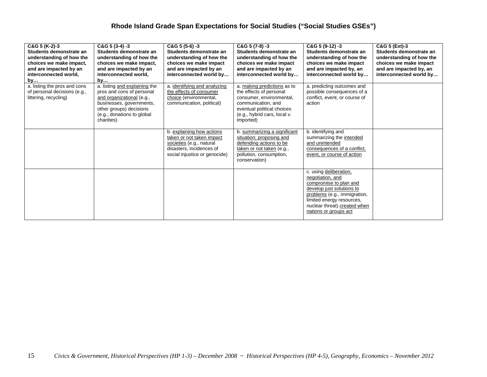| C&G 5 (K-2)-3<br>Students demonstrate an<br>understanding of how the<br>choices we make impact,<br>and are impacted by an<br>interconnected world,<br>by | $C&G$ 5 (3-4) -3<br>Students demonstrate an<br>understanding of how the<br>choices we make impact,<br>and are impacted by an<br>interconnected world,<br>by                                | $C&G$ 5 (5-6) -3<br>Students demonstrate an<br>understanding of how the<br>choices we make impact<br>and are impacted by an<br>interconnected world by | $C&G$ 5 (7-8) -3<br>Students demonstrate an<br>understanding of how the<br>choices we make impact<br>and are impacted by an<br>interconnected world by                              | $C&G$ 5 (9-12) -3<br>Students demonstrate an<br>understanding of how the<br>choices we make impact<br>and are impacted by, an<br>interconnected world by                                                                | C&G 5 (Ext)-3<br>Students demonstrate an<br>understanding of how the<br>choices we make impact<br>and are impacted by, an<br>interconnected world by |
|----------------------------------------------------------------------------------------------------------------------------------------------------------|--------------------------------------------------------------------------------------------------------------------------------------------------------------------------------------------|--------------------------------------------------------------------------------------------------------------------------------------------------------|-------------------------------------------------------------------------------------------------------------------------------------------------------------------------------------|-------------------------------------------------------------------------------------------------------------------------------------------------------------------------------------------------------------------------|------------------------------------------------------------------------------------------------------------------------------------------------------|
| a. listing the pros and cons<br>of personal decisions (e.g.,<br>littering, recycling)                                                                    | a. listing and explaining the<br>pros and cons of personal<br>and organizational (e.g.,<br>businesses, governments,<br>other groups) decisions<br>(e.g., donations to global<br>charities) | a. identifying and analyzing<br>the effects of consumer<br>choice (environmental,<br>communication, political)                                         | a. making predictions as to<br>the effects of personal<br>consumer, environmental,<br>communication, and<br>eventual political choices<br>(e.g., hybrid cars, local v.<br>imported) | a. predicting outcomes and<br>possible consequences of a<br>conflict, event, or course of<br>action                                                                                                                     |                                                                                                                                                      |
|                                                                                                                                                          |                                                                                                                                                                                            | b. explaining how actions<br>taken or not taken impact<br>societies (e.g., natural<br>disasters, incidences of<br>social injustice or genocide)        | b. summarizing a significant<br>situation: proposing and<br>defending actions to be<br>taken or not taken (e.g.,<br>pollution, consumption,<br>conservation)                        | b. identifying and<br>summarizing the intended<br>and unintended<br>consequences of a conflict,<br>event, or course of action                                                                                           |                                                                                                                                                      |
|                                                                                                                                                          |                                                                                                                                                                                            |                                                                                                                                                        |                                                                                                                                                                                     | c. using deliberation,<br>negotiation, and<br>compromise to plan and<br>develop just solutions to<br>problems (e.g., immigration,<br>limited energy resources,<br>nuclear threat) created when<br>nations or groups act |                                                                                                                                                      |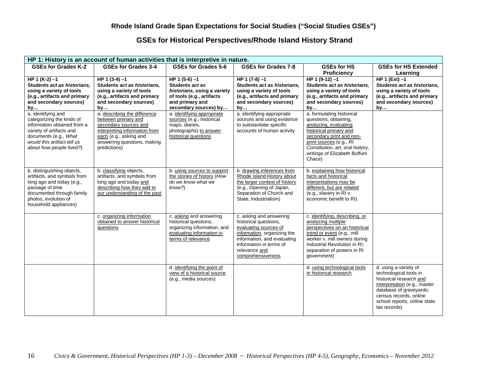### **GSEs for Historical Perspectives/Rhode Island History Strand**

| HP 1: History is an account of human activities that is interpretive in nature.                                                                                                         |                                                                                                                                                 |                                                                                                                                    |                                                                                                                                                                                                          |                                                                                                                                                                                                                                  |                                                                                                                                                                                                                 |  |
|-----------------------------------------------------------------------------------------------------------------------------------------------------------------------------------------|-------------------------------------------------------------------------------------------------------------------------------------------------|------------------------------------------------------------------------------------------------------------------------------------|----------------------------------------------------------------------------------------------------------------------------------------------------------------------------------------------------------|----------------------------------------------------------------------------------------------------------------------------------------------------------------------------------------------------------------------------------|-----------------------------------------------------------------------------------------------------------------------------------------------------------------------------------------------------------------|--|
| <b>GSEs for Grades K-2</b>                                                                                                                                                              | <b>GSEs for Grades 3-4</b>                                                                                                                      | <b>GSEs for Grades 5-6</b>                                                                                                         | <b>GSEs for Grades 7-8</b>                                                                                                                                                                               | <b>GSEs for HS</b>                                                                                                                                                                                                               | <b>GSEs for HS Extended</b>                                                                                                                                                                                     |  |
|                                                                                                                                                                                         |                                                                                                                                                 |                                                                                                                                    |                                                                                                                                                                                                          | Proficiency                                                                                                                                                                                                                      | Learning                                                                                                                                                                                                        |  |
| $HP 1 (K-2) -1$                                                                                                                                                                         | $HP 1 (3-4) - 1$                                                                                                                                | $HP 1 (5-6) -1$                                                                                                                    | $HP 1 (7-8) -1$                                                                                                                                                                                          | $HP 1 (9-12) -1$                                                                                                                                                                                                                 | HP 1 $(Ext) -1$                                                                                                                                                                                                 |  |
| Students act as historians.                                                                                                                                                             | Students act as historians,                                                                                                                     | Students act as                                                                                                                    | Students act as historians,                                                                                                                                                                              | Students act as historians,                                                                                                                                                                                                      | Students act as historians,                                                                                                                                                                                     |  |
| using a variety of tools                                                                                                                                                                | using a variety of tools                                                                                                                        | historians, using a variety                                                                                                        | using a variety of tools                                                                                                                                                                                 | using a variety of tools                                                                                                                                                                                                         | using a variety of tools                                                                                                                                                                                        |  |
| (e.g., artifacts and primary                                                                                                                                                            | (e.g., artifacts and primary                                                                                                                    | of tools (e.g., artifacts                                                                                                          | (e.g., artifacts and primary                                                                                                                                                                             | (e.g., artifacts and primary                                                                                                                                                                                                     | (e.g., artifacts and primary                                                                                                                                                                                    |  |
| and secondary sources)                                                                                                                                                                  | and secondary sources)                                                                                                                          | and primary and                                                                                                                    | and secondary sources)                                                                                                                                                                                   | and secondary sources)                                                                                                                                                                                                           | and secondary sources)                                                                                                                                                                                          |  |
| by                                                                                                                                                                                      | by                                                                                                                                              | secondary sources) by                                                                                                              | by                                                                                                                                                                                                       | by                                                                                                                                                                                                                               | by                                                                                                                                                                                                              |  |
| a. identifying and<br>categorizing the kinds of<br>information obtained from a<br>variety of artifacts and                                                                              | a. describing the difference<br>between primary and<br>secondary sources and<br>interpreting information from                                   | a. identifying appropriate<br>sources (e.g., historical<br>maps, diaries,<br>photographs) to answer                                | a. identifying appropriate<br>sources and using evidence<br>to substantiate specific<br>accounts of human activity                                                                                       | a. formulating historical<br>questions, obtaining,<br>analyzing, evaluating<br>historical primary and                                                                                                                            |                                                                                                                                                                                                                 |  |
| documents (e.g., What<br>would this artifact tell us<br>about how people lived?)                                                                                                        | each (e.g., asking and<br>answering questions, making<br>predictions)                                                                           | historical questions                                                                                                               |                                                                                                                                                                                                          | secondary print and non-<br>print sources (e.g., RI<br>Constitution, art, oral history,<br>writings of Elizabeth Buffum<br>Chace)                                                                                                |                                                                                                                                                                                                                 |  |
| b. distinguishing objects,<br>artifacts, and symbols from<br>long ago and today (e.g.,<br>passage of time<br>documented through family<br>photos, evolution of<br>household appliances) | b. classifying objects,<br>artifacts, and symbols from<br>long ago and today and<br>describing how they add to<br>our understanding of the past | b. using sources to support<br>the stories of history (How<br>do we know what we<br>know?)                                         | b. drawing inferences from<br>Rhode Island History about<br>the larger context of history<br>(e.g., Opening of Japan,<br>Separation of Church and<br>State, Industrialism)                               | b. explaining how historical<br>facts and historical<br>interpretations may be<br>different, but are related<br>(e.g., slavery in RI v.<br>economic benefit to RI)                                                               |                                                                                                                                                                                                                 |  |
|                                                                                                                                                                                         | c. organizing information<br>obtained to answer historical<br>questions                                                                         | c. asking and answering<br>historical questions,<br>organizing information, and<br>evaluating information in<br>terms of relevance | c. asking and answering<br>historical questions,<br>evaluating sources of<br>information, organizing the<br>information, and evaluating<br>information in terms of<br>relevance and<br>comprehensiveness | c. identifying, describing, or<br>analyzing multiple<br>perspectives on an historical<br>trend or event (e.g., mill<br>worker v. mill owners during<br>Industrial Revolution in RI;<br>separation of powers in RI<br>qovernment) |                                                                                                                                                                                                                 |  |
|                                                                                                                                                                                         |                                                                                                                                                 | d. identifying the point of<br>view of a historical source<br>(e.g., media sources)                                                |                                                                                                                                                                                                          | d. using technological tools<br>in historical research                                                                                                                                                                           | d. using a variety of<br>technological tools in<br>historical research and<br>interpretation (e.g., master<br>database of graveyards;<br>census records, online<br>school reports, online state<br>tax records) |  |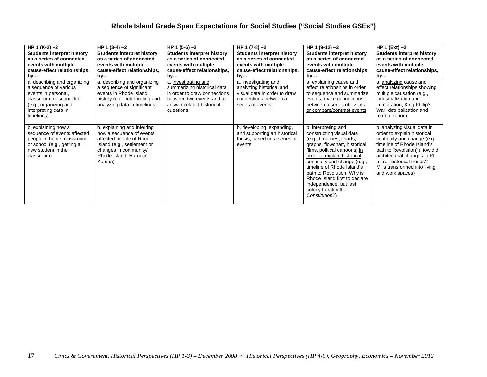| HP 1 $(K-2) - 2$<br><b>Students interpret history</b><br>as a series of connected<br>events with multiple<br>cause-effect relationships,<br>by                           | HP 1 $(3-4) - 2$<br><b>Students interpret history</b><br>as a series of connected<br>events with multiple<br>cause-effect relationships,<br>by                                     | HP 1 $(5-6) -2$<br><b>Students interpret history</b><br>as a series of connected<br>events with multiple<br>cause-effect relationships,<br>by              | HP 1 $(7-8) -2$<br><b>Students interpret history</b><br>as a series of connected<br>events with multiple<br>cause-effect relationships,<br>by | HP 1 $(9-12) - 2$<br><b>Students interpret history</b><br>as a series of connected<br>events with multiple<br>cause-effect relationships,<br>by                                                                                                                                                                                                                                | $HP 1 (Ext) -2$<br><b>Students interpret history</b><br>as a series of connected<br>events with multiple<br>cause-effect relationships,<br>by                                                                                                                              |
|--------------------------------------------------------------------------------------------------------------------------------------------------------------------------|------------------------------------------------------------------------------------------------------------------------------------------------------------------------------------|------------------------------------------------------------------------------------------------------------------------------------------------------------|-----------------------------------------------------------------------------------------------------------------------------------------------|--------------------------------------------------------------------------------------------------------------------------------------------------------------------------------------------------------------------------------------------------------------------------------------------------------------------------------------------------------------------------------|----------------------------------------------------------------------------------------------------------------------------------------------------------------------------------------------------------------------------------------------------------------------------|
| a. describing and organizing<br>a sequence of various<br>events in personal,<br>classroom, or school life<br>(e.g., organizing and<br>interpreting data in<br>timelines) | a. describing and organizing<br>a sequence of significant<br>events in Rhode Island<br>history (e.g., interpreting and<br>analyzing data in timelines)                             | a. investigating and<br>summarizing historical data<br>in order to draw connections<br>between two events and to<br>answer related historical<br>questions | a. investigating and<br>analyzing historical and<br>visual data in order to draw<br>connections between a<br>series of events                 | a. explaining cause and<br>effect relationships in order<br>to sequence and summarize<br>events, make connections<br>between a series of events,<br>or compare/contrast events                                                                                                                                                                                                 | a. analyzing cause and<br>effect relationships showing<br>multiple causation (e.g.,<br>industrialization and<br>immigration, King Philip's<br>War; detribalization and<br>retribalization)                                                                                 |
| b. explaining how a<br>sequence of events affected<br>people in home, classroom,<br>or school (e.g., getting a<br>new student in the<br>classroom)                       | b. explaining and inferring<br>how a sequence of events<br>affected people of Rhode<br>Island (e.g., settlement or<br>changes in community/<br>Rhode Island, Hurricane<br>Katrina) |                                                                                                                                                            | b. developing, expanding,<br>and supporting an historical<br>thesis, based on a series of<br>events                                           | b. interpreting and<br>constructing visual data<br>(e.g., timelines, charts,<br>graphs, flowchart, historical<br>films, political cartoons) in<br>order to explain historical<br>continuity and change (e.g.,<br>timeline of Rhode Island's<br>path to Revolution: Why is<br>Rhode Island first to declare<br>independence, but last<br>colony to ratify the<br>Constitution?) | b. analyzing visual data in<br>order to explain historical<br>continuity and change (e.g.<br>timeline of Rhode Island's<br>path to Revolution) (How did<br>architectural changes in RI<br>mirror historical trends? -<br>Mills transformed into living<br>and work spaces) |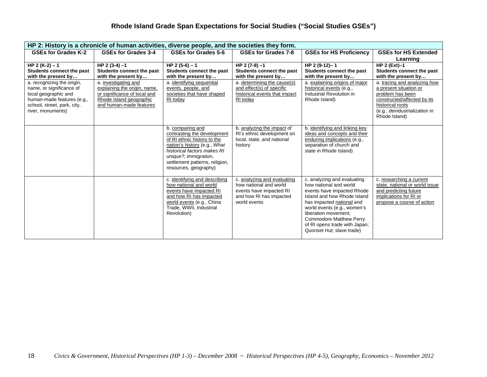| HP 2: History is a chronicle of human activities, diverse people, and the societies they form. |                                             |                                                             |                                                    |                                                          |                                                     |  |  |
|------------------------------------------------------------------------------------------------|---------------------------------------------|-------------------------------------------------------------|----------------------------------------------------|----------------------------------------------------------|-----------------------------------------------------|--|--|
| GSEs for Grades K-2                                                                            | <b>GSEs for Grades 3-4</b>                  | GSEs for Grades 5-6                                         | GSEs for Grades 7-8                                | <b>GSEs for HS Proficiency</b>                           | <b>GSEs for HS Extended</b>                         |  |  |
|                                                                                                |                                             |                                                             |                                                    |                                                          | Learning                                            |  |  |
| HP 2 $(K-2) - 1$                                                                               | $HP 2 (3-4) - 1$                            | HP 2 $(5-6) - 1$                                            | HP 2 (7-8) -1                                      | HP 2 (9-12)-1                                            | HP $2$ (Ext)-1                                      |  |  |
| Students connect the past                                                                      | Students connect the past                   | Students connect the past                                   | Students connect the past                          | Students connect the past                                | Students connect the past                           |  |  |
| with the present by<br>a. recognizing the origin,                                              | with the present by<br>a. investigating and | with the present by<br>a. identifying sequential            | with the present by<br>a. determining the cause(s) | with the present by<br>a. explaining origins of major    | with the present by<br>a. tracing and analyzing how |  |  |
| name, or significance of                                                                       | explaining the origin, name,                | events, people, and                                         | and effect(s) of specific                          | historical events (e.g.,                                 | a present situation or                              |  |  |
| local geographic and                                                                           | or significance of local and                | societies that have shaped                                  | historical events that impact                      | Industrial Revolution in                                 | problem has been                                    |  |  |
| human-made features (e.g.,                                                                     | Rhode Island geographic                     | RI today                                                    | RI today                                           | Rhode Island)                                            | constructed/affected by its                         |  |  |
| school, street, park, city,                                                                    | and human-made features                     |                                                             |                                                    |                                                          | historical roots                                    |  |  |
| river, monuments)                                                                              |                                             |                                                             |                                                    |                                                          | (e.g., deindustrialization in<br>Rhode Island)      |  |  |
|                                                                                                |                                             |                                                             |                                                    |                                                          |                                                     |  |  |
|                                                                                                |                                             | b. comparing and                                            | b. analyzing the impact of                         | b. identifying and linking key                           |                                                     |  |  |
|                                                                                                |                                             | contrasting the development                                 | RI's ethnic development on                         | ideas and concepts and their                             |                                                     |  |  |
|                                                                                                |                                             | of RI ethnic history to the<br>nation's history (e.g., What | local, state, and national<br>history              | enduring implications (e.g.,<br>separation of church and |                                                     |  |  |
|                                                                                                |                                             | historical factors makes RI                                 |                                                    | state in Rhode Island)                                   |                                                     |  |  |
|                                                                                                |                                             | unique?, immigration,                                       |                                                    |                                                          |                                                     |  |  |
|                                                                                                |                                             | settlement patterns, religion,                              |                                                    |                                                          |                                                     |  |  |
|                                                                                                |                                             | resources, geography)                                       |                                                    |                                                          |                                                     |  |  |
|                                                                                                |                                             | c. identifying and describing                               | c. analyzing and evaluating                        | c. analyzing and evaluating                              | c. researching a current                            |  |  |
|                                                                                                |                                             | how national and world                                      | how national and world                             | how national and world                                   | state, national or world issue                      |  |  |
|                                                                                                |                                             | events have impacted RI                                     | events have impacted RI                            | events have impacted Rhode                               | and predicting future                               |  |  |
|                                                                                                |                                             | and how RI has impacted                                     | and how RI has impacted<br>world events            | Island and how Rhode Island                              | implications for RI or                              |  |  |
|                                                                                                |                                             | world events (e.g., China<br>Trade, WWII, Industrial        |                                                    | has impacted national and<br>world events (e.g., women's | propose a course of action                          |  |  |
|                                                                                                |                                             | Revolution)                                                 |                                                    | liberation movement:                                     |                                                     |  |  |
|                                                                                                |                                             |                                                             |                                                    | <b>Commodore Matthew Perry</b>                           |                                                     |  |  |
|                                                                                                |                                             |                                                             |                                                    | of RI opens trade with Japan;                            |                                                     |  |  |
|                                                                                                |                                             |                                                             |                                                    | Quonset Hut; slave trade)                                |                                                     |  |  |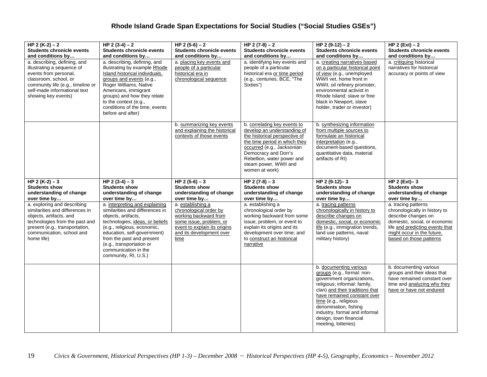| HP 2 (K-2) – 2<br><b>Students chronicle events</b><br>and conditions by<br>a. describing, defining, and<br>illustrating a sequence of<br>events from personal,<br>classroom, school, or<br>community life (e.g., timeline or<br>self-made informational text<br>showing key events) | HP 2 $(3-4) - 2$<br><b>Students chronicle events</b><br>and conditions by<br>a. describing, defining, and<br>illustrating by example Rhode<br>Island historical individuals,<br>groups and events (e.g.,<br>Roger Williams, Native<br>Americans, immigrant<br>groups) and how they relate<br>to the context (e.g.,<br>conditions of the time, events<br>before and after) | HP 2 $(5-6) - 2$<br><b>Students chronicle events</b><br>and conditions by<br>a. placing key events and<br>people of a particular<br>historical era in<br>chronological sequence | HP 2 $(7-8) - 2$<br><b>Students chronicle events</b><br>and conditions by<br>a. identifying key events and<br>people of a particular<br>historical era or time period<br>(e.g., centuries, BCE, "The<br>Sixties")                                            | HP 2 $(9-12) - 2$<br><b>Students chronicle events</b><br>and conditions by<br>a. creating narratives based<br>on a particular historical point<br>of view (e.g., unemployed<br>WWII vet, home front in<br>WWII, oil refinery promoter,<br>environmental activist in<br>Rhode Island: slave or free<br>black in Newport, slave<br>holder, trader or investor) | HP 2 $(Ext) - 2$<br><b>Students chronicle events</b><br>and conditions by<br>a. critiquing historical<br>narratives for historical<br>accuracy or points of view                                         |
|-------------------------------------------------------------------------------------------------------------------------------------------------------------------------------------------------------------------------------------------------------------------------------------|---------------------------------------------------------------------------------------------------------------------------------------------------------------------------------------------------------------------------------------------------------------------------------------------------------------------------------------------------------------------------|---------------------------------------------------------------------------------------------------------------------------------------------------------------------------------|--------------------------------------------------------------------------------------------------------------------------------------------------------------------------------------------------------------------------------------------------------------|--------------------------------------------------------------------------------------------------------------------------------------------------------------------------------------------------------------------------------------------------------------------------------------------------------------------------------------------------------------|----------------------------------------------------------------------------------------------------------------------------------------------------------------------------------------------------------|
|                                                                                                                                                                                                                                                                                     |                                                                                                                                                                                                                                                                                                                                                                           | b. summarizing key events<br>and explaining the historical<br>contexts of those events                                                                                          | b. correlating key events to<br>develop an understanding of<br>the historical perspective of<br>the time period in which they<br>occurred (e.g., Jacksonian<br>Democracy and Dorr's<br>Rebellion, water power and<br>steam power, WWII and<br>women at work) | b. synthesizing information<br>from multiple sources to<br>formulate an historical<br>interpretation (e.g.,<br>document-based questions,<br>quantitative data, material<br>artifacts of RI)                                                                                                                                                                  |                                                                                                                                                                                                          |
| HP 2 (K-2) $-3$<br><b>Students show</b><br>understanding of change<br>over time by                                                                                                                                                                                                  | $HP$ 2 (3-4) – 3<br><b>Students show</b><br>understanding of change<br>over time by                                                                                                                                                                                                                                                                                       | $HP$ 2 (5-6) - 3<br><b>Students show</b><br>understanding of change<br>over time by                                                                                             | $HP 2(7-8) - 3$<br><b>Students show</b><br>understanding of change<br>over time by                                                                                                                                                                           | $HP$ 2 (9-12)-3<br><b>Students show</b><br>understanding of change<br>over time by                                                                                                                                                                                                                                                                           | HP $2$ (Ext)-3<br><b>Students show</b><br>understanding of change<br>over time by                                                                                                                        |
| a. exploring and describing<br>similarities and differences in<br>objects, artifacts, and<br>technologies from the past and<br>present (e.g., transportation,<br>communication, school and<br>home life)                                                                            | a. interpreting and explaining<br>similarities and differences in<br>objects, artifacts,<br>technologies, ideas, or beliefs<br>(e.g., religious, economic,<br>education, self-government)<br>from the past and present<br>(e.g., transportation or<br>communication in the<br>community, RI, U.S.)                                                                        | a. establishing a<br>chronological order by<br>working backward from<br>some issue, problem, or<br>event to explain its origins<br>and its development over<br>time             | a. establishing a<br>chronological order by<br>working backward from some<br>issue, problem, or event to<br>explain its origins and its<br>development over time; and<br>to construct an historical<br>narrative                                             | a. tracing patterns<br>chronologically in history to<br>describe changes on<br>domestic, social, or economic<br>life (e.g., immigration trends,<br>land use patterns, naval<br>military history)                                                                                                                                                             | a. tracing patterns<br>chronologically in history to<br>describe changes on<br>domestic, social, or economic<br>life and predicting events that<br>might occur in the future,<br>based on those patterns |
|                                                                                                                                                                                                                                                                                     |                                                                                                                                                                                                                                                                                                                                                                           |                                                                                                                                                                                 |                                                                                                                                                                                                                                                              | b. documenting various<br>groups (e.g., formal: non-<br>government organizations,<br>religious; informal: family,<br>clan) and their traditions that<br>have remained constant over<br>time (e.g., religious<br>denomination, fishing<br>industry, formal and informal<br>design, town financial<br>meeting, lotteries)                                      | b. documenting various<br>groups and their ideas that<br>have remained constant over<br>time and analyzing why they<br>have or have not endured                                                          |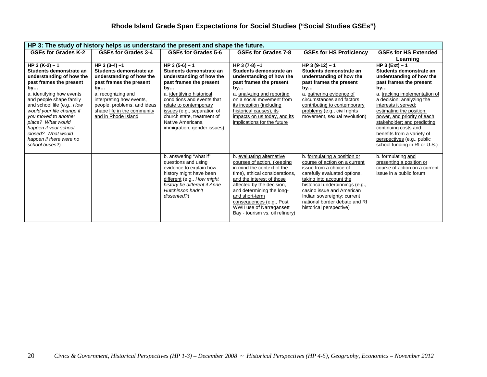|                                                         | HP 3: The study of history helps us understand the present and shape the future. |                                                           |                                                       |                                                              |                                                         |  |  |  |
|---------------------------------------------------------|----------------------------------------------------------------------------------|-----------------------------------------------------------|-------------------------------------------------------|--------------------------------------------------------------|---------------------------------------------------------|--|--|--|
| <b>GSEs for Grades K-2</b>                              | <b>GSEs for Grades 3-4</b>                                                       | GSEs for Grades 5-6                                       | GSEs for Grades 7-8                                   | <b>GSEs for HS Proficiency</b>                               | <b>GSEs for HS Extended</b>                             |  |  |  |
|                                                         |                                                                                  |                                                           |                                                       |                                                              | Learning                                                |  |  |  |
| HP 3 $(K-2) - 1$                                        | $HP 3 (3-4) - 1$                                                                 | HP $3(5-6) - 1$                                           | HP 3 (7-8) -1                                         | HP 3 $(9-12) - 1$                                            | $HP 3 (Ext) - 1$                                        |  |  |  |
| Students demonstrate an                                 | Students demonstrate an                                                          | Students demonstrate an                                   | Students demonstrate an                               | Students demonstrate an                                      | Students demonstrate an                                 |  |  |  |
| understanding of how the                                | understanding of how the                                                         | understanding of how the                                  | understanding of how the                              | understanding of how the                                     | understanding of how the                                |  |  |  |
| past frames the present                                 | past frames the present                                                          | past frames the present                                   | past frames the present                               | past frames the present                                      | past frames the present                                 |  |  |  |
| by                                                      | by                                                                               | by                                                        | by                                                    | by                                                           | by                                                      |  |  |  |
| a. identifying how events                               | a. recognizing and                                                               | a. identifying historical                                 | a. analyzing and reporting                            | a. gathering evidence of                                     | a. tracking implementation of                           |  |  |  |
| and people shape family                                 | interpreting how events,                                                         | conditions and events that<br>relate to contemporary      | on a social movement from<br>its inception (including | circumstances and factors                                    | a decision; analyzing the<br>interests it served:       |  |  |  |
| and school life (e.g., How<br>would your life change if | people, problems, and ideas                                                      |                                                           | historical causes), its                               | contributing to contemporary<br>problems (e.g., civil rights |                                                         |  |  |  |
| you moved to another                                    | shape life in the community<br>and in Rhode Island                               | issues (e.g., separation of<br>church state, treatment of | impacts on us today, and its                          | movement, sexual revolution)                                 | estimating the position,<br>power, and priority of each |  |  |  |
| place? What would                                       |                                                                                  | Native Americans.                                         | implications for the future                           |                                                              | stakeholder; and predicting                             |  |  |  |
| happen if your school                                   |                                                                                  | immigration, gender issues)                               |                                                       |                                                              | continuing costs and                                    |  |  |  |
| closed? What would                                      |                                                                                  |                                                           |                                                       |                                                              | benefits from a variety of                              |  |  |  |
| happen if there were no                                 |                                                                                  |                                                           |                                                       |                                                              | perspectives (e.g., public                              |  |  |  |
| school buses?)                                          |                                                                                  |                                                           |                                                       |                                                              | school funding in RI or U.S.)                           |  |  |  |
|                                                         |                                                                                  |                                                           |                                                       |                                                              |                                                         |  |  |  |
|                                                         |                                                                                  | b. answering "what if"                                    | b. evaluating alternative                             | b. formulating a position or                                 | b. formulating and                                      |  |  |  |
|                                                         |                                                                                  | questions and using                                       | courses of action, (keeping                           | course of action on a current                                | presenting a position or                                |  |  |  |
|                                                         |                                                                                  | evidence to explain how                                   | in mind the context of the                            | issue from a choice of                                       | course of action on a current                           |  |  |  |
|                                                         |                                                                                  | history might have been                                   | time), ethical considerations,                        | carefully evaluated options,                                 | issue in a public forum                                 |  |  |  |
|                                                         |                                                                                  | different (e.g., How might                                | and the interest of those                             | taking into account the                                      |                                                         |  |  |  |
|                                                         |                                                                                  | history be different if Anne                              | affected by the decision.                             | historical underpinnings (e.g.,<br>casino issue and American |                                                         |  |  |  |
|                                                         |                                                                                  | Hutchinson hadn't                                         | and determining the long-<br>and short-term           | Indian sovereignty; current                                  |                                                         |  |  |  |
|                                                         |                                                                                  | dissented?)                                               | consequences (e.g., Post                              | national border debate and RI                                |                                                         |  |  |  |
|                                                         |                                                                                  |                                                           | WWII use of Narragansett                              | historical perspective)                                      |                                                         |  |  |  |
|                                                         |                                                                                  |                                                           | Bay - tourism vs. oil refinery)                       |                                                              |                                                         |  |  |  |
|                                                         |                                                                                  |                                                           |                                                       |                                                              |                                                         |  |  |  |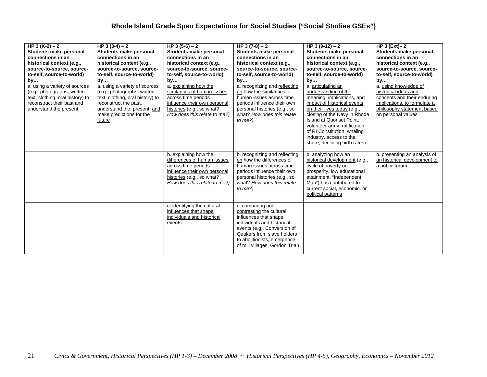| HP 3 $(K-2) - 2$<br>Students make personal<br>connections in an<br>historical context (e.g.,<br>source-to-source, source-<br>to-self, source-to-world)<br>by<br>a. using a variety of sources<br>(e.g., photographs, written<br>text, clothing, oral history) to<br>reconstruct their past and<br>understand the present. | HP 3 $(3-4) - 2$<br>Students make personal<br>connections in an<br>historical context (e.g.,<br>source-to-source, source-<br>to-self, source-to-world)<br>by<br>a. using a variety of sources<br>(e.g., photographs, written<br>text, clothing, oral history) to<br>reconstruct the past,<br>understand the present, and<br>make predictions for the<br>future | HP 3 $(5-6) - 2$<br>Students make personal<br>connections in an<br>historical context (e.g.,<br>source-to-source, source-<br>to-self, source-to-world)<br>by<br>a. explaining how the<br>similarities of human issues<br>across time periods<br>influence their own personal<br>histories (e.g., so what?<br>How does this relate to me?) | HP $3(7-8)-2$<br>Students make personal<br>connections in an<br>historical context (e.g.,<br>source-to-source, source-<br>to-self, source-to-world)<br>by<br>a. recognizing and reflecting<br>on how the similarities of<br>human issues across time<br>periods influence their own<br>personal histories (e.g., so<br>what? How does this relate<br>to $me$ ?) | HP 3 $(9-12) - 2$<br>Students make personal<br>connections in an<br>historical context (e.g.,<br>source-to-source, source-<br>to-self, source-to-world)<br>by<br>a. articulating an<br>understanding of the<br>meaning, implications, and<br>impact of historical events<br>on their lives today (e.g.,<br>closing of the Navy in Rhode<br><b>Island at Quonset Point:</b><br>volunteer army; ratification<br>of RI Constitution; whaling | HP $3$ (Ext)-2<br>Students make personal<br>connections in an<br>historical context (e.g.,<br>source-to-source, source-<br>to-self, source-to-world)<br>by<br>a. using knowledge of<br>historical ideas and<br>concepts and their enduring<br>implications, to formulate a<br>philosophy statement based<br>on personal values |
|---------------------------------------------------------------------------------------------------------------------------------------------------------------------------------------------------------------------------------------------------------------------------------------------------------------------------|----------------------------------------------------------------------------------------------------------------------------------------------------------------------------------------------------------------------------------------------------------------------------------------------------------------------------------------------------------------|-------------------------------------------------------------------------------------------------------------------------------------------------------------------------------------------------------------------------------------------------------------------------------------------------------------------------------------------|-----------------------------------------------------------------------------------------------------------------------------------------------------------------------------------------------------------------------------------------------------------------------------------------------------------------------------------------------------------------|-------------------------------------------------------------------------------------------------------------------------------------------------------------------------------------------------------------------------------------------------------------------------------------------------------------------------------------------------------------------------------------------------------------------------------------------|--------------------------------------------------------------------------------------------------------------------------------------------------------------------------------------------------------------------------------------------------------------------------------------------------------------------------------|
|                                                                                                                                                                                                                                                                                                                           |                                                                                                                                                                                                                                                                                                                                                                |                                                                                                                                                                                                                                                                                                                                           |                                                                                                                                                                                                                                                                                                                                                                 | industry, access to the<br>shore, declining birth rates)                                                                                                                                                                                                                                                                                                                                                                                  |                                                                                                                                                                                                                                                                                                                                |
|                                                                                                                                                                                                                                                                                                                           |                                                                                                                                                                                                                                                                                                                                                                | b. explaining how the<br>differences of human issues<br>across time periods<br>influence their own personal<br>histories (e.g., so what?<br>How does this relate to me?)                                                                                                                                                                  | b. recognizing and reflecting<br>on how the differences of<br>human issues across time<br>periods influence their own<br>personal histories (e.g., so<br>what? How does this relate<br>to $me$ ?)                                                                                                                                                               | b. analyzing how an<br>historical development (e.g.,<br>cycle of poverty or<br>prosperity, low educational<br>attainment, "Independent<br>Man") has contributed to<br>current social, economic, or<br>political patterns                                                                                                                                                                                                                  | b. presenting an analysis of<br>an historical development to<br>a public forum                                                                                                                                                                                                                                                 |
|                                                                                                                                                                                                                                                                                                                           |                                                                                                                                                                                                                                                                                                                                                                | c. identifying the cultural<br>influences that shape<br>individuals and historical<br>events                                                                                                                                                                                                                                              | c. comparing and<br>contrasting the cultural<br>influences that shape<br>individuals and historical<br>events (e.g., Conversion of<br>Quakers from slave holders<br>to abolitionists, emergence<br>of mill villages, Gordon Trial)                                                                                                                              |                                                                                                                                                                                                                                                                                                                                                                                                                                           |                                                                                                                                                                                                                                                                                                                                |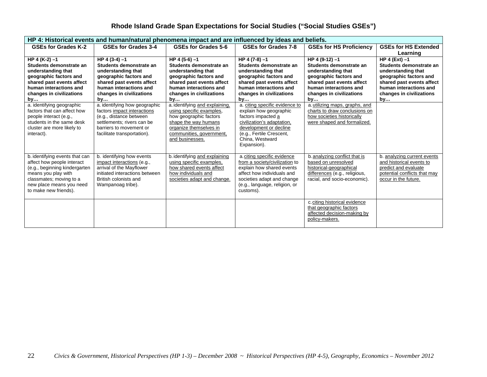| HP 4: Historical events and human/natural phenomena impact and are influenced by ideas and beliefs. |                                                     |                                                     |                                                             |                                                     |                                                     |  |
|-----------------------------------------------------------------------------------------------------|-----------------------------------------------------|-----------------------------------------------------|-------------------------------------------------------------|-----------------------------------------------------|-----------------------------------------------------|--|
| <b>GSEs for Grades K-2</b>                                                                          | <b>GSEs for Grades 3-4</b>                          | GSEs for Grades 5-6                                 | GSEs for Grades 7-8                                         | <b>GSEs for HS Proficiency</b>                      | <b>GSEs for HS Extended</b>                         |  |
|                                                                                                     |                                                     |                                                     |                                                             |                                                     | Learning                                            |  |
| HP 4 $(K-2) - 1$                                                                                    | $HP 4 (3-4) - 1$                                    | $HP 4 (5-6) -1$                                     | HP 4 $(7-8) - 1$                                            | HP 4 (9-12) -1                                      | $HP 4 (Ext) -1$                                     |  |
| Students demonstrate an                                                                             | Students demonstrate an                             | Students demonstrate an                             | Students demonstrate an                                     | Students demonstrate an                             | Students demonstrate an                             |  |
| understanding that                                                                                  | understanding that                                  | understanding that                                  | understanding that                                          | understanding that                                  | understanding that                                  |  |
| geographic factors and<br>shared past events affect                                                 | geographic factors and<br>shared past events affect | geographic factors and<br>shared past events affect | geographic factors and<br>shared past events affect         | geographic factors and<br>shared past events affect | geographic factors and<br>shared past events affect |  |
| human interactions and                                                                              | human interactions and                              | human interactions and                              | human interactions and                                      | human interactions and                              | human interactions and                              |  |
| changes in civilizations                                                                            | changes in civilizations                            | changes in civilizations                            | changes in civilizations                                    | changes in civilizations                            | changes in civilizations                            |  |
| by                                                                                                  | by                                                  | by                                                  | by                                                          | by                                                  | by                                                  |  |
| a. identifying geographic                                                                           | a. identifying how geographic                       | a. identifying and explaining.                      | a. citing specific evidence to                              | a. utilizing maps, graphs, and                      |                                                     |  |
| factors that can affect how                                                                         | factors impact interactions                         | using specific examples.                            | explain how geographic                                      | charts to draw conclusions on                       |                                                     |  |
| people interact (e.g.,                                                                              | (e.g., distance between                             | how geographic factors                              | factors impacted a                                          | how societies historically                          |                                                     |  |
| students in the same desk                                                                           | settlements; rivers can be                          | shape the way humans                                | civilization's adaptation,                                  | were shaped and formalized.                         |                                                     |  |
| cluster are more likely to                                                                          | barriers to movement or                             | organize themselves in                              | development or decline                                      |                                                     |                                                     |  |
| interact).                                                                                          | facilitate transportation).                         | communities, government,<br>and businesses.         | (e.g., Fertile Crescent,<br>China, Westward                 |                                                     |                                                     |  |
|                                                                                                     |                                                     |                                                     | Expansion).                                                 |                                                     |                                                     |  |
|                                                                                                     |                                                     |                                                     |                                                             |                                                     |                                                     |  |
| b. identifying events that can                                                                      | b. identifying how events                           | b. identifying and explaining                       | a.citing specific evidence                                  | b. analyzing conflict that is                       | b. analyzing current events                         |  |
| affect how people interact                                                                          | impact interactions (e.g.,                          | using specific examples.                            | from a society/civilization to                              | based on unresolved                                 | and historical events to                            |  |
| (e.g., beginning kindergarten                                                                       | arrival of the Mayflower                            | how shared events affect                            | explain how shared events                                   | historical-geographical                             | predict and evaluate                                |  |
| means you play with                                                                                 | initiated interactions between                      | how individuals and                                 | affect how individuals and                                  | differences (e.g., religious,                       | potential conflicts that may                        |  |
| classmates; moving to a<br>new place means you need                                                 | British colonists and<br>Wampanoag tribe).          | societies adapt and change.                         | societies adapt and change<br>(e.g., language, religion, or | racial, and socio-economic).                        | occur in the future.                                |  |
| to make new friends).                                                                               |                                                     |                                                     | customs).                                                   |                                                     |                                                     |  |
|                                                                                                     |                                                     |                                                     |                                                             |                                                     |                                                     |  |
|                                                                                                     |                                                     |                                                     |                                                             | c. citing historical evidence                       |                                                     |  |
|                                                                                                     |                                                     |                                                     |                                                             | that geographic factors                             |                                                     |  |
|                                                                                                     |                                                     |                                                     |                                                             | affected decision-making by                         |                                                     |  |
|                                                                                                     |                                                     |                                                     |                                                             | policy-makers.                                      |                                                     |  |
|                                                                                                     |                                                     |                                                     |                                                             |                                                     |                                                     |  |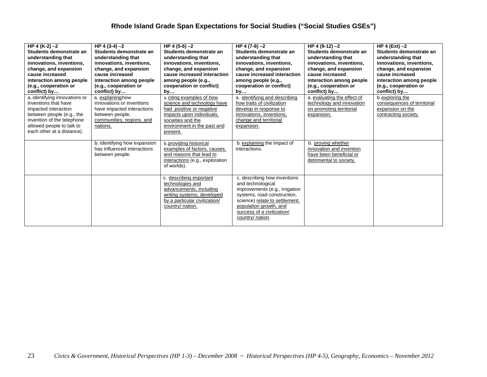| HP 4 (K-2) $-2$<br>Students demonstrate an<br>understanding that<br>innovations, inventions,<br>change, and expansion<br>cause increased<br>interaction among people<br>(e.g., cooperation or<br>conflict) by<br>a. identifying innovations or<br>inventions that have<br>impacted interaction<br>between people (e.g., the<br>invention of the telephone<br>allowed people to talk to | $HP$ 4 (3-4) $-2$<br>Students demonstrate an<br>understanding that<br>innovations, inventions,<br>change, and expansion<br>cause increased<br>interaction among people<br>(e.g., cooperation or<br>conflict) by<br>a. explaininghow<br>innovations or inventions<br>have impacted interactions<br>between people,<br>communities, regions, and<br>nations. | HP 4 (5-6) -2<br>Students demonstrate an<br>understanding that<br>innovations, inventions,<br>change, and expansion<br>cause increased interaction<br>among people (e.g.,<br>cooperation or conflict)<br>by<br>a. citing examples of how<br>science and technology have<br>had positive or negative<br>impacts upon individuals,<br>societies and the<br>environment in the past and | HP 4 (7-8) -2<br>Students demonstrate an<br>understanding that<br>innovations, inventions,<br>change, and expansion<br>cause increased interaction<br>among people (e.g.,<br>cooperation or conflict)<br>by<br>a. identifying and describing<br>how traits of civilization<br>develop in response to<br>innovations, inventions,<br>change and territorial<br>expansion. | HP 4 $(9-12) - 2$<br>Students demonstrate an<br>understanding that<br>innovations, inventions,<br>change, and expansion<br>cause increased<br>interaction among people<br>(e.g., cooperation or<br>conflict) by<br>a. evaluating the effect of<br>technology and innovation<br>on promoting territorial<br>expansion. | HP 4 (Ext) $-2$<br>Students demonstrate an<br>understanding that<br>innovations, inventions,<br>change, and expansion<br>cause increased<br>interaction among people<br>(e.g., cooperation or<br>conflict) by<br>b. exploring the<br>consequences of territorial<br>expansion on the<br>contracting society. |
|----------------------------------------------------------------------------------------------------------------------------------------------------------------------------------------------------------------------------------------------------------------------------------------------------------------------------------------------------------------------------------------|------------------------------------------------------------------------------------------------------------------------------------------------------------------------------------------------------------------------------------------------------------------------------------------------------------------------------------------------------------|--------------------------------------------------------------------------------------------------------------------------------------------------------------------------------------------------------------------------------------------------------------------------------------------------------------------------------------------------------------------------------------|--------------------------------------------------------------------------------------------------------------------------------------------------------------------------------------------------------------------------------------------------------------------------------------------------------------------------------------------------------------------------|-----------------------------------------------------------------------------------------------------------------------------------------------------------------------------------------------------------------------------------------------------------------------------------------------------------------------|--------------------------------------------------------------------------------------------------------------------------------------------------------------------------------------------------------------------------------------------------------------------------------------------------------------|
| each other at a distance).                                                                                                                                                                                                                                                                                                                                                             | b. identifying how expansion<br>has influenced interactions<br>between people.                                                                                                                                                                                                                                                                             | present.<br>b.providing historical<br>examples of factors, causes,<br>and reasons that lead to<br>interactions (e.g., exploration<br>of worlds).                                                                                                                                                                                                                                     | b. explaining the impact of<br>interactions.                                                                                                                                                                                                                                                                                                                             | b. proving whether<br>innovation and invention<br>have been beneficial or<br>detrimental to society.                                                                                                                                                                                                                  |                                                                                                                                                                                                                                                                                                              |
|                                                                                                                                                                                                                                                                                                                                                                                        |                                                                                                                                                                                                                                                                                                                                                            | c. describing important<br>technologies and<br>advancements, including<br>writing systems, developed<br>by a particular civilization/<br>country/ nation.                                                                                                                                                                                                                            | c. describing how inventions<br>and technological<br>improvements (e.g., irrigation<br>systems, road construction,<br>science) relate to settlement.<br>population growth, and<br>success of a civilization/<br>country/ nation.                                                                                                                                         |                                                                                                                                                                                                                                                                                                                       |                                                                                                                                                                                                                                                                                                              |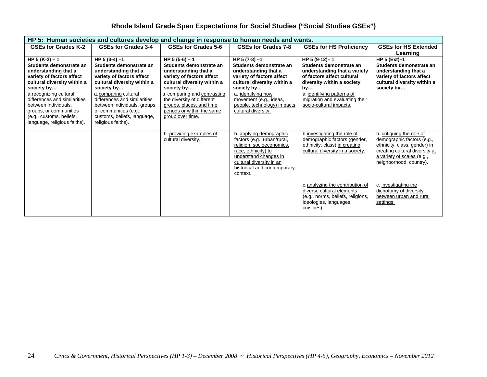| HP 5: Human societies and cultures develop and change in response to human needs and wants. |                                                                    |                                                                    |                                                                                                                                                                                                            |                                                                                                                                            |                                                                                                                                                                                    |  |  |
|---------------------------------------------------------------------------------------------|--------------------------------------------------------------------|--------------------------------------------------------------------|------------------------------------------------------------------------------------------------------------------------------------------------------------------------------------------------------------|--------------------------------------------------------------------------------------------------------------------------------------------|------------------------------------------------------------------------------------------------------------------------------------------------------------------------------------|--|--|
| <b>GSEs for Grades K-2</b>                                                                  | GSEs for Grades 3-4                                                | GSEs for Grades 5-6                                                | GSEs for Grades 7-8                                                                                                                                                                                        | <b>GSEs for HS Proficiency</b>                                                                                                             | <b>GSEs for HS Extended</b>                                                                                                                                                        |  |  |
|                                                                                             |                                                                    |                                                                    |                                                                                                                                                                                                            |                                                                                                                                            | Learning                                                                                                                                                                           |  |  |
| HP $5(K-2) - 1$<br>Students demonstrate an<br>understanding that a                          | $HP 5(3-4) - 1$<br>Students demonstrate an<br>understanding that a | HP $5(5-6) - 1$<br>Students demonstrate an<br>understanding that a | HP 5 (7-8) -1<br>Students demonstrate an<br>understanding that a                                                                                                                                           | HP 5 (9-12)-1<br>Students demonstrate an<br>understanding that a variety                                                                   | <b>HP 5 (Ext)-1</b><br>Students demonstrate an<br>understanding that a                                                                                                             |  |  |
| variety of factors affect                                                                   | variety of factors affect                                          | variety of factors affect                                          | variety of factors affect                                                                                                                                                                                  | of factors affect cultural                                                                                                                 | variety of factors affect                                                                                                                                                          |  |  |
| cultural diversity within a<br>society by                                                   | cultural diversity within a<br>society by                          | cultural diversity within a<br>society by                          | cultural diversity within a<br>society by                                                                                                                                                                  | diversity within a society                                                                                                                 | cultural diversity within a<br>society by                                                                                                                                          |  |  |
| a.recognizing cultural                                                                      | a. comparing cultural                                              | a. comparing and contrasting                                       | a. identifying how                                                                                                                                                                                         | by<br>a. identifying patterns of                                                                                                           |                                                                                                                                                                                    |  |  |
| differences and similarities                                                                | differences and similarities                                       | the diversity of different                                         | movement (e.g., ideas,                                                                                                                                                                                     | migration and evaluating their                                                                                                             |                                                                                                                                                                                    |  |  |
| between individuals,                                                                        | between individuals, groups,                                       | groups, places, and time                                           | people, technology) impacts                                                                                                                                                                                | socio-cultural impacts.                                                                                                                    |                                                                                                                                                                                    |  |  |
| groups, or communities                                                                      | or communities (e.g.,                                              | periods or within the same                                         | cultural diversity.                                                                                                                                                                                        |                                                                                                                                            |                                                                                                                                                                                    |  |  |
| (e.g., customs, beliefs,                                                                    | customs, beliefs, language,<br>religious faiths).                  | group over time.                                                   |                                                                                                                                                                                                            |                                                                                                                                            |                                                                                                                                                                                    |  |  |
| language, religious faiths).                                                                |                                                                    |                                                                    |                                                                                                                                                                                                            |                                                                                                                                            |                                                                                                                                                                                    |  |  |
|                                                                                             |                                                                    | b. providing examples of<br>cultural diversity.                    | b. applying demographic<br>factors (e.g., urban/rural,<br>religion, socioeconomics,<br>race, ethnicity) to<br>understand changes in<br>cultural diversity in an<br>historical and contemporary<br>context. | b.investigating the role of<br>demographic factors (gender,<br>ethnicity, class) in creating<br>cultural diversity in a society.           | b. critiquing the role of<br>demographic factors (e.g.,<br>ethnicity, class, gender) in<br>creating cultural diversity at<br>a variety of scales (e.g.,<br>neighborhood, country). |  |  |
|                                                                                             |                                                                    |                                                                    |                                                                                                                                                                                                            | c. analyzing the contribution of<br>diverse cultural elements<br>(e.g., norms, beliefs, religions,<br>ideologies, languages,<br>cuisines). | c. investigating the<br>dichotomy of diversity<br>between urban and rural<br>settings.                                                                                             |  |  |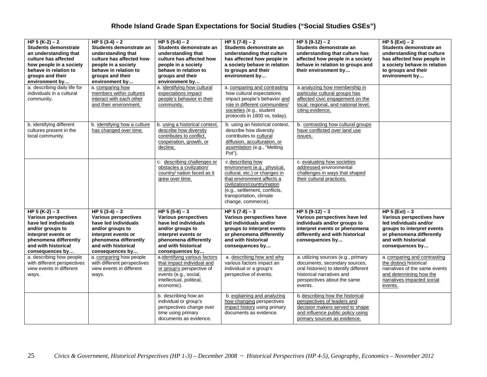| HP 5 $(K-2) - 2$<br><b>Students demonstrate</b><br>an understanding that<br>culture has affected<br>how people in a society<br>behave in relation to<br>groups and their<br>environment by | HP $5(3-4)-2$<br>Students demonstrate an<br>understanding that<br>culture has affected how<br>people in a society<br>behave in relation to<br>groups and their<br>environment by   | HP $5(5-6)-2$<br>Students demonstrate an<br>understanding that<br>culture has affected how<br>people in a society<br>behave in relation to<br>groups and their<br>environment by     | HP $5(7-8)-2$<br>Students demonstrate an<br>understanding that culture<br>has affected how people in<br>a society behave in relation<br>to groups and their<br>environment by                                                    | HP $5(9-12) - 2$<br>Students demonstrate an<br>understanding that culture has<br>affected how people in a society<br>behave in relation to groups and<br>their environment by        | HP $5$ (Ext) $-2$<br>Students demonstrate an<br>understanding that culture<br>has affected how people in<br>a society behave in relation<br>to groups and their<br>environment by |
|--------------------------------------------------------------------------------------------------------------------------------------------------------------------------------------------|------------------------------------------------------------------------------------------------------------------------------------------------------------------------------------|--------------------------------------------------------------------------------------------------------------------------------------------------------------------------------------|----------------------------------------------------------------------------------------------------------------------------------------------------------------------------------------------------------------------------------|--------------------------------------------------------------------------------------------------------------------------------------------------------------------------------------|-----------------------------------------------------------------------------------------------------------------------------------------------------------------------------------|
| a. describing daily life for<br>individuals in a cultural<br>community.                                                                                                                    | a. comparing how<br>members within cultures<br>interact with each other<br>and their environment.                                                                                  | a. identifying how cultural<br>expectations impact<br>people's behavior in their<br>community.                                                                                       | a. comparing and contrasting<br>how cultural expectations<br>impact people's behavior and<br>role in different communities/<br>societies (e.g., student<br>protocols in 1800 vs. today).                                         | a analyzing how membership in<br>particular cultural groups has<br>affected civic engagement on the<br>local, regional, and national level,<br>citing evidence.                      |                                                                                                                                                                                   |
| b. identifying different<br>cultures present in the<br>local community.                                                                                                                    | b. identifying how a culture<br>has changed over time.                                                                                                                             | b. using a historical context,<br>describe how diversity<br>contributes to conflict,<br>cooperation, growth, or<br>decline.                                                          | b. using an historical context,<br>describe how diversity<br>contributes to cultural<br>diffusion, acculturation, or<br>assimilation (e.g., "Melting<br>Pot").                                                                   | b. contrasting how cultural groups<br>have conflicted over land use<br>issues.                                                                                                       |                                                                                                                                                                                   |
|                                                                                                                                                                                            |                                                                                                                                                                                    | c. describing challenges or<br>obstacles a civilization/<br>country/ nation faced as it<br>grew over time.                                                                           | c.describing how<br>environment (e.g., physical,<br>cultural, etc.) or changes in<br>that environment affects a<br>civilization/country/nation<br>(e.g., settlement, conflicts,<br>transportation, climate<br>change, commerce). | c. evaluating how societies<br>addressed environmental<br>challenges in ways that shaped<br>their cultural practices.                                                                |                                                                                                                                                                                   |
| HP $5(K-2) - 3$<br><b>Various perspectives</b><br>have led individuals<br>and/or groups to<br>interpret events or<br>phenomena differently<br>and with historical<br>consequences by       | HP $5(3-4)-3$<br><b>Various perspectives</b><br>have led individuals<br>and/or groups to<br>interpret events or<br>phenomena differently<br>and with historical<br>consequences by | HP $5(5-6) - 3$<br><b>Various perspectives</b><br>have led individuals<br>and/or groups to<br>interpret events or<br>phenomena differently<br>and with historical<br>consequences by | HP $5(7-8) - 3$<br>Various perspectives have<br>led individuals and/or<br>groups to interpret events<br>or phenomena differently<br>and with historical<br>consequences by                                                       | HP $5(9-12) - 3$<br>Various perspectives have led<br>individuals and/or groups to<br>interpret events or phenomena<br>differently and with historical<br>consequences by             | HP $5$ (Ext) $-3$<br>Various perspectives have<br>led individuals and/or<br>groups to interpret events<br>or phenomena differently<br>and with historical<br>consequences by      |
| a. describing how people<br>with different perspectives<br>view events in different<br>ways.                                                                                               | a. comparing how people<br>with different perspectives<br>view events in different<br>ways.                                                                                        | a.identifying various factors<br>that impact individual and<br>or group's perspective of<br>events (e.g., social,<br>intellectual, political,<br>economic).                          | a. describing how and why<br>various factors impact an<br>individual or a group's<br>perspective of events.                                                                                                                      | a. utilizing sources (e.g., primary<br>documents, secondary sources,<br>oral histories) to identify different<br>historical narratives and<br>perspectives about the same<br>events. | a. comparing and contrasting<br>the distinct historical<br>narratives of the same events<br>and determining how the<br>narratives impacted social<br>events.                      |
|                                                                                                                                                                                            |                                                                                                                                                                                    | b. describing how an<br>individual or group's<br>perspectives change over<br>time using primary<br>documents as evidence.                                                            | b. explaining and analyzing<br>how changing perspectives<br>impact history using primary<br>documents as evidence.                                                                                                               | b. describing how the historical<br>perspectives of leaders and<br>decision makers served to shape<br>and influence public policy using<br>primary sources as evidence.              |                                                                                                                                                                                   |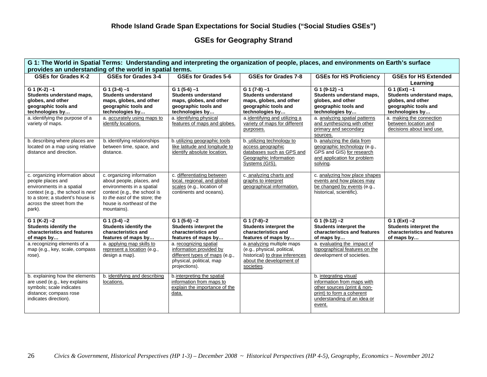# **GSEs for Geography Strand**

| G 1: The World in Spatial Terms: Understanding and interpreting the organization of people, places, and environments on Earth's surface |                                                          |                                                          |                                                                |                                                              |                                                  |  |  |  |
|-----------------------------------------------------------------------------------------------------------------------------------------|----------------------------------------------------------|----------------------------------------------------------|----------------------------------------------------------------|--------------------------------------------------------------|--------------------------------------------------|--|--|--|
|                                                                                                                                         | provides an understanding of the world in spatial terms. |                                                          |                                                                |                                                              |                                                  |  |  |  |
| GSEs for Grades K-2                                                                                                                     | <b>GSEs for Grades 3-4</b>                               | <b>GSEs for Grades 5-6</b>                               | GSEs for Grades 7-8                                            | <b>GSEs for HS Proficiency</b>                               | <b>GSEs for HS Extended</b>                      |  |  |  |
|                                                                                                                                         |                                                          |                                                          |                                                                |                                                              | Learning                                         |  |  |  |
| $G_1$ (K-2) -1<br>Students understand maps,                                                                                             | $G (3-4) -1$<br><b>Students understand</b>               | G $1(5-6) - 1$<br><b>Students understand</b>             | $G (7-8) -1$<br><b>Students understand</b>                     | $G$ 1 (9-12) $-1$<br>Students understand maps,               | $G 1 (Ext) -1$<br>Students understand maps,      |  |  |  |
| globes, and other                                                                                                                       | maps, globes, and other                                  | maps, globes, and other                                  | maps, globes, and other                                        | globes, and other                                            | globes, and other                                |  |  |  |
| geographic tools and                                                                                                                    | geographic tools and                                     | geographic tools and                                     | geographic tools and                                           | geographic tools and                                         | geographic tools and                             |  |  |  |
| technologies by                                                                                                                         | technologies by                                          | technologies by                                          | technologies by                                                | technologies by                                              | technologies by                                  |  |  |  |
| a. identifying the purpose of a<br>variety of maps.                                                                                     | a. accurately using maps to<br>identify locations.       | a. identifying physical<br>features of maps and globes.  | a.identifying and utilizing a<br>variety of maps for different | a. analyzing spatial patterns<br>and synthesizing with other | a. making the connection<br>between location and |  |  |  |
|                                                                                                                                         |                                                          |                                                          | purposes.                                                      | primary and secondary                                        | decisions about land use.                        |  |  |  |
|                                                                                                                                         |                                                          |                                                          |                                                                | sources.                                                     |                                                  |  |  |  |
| b. describing where places are                                                                                                          | b. identifying relationships                             | b. utilizing geographic tools                            | b. utilizing technology to                                     | b. analyzing the data from                                   |                                                  |  |  |  |
| located on a map using relative                                                                                                         | between time, space, and                                 | like latitude and longitude to                           | access geographic                                              | geographic technology (e.g.,                                 |                                                  |  |  |  |
| distance and direction.                                                                                                                 | distance.                                                | identify absolute location.                              | databases such as GPS and<br>Geographic Information            | GPS and GIS) for research<br>and application for problem     |                                                  |  |  |  |
|                                                                                                                                         |                                                          |                                                          | Systems (GIS).                                                 | solving.                                                     |                                                  |  |  |  |
|                                                                                                                                         |                                                          |                                                          |                                                                |                                                              |                                                  |  |  |  |
| c. organizing information about                                                                                                         | c. organizing information                                | c. differentiating between                               | c. analyzing charts and                                        | c. analyzing how place shapes                                |                                                  |  |  |  |
| people places and<br>environments in a spatial                                                                                          | about people, places, and<br>environments in a spatial   | local, regional, and global<br>scales (e.g., location of | graphs to interpret<br>geographical information.               | events and how places may<br>be changed by events (e.g.,     |                                                  |  |  |  |
| context (e.g., the school is next                                                                                                       | context (e.g., the school is                             | continents and oceans).                                  |                                                                | historical, scientific).                                     |                                                  |  |  |  |
| to a store; a student's house is                                                                                                        | to the east of the store; the                            |                                                          |                                                                |                                                              |                                                  |  |  |  |
| across the street from the                                                                                                              | house is <i>northeast</i> of the                         |                                                          |                                                                |                                                              |                                                  |  |  |  |
| park).                                                                                                                                  | mountains).                                              |                                                          |                                                                |                                                              |                                                  |  |  |  |
| $G 1 (K-2) -2$                                                                                                                          | $G (3-4) -2$                                             | $G (1 (5-6) -2)$                                         | $G (7-8)-2$                                                    | $G$ 1 (9-12) $-2$                                            | $G_1(Ext) - 2$                                   |  |  |  |
| <b>Students identify the</b>                                                                                                            | <b>Students identify the</b>                             | Students interpret the                                   | Students interpret the                                         | Students interpret the                                       | Students interpret the                           |  |  |  |
| characteristics and features                                                                                                            | characteristics and                                      | characteristics and                                      | characteristics and                                            | characteristics and features                                 | characteristics and features                     |  |  |  |
| of maps by                                                                                                                              | features of maps by                                      | features of maps by                                      | features of maps by                                            | of maps by                                                   | of maps by                                       |  |  |  |
| a. recognizing elements of a                                                                                                            | a. applying map skills to<br>represent a location (e.g., | a. recognizing spatial<br>information provided by        | a. analyzing multiple maps                                     | a. evaluating the impact of<br>topographical features on the |                                                  |  |  |  |
| map (e.g., key, scale, compass<br>rose).                                                                                                | design a map).                                           | different types of maps (e.g.,                           | (e.g., physical, political,<br>historical) to draw inferences  | development of societies.                                    |                                                  |  |  |  |
|                                                                                                                                         |                                                          | physical, political, map                                 | about the development of                                       |                                                              |                                                  |  |  |  |
|                                                                                                                                         |                                                          | projections).                                            | societies.                                                     |                                                              |                                                  |  |  |  |
| b. explaining how the elements                                                                                                          | b. identifying and describing                            | b.interpreting the spatial                               |                                                                | b. integrating visual                                        |                                                  |  |  |  |
| are used (e.g., key explains                                                                                                            | locations.                                               | information from maps to                                 |                                                                | information from maps with                                   |                                                  |  |  |  |
| symbols; scale indicates                                                                                                                |                                                          | explain the importance of the                            |                                                                | other sources (print & non-                                  |                                                  |  |  |  |
| distance; compass rose                                                                                                                  |                                                          | data.                                                    |                                                                | print) to form a coherent                                    |                                                  |  |  |  |
| indicates direction).                                                                                                                   |                                                          |                                                          |                                                                | understanding of an idea or<br>event.                        |                                                  |  |  |  |
|                                                                                                                                         |                                                          |                                                          |                                                                |                                                              |                                                  |  |  |  |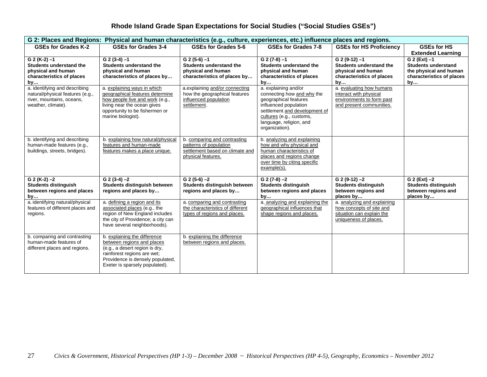|                                                                                                                      |                                                                                                                                                                                                   |                                                                                                                 |                                                                                                                                                                                                                | G 2: Places and Regions: Physical and human characteristics (e.g., culture, experiences, etc.) influence places and regions. |                                                                                                             |  |  |  |  |  |
|----------------------------------------------------------------------------------------------------------------------|---------------------------------------------------------------------------------------------------------------------------------------------------------------------------------------------------|-----------------------------------------------------------------------------------------------------------------|----------------------------------------------------------------------------------------------------------------------------------------------------------------------------------------------------------------|------------------------------------------------------------------------------------------------------------------------------|-------------------------------------------------------------------------------------------------------------|--|--|--|--|--|
| GSEs for Grades K-2                                                                                                  | <b>GSEs for Grades 3-4</b>                                                                                                                                                                        | GSEs for Grades 5-6                                                                                             | GSEs for Grades 7-8                                                                                                                                                                                            | <b>GSEs for HS Proficiency</b>                                                                                               | <b>GSEs for HS</b><br><b>Extended Learning</b>                                                              |  |  |  |  |  |
| $G 2 (K-2) -1$<br><b>Students understand the</b><br>physical and human<br>characteristics of places<br>by            | $G$ 2 (3-4) $-1$<br><b>Students understand the</b><br>physical and human<br>characteristics of places by                                                                                          | $G$ 2 (5-6) $-1$<br>Students understand the<br>physical and human<br>characteristics of places by               | $G$ 2 (7-8) $-1$<br><b>Students understand the</b><br>physical and human<br>characteristics of places<br>by                                                                                                    | $G$ 2 (9-12) $-1$<br><b>Students understand the</b><br>physical and human<br>characteristics of places<br>by                 | $G$ 2 (Ext) $-1$<br><b>Students understand</b><br>the physical and human<br>characteristics of places<br>by |  |  |  |  |  |
| a. identifying and describing<br>natural/physical features (e.g.,<br>river, mountains, oceans,<br>weather, climate). | a. explaining ways in which<br>geographical features determine<br>how people live and work (e.g.,<br>living near the ocean gives<br>opportunity to be fishermen or<br>marine biologist).          | a.explaining and/or connecting<br>how the geographical features<br>influenced population<br>settlement.         | a. explaining and/or<br>connecting how and why the<br>geographical features<br>influenced population<br>settlement and development of<br>cultures (e.g., customs,<br>language, religion, and<br>organization). | a. evaluating how humans<br>interact with physical<br>environments to form past<br>and present communities.                  |                                                                                                             |  |  |  |  |  |
| b. identifying and describing<br>human-made features (e.g.,<br>buildings, streets, bridges).                         | b. explaining how natural/physical<br>features and human-made<br>features makes a place unique.                                                                                                   | b. comparing and contrasting<br>patterns of population<br>settlement based on climate and<br>physical features. | b. analyzing and explaining<br>how and why physical and<br>human characteristics of<br>places and regions change<br>over time by citing specific<br>example(s).                                                |                                                                                                                              |                                                                                                             |  |  |  |  |  |
| $G 2 (K-2) -2$<br><b>Students distinguish</b><br>between regions and places<br>by                                    | $G (2 (3-4) -2)$<br>Students distinguish between<br>regions and places by                                                                                                                         | $G$ 2 (5-6) $-2$<br>Students distinguish between<br>regions and places by                                       | $G (7-8) -2$<br><b>Students distinguish</b><br>between regions and places<br>by                                                                                                                                | $G$ 2 (9-12) $-2$<br><b>Students distinguish</b><br>between regions and<br>places by                                         | $G$ 2 (Ext) $-2$<br><b>Students distinguish</b><br>between regions and<br>places by                         |  |  |  |  |  |
| a. identifying natural/physical<br>features of different places and<br>regions.                                      | a. defining a region and its<br>associated places (e.g., the<br>region of New England includes<br>the city of Providence; a city can<br>have several neighborhoods).                              | a. comparing and contrasting<br>the characteristics of different<br>types of regions and places.                | a. analyzing and explaining the<br>geographical influences that<br>shape regions and places.                                                                                                                   | a. analyzing and explaining<br>how concepts of site and<br>situation can explain the<br>uniqueness of places.                |                                                                                                             |  |  |  |  |  |
| b. comparing and contrasting<br>human-made features of<br>different places and regions.                              | b. explaining the difference<br>between regions and places<br>(e.g., a desert region is dry,<br>rainforest regions are wet;<br>Providence is densely populated,<br>Exeter is sparsely populated). | b. explaining the difference<br>between regions and places.                                                     |                                                                                                                                                                                                                |                                                                                                                              |                                                                                                             |  |  |  |  |  |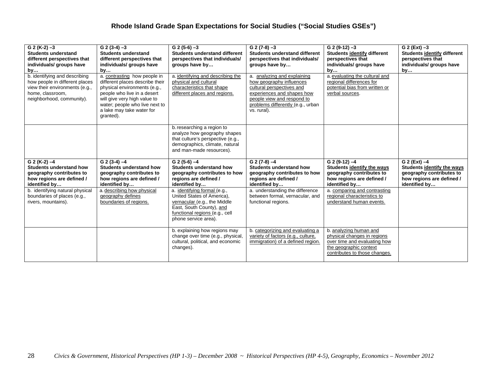| $G$ 2 (K-2) $-3$<br><b>Students understand</b><br>different perspectives that<br>individuals/ groups have<br>by                                    | $\overline{G}$ 2 (3-4) -3<br><b>Students understand</b><br>different perspectives that<br>individuals/ groups have<br>by                                                                                                                   | $G$ 2 (5-6) $-3$<br><b>Students understand different</b><br>perspectives that individuals/<br>groups have by                                                                                      | $G (2 (7-8) -3)$<br><b>Students understand different</b><br>perspectives that individuals/<br>groups have by                                                                                         | $G$ 2 (9-12) $-3$<br><b>Students identify different</b><br>perspectives that<br>individuals/ groups have<br>by  | $G$ 2 (Ext) $-3$<br><b>Students identify different</b><br>perspectives that<br>individuals/ groups have<br>by |
|----------------------------------------------------------------------------------------------------------------------------------------------------|--------------------------------------------------------------------------------------------------------------------------------------------------------------------------------------------------------------------------------------------|---------------------------------------------------------------------------------------------------------------------------------------------------------------------------------------------------|------------------------------------------------------------------------------------------------------------------------------------------------------------------------------------------------------|-----------------------------------------------------------------------------------------------------------------|---------------------------------------------------------------------------------------------------------------|
| b. identifying and describing<br>how people in different places<br>view their environments (e.g.,<br>home, classroom,<br>neighborhood, community). | a. contrasting how people in<br>different places describe their<br>physical environments (e.g.,<br>people who live in a desert<br>will give very high value to<br>water; people who live next to<br>a lake may take water for<br>granted). | a. identifying and describing the<br>physical and cultural<br>characteristics that shape<br>different places and regions.                                                                         | a. analyzing and explaining<br>how geography influences<br>cultural perspectives and<br>experiences and shapes how<br>people view and respond to<br>problems differently (e.g., urban<br>vs. rural). | a. evaluating the cultural and<br>regional differences for<br>potential bias from written or<br>verbal sources. |                                                                                                               |
|                                                                                                                                                    |                                                                                                                                                                                                                                            | b. researching a region to<br>analyze how geography shapes<br>that culture's perspective (e.g.,<br>demographics, climate, natural<br>and man-made resources).                                     |                                                                                                                                                                                                      |                                                                                                                 |                                                                                                               |
| $G 2 (K-2) -4$<br><b>Students understand how</b><br>geography contributes to                                                                       | $G$ 2 (3-4) $-4$<br>Students understand how<br>geography contributes to                                                                                                                                                                    | $G$ 2 (5-6) $-4$<br><b>Students understand how</b><br>geography contributes to how                                                                                                                | $G$ 2 (7-8) $-4$<br><b>Students understand how</b><br>geography contributes to how                                                                                                                   | $G$ 2 (9-12) $-4$<br>Students identify the ways<br>geography contributes to                                     | $G$ 2 (Ext) $-4$<br>Students identify the ways<br>geography contributes to                                    |
| how regions are defined /                                                                                                                          | how regions are defined /                                                                                                                                                                                                                  | regions are defined /                                                                                                                                                                             | regions are defined /<br>identified by                                                                                                                                                               | how regions are defined /<br>identified by                                                                      | how regions are defined /<br>identified by                                                                    |
| identified by<br>b. identifying natural physical<br>boundaries of places (e.g.,<br>rivers, mountains).                                             | identified by<br>a. describing how physical<br>geography defines<br>boundaries of regions.                                                                                                                                                 | identified by<br>a. identifying formal (e.g.,<br>United States of America),<br>vernacular (e.g., the Middle<br>East, South County), and<br>functional regions (e.g., cell<br>phone service area). | a. understanding the difference<br>between formal, vernacular, and<br>functional regions.                                                                                                            | a. comparing and contrasting<br>regional characteristics to<br>understand human events.                         |                                                                                                               |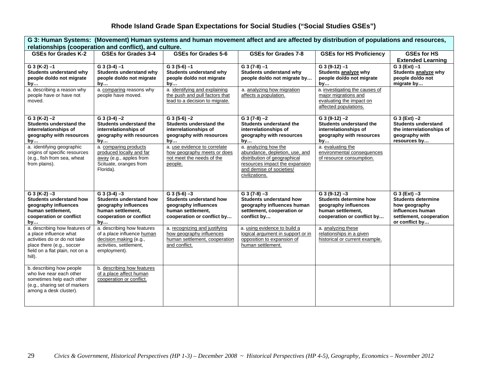| G 3: Human Systems: (Movement) Human systems and human movement affect and are affected by distribution of populations and resources,                             |                                                                                                                                  |                                                                                                                               |                                                                                                                                                                        |                                                                                                                               |                                                                                                                               |  |
|-------------------------------------------------------------------------------------------------------------------------------------------------------------------|----------------------------------------------------------------------------------------------------------------------------------|-------------------------------------------------------------------------------------------------------------------------------|------------------------------------------------------------------------------------------------------------------------------------------------------------------------|-------------------------------------------------------------------------------------------------------------------------------|-------------------------------------------------------------------------------------------------------------------------------|--|
|                                                                                                                                                                   | relationships (cooperation and conflict), and culture.                                                                           |                                                                                                                               |                                                                                                                                                                        |                                                                                                                               |                                                                                                                               |  |
| <b>GSEs for Grades K-2</b>                                                                                                                                        | <b>GSEs for Grades 3-4</b>                                                                                                       | <b>GSEs for Grades 5-6</b>                                                                                                    | GSEs for Grades 7-8                                                                                                                                                    | <b>GSEs for HS Proficiency</b>                                                                                                | <b>GSEs for HS</b>                                                                                                            |  |
| $G$ 3 (K-2) $-1$<br>Students understand why<br>people do/do not migrate<br>by                                                                                     | $G$ 3 (3-4) $-1$<br><b>Students understand why</b><br>people do/do not migrate<br>bγ…                                            | $G$ 3 (5-6) $-1$<br>Students understand why<br>people do/do not migrate<br>by                                                 | $G$ 3 (7-8) $-1$<br>Students understand why<br>people do/do not migrate by                                                                                             | $G$ 3 (9-12) $-1$<br>Students analyze why<br>people do/do not migrate<br>by                                                   | <b>Extended Learning</b><br>$G_3(Ext) - 1$<br>Students analyze why<br>people do/do not<br>migrate by                          |  |
| a. describing a reason why<br>people have or have not<br>moved.                                                                                                   | a. comparing reasons why<br>people have moved.                                                                                   | a. identifying and explaining<br>the push and pull factors that<br>lead to a decision to migrate.                             | a. analyzing how migration<br>affects a population.                                                                                                                    | a. investigating the causes of<br>major migrations and<br>evaluating the impact on<br>affected populations.                   |                                                                                                                               |  |
| $G_3(K-2) - 2$<br>Students understand the<br>interrelationships of<br>geography with resources<br>by                                                              | $G$ 3 (3-4) $-2$<br>Students understand the<br>interrelationships of<br>geography with resources<br>by                           | $G$ 3 (5-6) $-2$<br>Students understand the<br>interrelationships of<br>geography with resources<br>by                        | $G$ 3 (7-8) $-2$<br>Students understand the<br>interrelationships of<br>geography with resources<br>by                                                                 | $G$ 3 (9-12) $-2$<br>Students understand the<br>interrelationships of<br>geography with resources<br>by                       | $G_3(Ext) -2$<br><b>Students understand</b><br>the interrelationships of<br>geography with<br>resources by                    |  |
| a. identifying geographic<br>origins of specific resources<br>(e.g., fish from sea, wheat<br>from plains).                                                        | a. comparing products<br>produced locally and far<br>away (e.g., apples from<br>Scituate, oranges from<br>Florida).              | a. use evidence to correlate<br>how geography meets or does<br>not meet the needs of the<br>people.                           | a. analyzing how the<br>abundance, depletion, use, and<br>distribution of geographical<br>resources impact the expansion<br>and demise of societies/<br>civilizations. | a. evaluating the<br>environmental consequences<br>of resource consumption.                                                   |                                                                                                                               |  |
| $G_3(K-2)-3$<br><b>Students understand how</b><br>geography influences<br>human settlement,<br>cooperation or conflict<br>by                                      | $G$ 3 (3-4) $-3$<br><b>Students understand how</b><br>geography influences<br>human settlement,<br>cooperation or conflict<br>by | $G$ 3 (5-6) $-3$<br><b>Students understand how</b><br>geography influences<br>human settlement,<br>cooperation or conflict by | $G$ 3 (7-8) $-3$<br><b>Students understand how</b><br>geography influences human<br>settlement, cooperation or<br>conflict by                                          | $G$ 3 (9-12) $-3$<br><b>Students determine how</b><br>geography influences<br>human settlement,<br>cooperation or conflict by | $G_3(Ext) - 3$<br><b>Students determine</b><br>how geography<br>influences human<br>settlement, cooperation<br>or conflict by |  |
| a. describing how features of<br>a place influence what<br>activities do or do not take<br>place there (e.g., soccer<br>field on a flat plain, not on a<br>hill). | a. describing how features<br>of a place influence human<br>decision making (e.g.,<br>activities, settlement,<br>employment).    | a. recognizing and justifying<br>how geography influences<br>human settlement, cooperation<br>and conflict.                   | a. using evidence to build a<br>logical argument in support or in<br>opposition to expansion of<br>human settlement.                                                   | a. analyzing these<br>relationships in a given<br>historical or current example.                                              |                                                                                                                               |  |
| b. describing how people<br>who live near each other<br>sometimes help each other<br>(e.g., sharing set of markers<br>among a desk cluster).                      | b. describing how features<br>of a place affect human<br>cooperation or conflict.                                                |                                                                                                                               |                                                                                                                                                                        |                                                                                                                               |                                                                                                                               |  |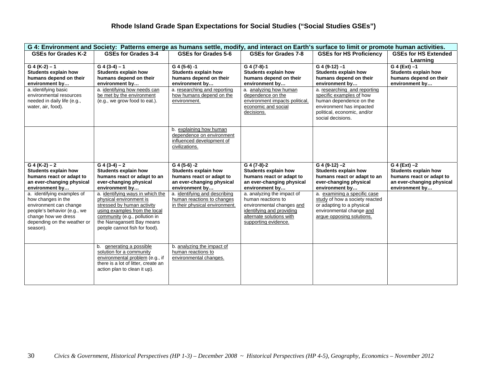| G 4: Environment and Society: Patterns emerge as humans settle, modify,<br>and interact on Earth's surface to limit or promote human activities.                            |                                                                                                                                                                                                                            |                                                                                                                          |                                                                                                                                                                |                                                                                                                                                                     |                                                                                                                            |  |
|-----------------------------------------------------------------------------------------------------------------------------------------------------------------------------|----------------------------------------------------------------------------------------------------------------------------------------------------------------------------------------------------------------------------|--------------------------------------------------------------------------------------------------------------------------|----------------------------------------------------------------------------------------------------------------------------------------------------------------|---------------------------------------------------------------------------------------------------------------------------------------------------------------------|----------------------------------------------------------------------------------------------------------------------------|--|
| GSEs for Grades K-2                                                                                                                                                         | GSEs for Grades 3-4                                                                                                                                                                                                        | GSEs for Grades 5-6                                                                                                      | GSEs for Grades 7-8                                                                                                                                            | <b>GSEs for HS Proficiency</b>                                                                                                                                      | <b>GSEs for HS Extended</b><br>Learning                                                                                    |  |
| $G$ 4 (K-2) – 1<br><b>Students explain how</b><br>humans depend on their<br>environment by                                                                                  | $G(4(3-4)-1)$<br>Students explain how<br>humans depend on their<br>environment by                                                                                                                                          | $G$ 4 (5-6) -1<br><b>Students explain how</b><br>humans depend on their<br>environment by                                | G 4 (7-8)-1<br>Students explain how<br>humans depend on their<br>environment by                                                                                | $G$ 4 (9-12) $-1$<br><b>Students explain how</b><br>humans depend on their<br>environment by                                                                        | $G$ 4 (Ext) $-1$<br>Students explain how<br>humans depend on their<br>environment by                                       |  |
| a. identifying basic<br>environmental resources<br>needed in daily life (e.g.,<br>water, air, food).                                                                        | a. identifying how needs can<br>be met by the environment<br>(e.g., we grow food to eat.).                                                                                                                                 | a. researching and reporting<br>how humans depend on the<br>environment.                                                 | a. analyzing how human<br>dependence on the<br>environment impacts political.<br>economic and social<br>decisions.                                             | a. researching and reporting<br>specific examples of how<br>human dependence on the<br>environment has impacted<br>political, economic, and/or<br>social decisions. |                                                                                                                            |  |
|                                                                                                                                                                             |                                                                                                                                                                                                                            | b. explaining how human<br>dependence on environment<br>influenced development of<br>civilizations.                      |                                                                                                                                                                |                                                                                                                                                                     |                                                                                                                            |  |
| $G(4(K-2)-2)$<br><b>Students explain how</b><br>humans react or adapt to<br>an ever-changing physical<br>environment by                                                     | $G(4(3-4)-2)$<br><b>Students explain how</b><br>humans react or adapt to an<br>ever-changing physical<br>environment by                                                                                                    | $G$ 4 (5-6) -2<br><b>Students explain how</b><br>humans react or adapt to<br>an ever-changing physical<br>environment by | $G$ 4 (7-8)-2<br><b>Students explain how</b><br>humans react or adapt to<br>an ever-changing physical<br>environment by                                        | $G$ 4 (9-12) $-2$<br>Students explain how<br>humans react or adapt to an<br>ever-changing physical<br>environment by                                                | $G$ 4 (Ext) $-2$<br><b>Students explain how</b><br>humans react or adapt to<br>an ever-changing physical<br>environment by |  |
| a. identifying examples of<br>how changes in the<br>environment can change<br>people's behavior (e.g., we<br>change how we dress<br>depending on the weather or<br>season). | a. identifying ways in which the<br>physical environment is<br>stressed by human activity<br>using examples from the local<br>community (e.g., pollution in<br>the Narragansett Bay means<br>people cannot fish for food). | a. identifying and describing<br>human reactions to changes<br>in their physical environment.                            | a. analyzing the impact of<br>human reactions to<br>environmental changes and<br>identifying and providing<br>alternate solutions with<br>supporting evidence. | a. examining a specific case<br>study of how a society reacted<br>or adapting to a physical<br>environmental change and<br>arque opposing solutions.                |                                                                                                                            |  |
|                                                                                                                                                                             | b. generating a possible<br>solution for a community<br>environmental problem (e.g., if<br>there is a lot of litter, create an<br>action plan to clean it up).                                                             | b. analyzing the impact of<br>human reactions to<br>environmental changes.                                               |                                                                                                                                                                |                                                                                                                                                                     |                                                                                                                            |  |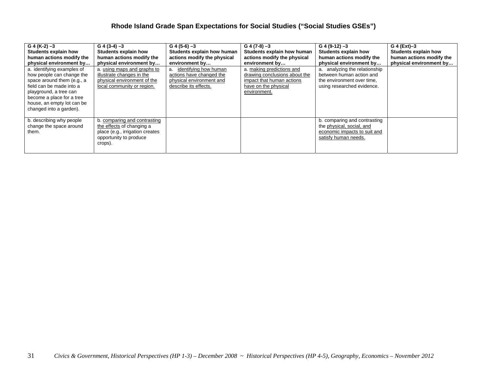| $G$ 4 (K-2) $-3$<br>Students explain how<br>human actions modify the<br>physical environment by<br>a. identifying examples of<br>how people can change the<br>space around them (e.g., a<br>field can be made into a<br>playground, a tree can<br>become a place for a tree<br>house, an empty lot can be<br>changed into a garden). | $G$ 4 (3-4) $-3$<br>Students explain how<br>human actions modify the<br>physical environment by<br>a. using maps and graphs to<br>illustrate changes in the<br>physical environment of the<br>local community or region. | $G$ 4 (5-6) $-3$<br>Students explain how human<br>actions modify the physical<br>environment by<br>identifying how human<br>a.<br>actions have changed the<br>physical environment and<br>describe its effects. | $G$ 4 (7-8) $-3$<br>Students explain how human<br>actions modify the physical<br>environment by<br>a. making predictions and<br>drawing conclusions about the<br>impact that human actions<br>have on the physical<br>environment. | $G$ 4 (9-12) $-3$<br><b>Students explain how</b><br>human actions modify the<br>physical environment by<br>a. analyzing the relationship<br>between human action and<br>the environment over time.<br>using researched evidence. | G 4 (Ext)-3<br>Students explain how<br>human actions modify the<br>physical environment by |
|--------------------------------------------------------------------------------------------------------------------------------------------------------------------------------------------------------------------------------------------------------------------------------------------------------------------------------------|--------------------------------------------------------------------------------------------------------------------------------------------------------------------------------------------------------------------------|-----------------------------------------------------------------------------------------------------------------------------------------------------------------------------------------------------------------|------------------------------------------------------------------------------------------------------------------------------------------------------------------------------------------------------------------------------------|----------------------------------------------------------------------------------------------------------------------------------------------------------------------------------------------------------------------------------|--------------------------------------------------------------------------------------------|
| b. describing why people<br>change the space around<br>them.                                                                                                                                                                                                                                                                         | b. comparing and contrasting<br>the effects of changing a<br>place (e.g., irrigation creates<br>opportunity to produce<br>crops).                                                                                        |                                                                                                                                                                                                                 |                                                                                                                                                                                                                                    | b. comparing and contrasting<br>the physical, social, and<br>economic impacts to suit and<br>satisfy human needs.                                                                                                                |                                                                                            |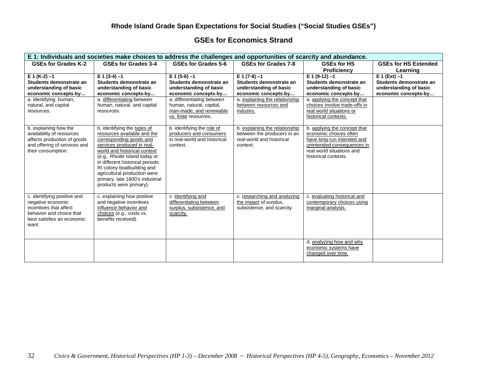#### **GSEs for Economics Strand**

| E 1: Individuals and societies make choices to address the challenges and opportunities of scarcity and abundance.                            |                                                                                                                                                                                                                                                                                                                                                     |                                                                                                            |                                                                                                        |                                                                                                                                                                         |                                                                                             |  |  |
|-----------------------------------------------------------------------------------------------------------------------------------------------|-----------------------------------------------------------------------------------------------------------------------------------------------------------------------------------------------------------------------------------------------------------------------------------------------------------------------------------------------------|------------------------------------------------------------------------------------------------------------|--------------------------------------------------------------------------------------------------------|-------------------------------------------------------------------------------------------------------------------------------------------------------------------------|---------------------------------------------------------------------------------------------|--|--|
| <b>GSEs for Grades K-2</b>                                                                                                                    | GSEs for Grades 3-4                                                                                                                                                                                                                                                                                                                                 | GSEs for Grades 5-6                                                                                        | GSEs for Grades 7-8                                                                                    | <b>GSEs for HS</b><br><b>Proficiency</b>                                                                                                                                | <b>GSEs for HS Extended</b><br>Learning                                                     |  |  |
| $E 1 (K-2) -1$<br>Students demonstrate an<br>understanding of basic<br>economic concepts-by                                                   | $E 1 (3-4) - 1$<br>Students demonstrate an<br>understanding of basic<br>economic concepts-by                                                                                                                                                                                                                                                        | $E 1 (5-6) - 1$<br>Students demonstrate an<br>understanding of basic<br>economic concepts-by               | $E 1 (7-8) - 1$<br>Students demonstrate an<br>understanding of basic<br>economic concepts-by           | $E 1 (9-12) - 1$<br>Students demonstrate an<br>understanding of basic<br>economic concepts-by                                                                           | $E 1 (Ext) -1$<br>Students demonstrate an<br>understanding of basic<br>economic concepts by |  |  |
| a. identifying human,<br>natural, and capital<br>resources.                                                                                   | a. differentiating between<br>human, natural, and capital<br>resources.                                                                                                                                                                                                                                                                             | a. differentiating between<br>human, natural, capital,<br>man-made, and renewable<br>vs. finite resources. | a. explaining the relationship<br>between resources and<br>industry.                                   | a. applying the concept that<br>choices involve trade-offs in<br>real world situations or<br>historical contexts.                                                       |                                                                                             |  |  |
| b. explaining how the<br>availability of resources<br>affects production of goods<br>and offering of services and<br>their consumption.       | b. identifying the types of<br>resources available and the<br>corresponding goods and<br>services produced in real-<br>world and historical context<br>(e.g., Rhode Island today or<br>in different historical periods:<br>RI colony boatbuilding and<br>agricultural production were<br>primary, late 1800's industrial<br>products were primary). | b. identifying the role of<br>producers and consumers<br>in real-world and historical<br>context.          | b. explaining the relationship<br>between the producers in an<br>real-world and historical<br>context. | b. applying the concept that<br>economic choices often<br>have long-run intended and<br>unintended consequences in<br>real world situations and<br>historical contexts. |                                                                                             |  |  |
| c. identifying positive and<br>negative economic<br>incentives that affect<br>behavior and choice that<br>best satisfies an economic<br>want. | c. explaining how positive<br>and negative incentives<br>influence behavior and<br>choices (e.g., costs vs.<br>benefits received).                                                                                                                                                                                                                  | c. identifying and<br>differentiating between<br>surplus, subsistence, and<br>scarcity.                    | c. researching and analyzing<br>the impact of surplus,<br>subsistence, and scarcity.                   | c. evaluating historical and<br>contemporary choices using<br>marginal analysis.                                                                                        |                                                                                             |  |  |
|                                                                                                                                               |                                                                                                                                                                                                                                                                                                                                                     |                                                                                                            |                                                                                                        | d. analyzing how and why<br>economic systems have<br>changed over time.                                                                                                 |                                                                                             |  |  |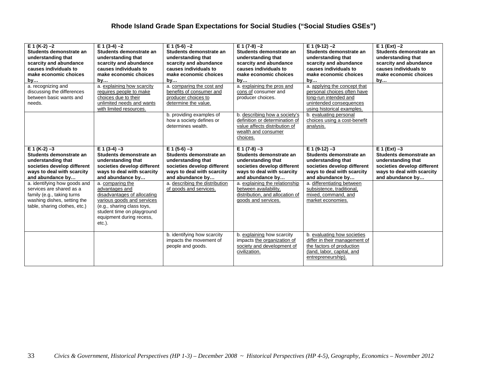| $E_1(K-2) - 2$<br>Students demonstrate an<br>understanding that<br>scarcity and abundance<br>causes individuals to<br>make economic choices<br>by      | $E = 1(3-4) -2$<br>Students demonstrate an<br>understanding that<br>scarcity and abundance<br>causes individuals to<br>make economic choices<br>by                                                   | $E 1 (5-6) -2$<br>Students demonstrate an<br>understanding that<br>scarcity and abundance<br>causes individuals to<br>make economic choices<br>by | $E 1 (7-8) -2$<br>Students demonstrate an<br>understanding that<br>scarcity and abundance<br>causes individuals to<br>make economic choices<br>by | $E 1 (9-12) -2$<br>Students demonstrate an<br>understanding that<br>scarcity and abundance<br>causes individuals to<br>make economic choices<br>by | $E 1 (Ext) -2$<br>Students demonstrate an<br>understanding that<br>scarcity and abundance<br>causes individuals to<br>make economic choices<br>by |
|--------------------------------------------------------------------------------------------------------------------------------------------------------|------------------------------------------------------------------------------------------------------------------------------------------------------------------------------------------------------|---------------------------------------------------------------------------------------------------------------------------------------------------|---------------------------------------------------------------------------------------------------------------------------------------------------|----------------------------------------------------------------------------------------------------------------------------------------------------|---------------------------------------------------------------------------------------------------------------------------------------------------|
| a. recognizing and<br>discussing the differences<br>between basic wants and<br>needs.                                                                  | a. explaining how scarcity<br>requires people to make<br>choices due to their<br>unlimited needs and wants<br>with limited resources.                                                                | a. comparing the cost and<br>benefits of consumer and<br>producer choices to<br>determine the value.                                              | a. explaining the pros and<br>cons of consumer and<br>producer choices.                                                                           | a. applying the concept that<br>personal choices often have<br>long-run intended and<br>unintended consequences<br>using historical examples.      |                                                                                                                                                   |
|                                                                                                                                                        |                                                                                                                                                                                                      | b. providing examples of<br>how a society defines or<br>determines wealth.                                                                        | b. describing how a society's<br>definition or determination of<br>value affects distribution of<br>wealth and consumer<br>choices.               | b. evaluating personal<br>choices using a cost-benefit<br>analysis.                                                                                |                                                                                                                                                   |
| $E 1 (K-2) -3$<br>Students demonstrate an<br>understanding that<br>societies develop different<br>ways to deal with scarcity<br>and abundance by       | $E 1(3-4) - 3$<br>Students demonstrate an<br>understanding that<br>societies develop different<br>ways to deal with scarcity<br>and abundance by                                                     | $E 1 (5-6) -3$<br>Students demonstrate an<br>understanding that<br>societies develop different<br>ways to deal with scarcity<br>and abundance by  | $E 1 (7-8) -3$<br>Students demonstrate an<br>understanding that<br>societies develop different<br>ways to deal with scarcity<br>and abundance by  | $E 1 (9-12) -3$<br>Students demonstrate an<br>understanding that<br>societies develop different<br>ways to deal with scarcity<br>and abundance by  | $E 1 (Ext) -3$<br>Students demonstrate an<br>understanding that<br>societies develop different<br>ways to deal with scarcity<br>and abundance by  |
| a. identifying how goods and<br>services are shared as a<br>family (e.g., taking turns<br>washing dishes, setting the<br>table, sharing clothes, etc.) | a. comparing the<br>advantages and<br>disadvantages of allocating<br>various goods and services<br>(e.g., sharing class toys,<br>student time on playground<br>equipment during recess,<br>$etc.$ ). | a. describing the distribution<br>of goods and services.                                                                                          | a. explaining the relationship<br>between availability,<br>distribution, and allocation of<br>goods and services.                                 | a. differentiating between<br>subsistence, traditional,<br>mixed, command, and<br>market economies.                                                |                                                                                                                                                   |
|                                                                                                                                                        |                                                                                                                                                                                                      | b. identifying how scarcity<br>impacts the movement of<br>people and goods.                                                                       | b. explaining how scarcity<br>impacts the organization of<br>society and development of<br>civilization.                                          | b. evaluating how societies<br>differ in their management of<br>the factors of production<br>(land, labor, capital, and<br>entrepreneurship).      |                                                                                                                                                   |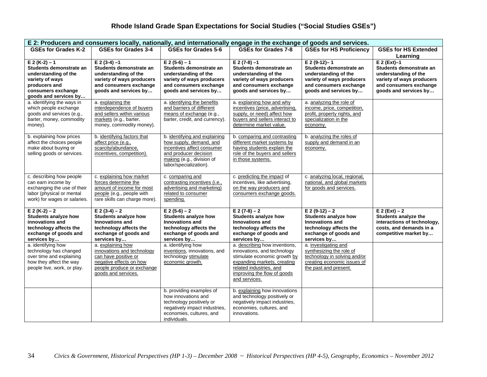| E 2: Producers and consumers locally, nationally, and internationally engage in the exchange of goods and services.                                   |                                                                                                                                                         |                                                                                                                                                                        |                                                                                                                                                                                                        |                                                                                                                                                     |                                                                                                                                                    |  |
|-------------------------------------------------------------------------------------------------------------------------------------------------------|---------------------------------------------------------------------------------------------------------------------------------------------------------|------------------------------------------------------------------------------------------------------------------------------------------------------------------------|--------------------------------------------------------------------------------------------------------------------------------------------------------------------------------------------------------|-----------------------------------------------------------------------------------------------------------------------------------------------------|----------------------------------------------------------------------------------------------------------------------------------------------------|--|
| <b>GSEs for Grades K-2</b>                                                                                                                            | <b>GSEs for Grades 3-4</b>                                                                                                                              | <b>GSEs for Grades 5-6</b>                                                                                                                                             | <b>GSEs for Grades 7-8</b>                                                                                                                                                                             | <b>GSEs for HS Proficiency</b>                                                                                                                      | <b>GSEs for HS Extended</b><br>Learning                                                                                                            |  |
| $E 2 (K-2) - 1$<br>Students demonstrate an<br>understanding of the<br>variety of ways<br>producers and<br>consumers exchange<br>goods and services by | $E 2(3-4) - 1$<br>Students demonstrate an<br>understanding of the<br>variety of ways producers<br>and consumers exchange<br>goods and services by       | $E 2(5-6) - 1$<br>Students demonstrate an<br>understanding of the<br>variety of ways producers<br>and consumers exchange<br>goods and services by                      | $E 2(7-8) - 1$<br>Students demonstrate an<br>understanding of the<br>variety of ways producers<br>and consumers exchange<br>goods and services by                                                      | $E 2 (9-12) - 1$<br>Students demonstrate an<br>understanding of the<br>variety of ways producers<br>and consumers exchange<br>goods and services by | $E 2 (Ext) - 1$<br>Students demonstrate an<br>understanding of the<br>variety of ways producers<br>and consumers exchange<br>goods and services by |  |
| a. identifying the ways in<br>which people exchange<br>goods and services (e.g.,<br>barter, money, commodity<br>money).                               | a. explaining the<br>interdependence of buyers<br>and sellers within various<br>markets (e.g., barter,<br>money, commodity money).                      | a. identifying the benefits<br>and barriers of different<br>means of exchange (e.g.,<br>barter, credit, and currency).                                                 | a. explaining how and why<br>incentives (price, advertising,<br>supply, or need) affect how<br>buyers and sellers interact to<br>determine market value.                                               | a. analyzing the role of<br>income, price, competition,<br>profit, property rights, and<br>specialization in the<br>economy.                        |                                                                                                                                                    |  |
| b. explaining how prices<br>affect the choices people<br>make about buying or<br>selling goods or services.                                           | b. identifying factors that<br>affect price (e.g.,<br>scarcity/abundance,<br>incentives, competition).                                                  | b. identifying and explaining<br>how supply, demand, and<br>incentives affect consumer<br>and producer decision<br>making (e.g., division of<br>labor/specialization). | b. comparing and contrasting<br>different market systems by<br>having students explain the<br>role of the buyers and sellers<br>in those systems.                                                      | b. analyzing the roles of<br>supply and demand in an<br>economy.                                                                                    |                                                                                                                                                    |  |
| c. describing how people<br>can earn income by<br>exchanging the use of their<br>labor (physical or mental<br>work) for wages or salaries.            | c. explaining how market<br>forces determine the<br>amount of income for most<br>people (e.g., people with<br>rare skills can charge more).             | c. comparing and<br>contrasting incentives (i.e.,<br>advertising and marketing)<br>related to consumer<br>spending.                                                    | c. predicting the impact of<br>incentives, like advertising,<br>on the way producers and<br>consumers exchange goods.                                                                                  | c. analyzing local, regional,<br>national, and global markets<br>for goods and services.                                                            |                                                                                                                                                    |  |
| $E 2 (K-2) - 2$<br>Students analyze how<br>innovations and<br>technology affects the<br>exchange of goods and<br>services by                          | $E(2(3-4)-2)$<br><b>Students analyze how</b><br><b>Innovations and</b><br>technology affects the<br>exchange of goods and<br>services by                | $E$ 2 (5-6) – 2<br><b>Students analyze how</b><br>Innovations and<br>technology affects the<br>exchange of goods and<br>services by                                    | $E(2(7-8)-2)$<br><b>Students analyze how</b><br><b>Innovations and</b><br>technology affects the<br>exchange of goods and<br>services by                                                               | $E$ 2 (9-12) – 2<br><b>Students analyze how</b><br><b>Innovations and</b><br>technology affects the<br>exchange of goods and<br>services by         | $E 2 (Ext) - 2$<br>Students analyze the<br>interactions of technology,<br>costs, and demands in a<br>competitive market by                         |  |
| a. identifying how<br>technology has changed<br>over time and explaining<br>how they affect the way<br>people live, work, or play.                    | a. explaining how<br>innovations and technology<br>can have positive or<br>negative effects on how<br>people produce or exchange<br>goods and services. | a. identifying how<br>inventions, innovations, and<br>technology stimulate<br>economic growth.                                                                         | a. describing how inventions,<br>innovations, and technology<br>stimulate economic growth by<br>expanding markets, creating<br>related industries, and<br>improving the flow of goods<br>and services. | a. investigating and<br>synthesizing the role of<br>technology in solving and/or<br>creating economic issues of<br>the past and present.            |                                                                                                                                                    |  |
|                                                                                                                                                       |                                                                                                                                                         | b. providing examples of<br>how innovations and<br>technology positively or<br>negatively impact industries,<br>economies, cultures, and<br>individuals.               | b. explaining how innovations<br>and technology positively or<br>negatively impact industries,<br>economies, cultures, and<br>innovations.                                                             |                                                                                                                                                     |                                                                                                                                                    |  |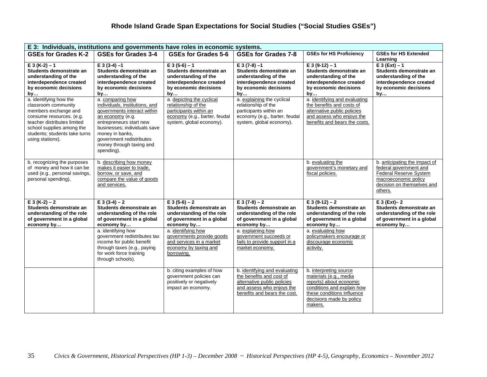| E 3: Individuals, institutions and governments have roles in economic systems.                                                                                                                                     |                                                                                                                                                                                                                                                           |                                                                                                                                         |                                                                                                                                                       |                                                                                                                                                                                |                                                                                                                                                    |
|--------------------------------------------------------------------------------------------------------------------------------------------------------------------------------------------------------------------|-----------------------------------------------------------------------------------------------------------------------------------------------------------------------------------------------------------------------------------------------------------|-----------------------------------------------------------------------------------------------------------------------------------------|-------------------------------------------------------------------------------------------------------------------------------------------------------|--------------------------------------------------------------------------------------------------------------------------------------------------------------------------------|----------------------------------------------------------------------------------------------------------------------------------------------------|
| <b>GSEs for Grades K-2</b>                                                                                                                                                                                         | <b>GSEs for Grades 3-4</b>                                                                                                                                                                                                                                | <b>GSEs for Grades 5-6</b>                                                                                                              | <b>GSEs for Grades 7-8</b>                                                                                                                            | <b>GSEs for HS Proficiency</b>                                                                                                                                                 | <b>GSEs for HS Extended</b><br>Learning                                                                                                            |
| $E 3 (K-2) - 1$<br>Students demonstrate an<br>understanding of the<br>interdependence created<br>by economic decisions<br>by                                                                                       | $E 3(3-4) - 1$<br>Students demonstrate an<br>understanding of the<br>interdependence created<br>by economic decisions<br>by                                                                                                                               | $E 3(5-6) - 1$<br>Students demonstrate an<br>understanding of the<br>interdependence created<br>by economic decisions<br>by             | $E 3(7-8) - 1$<br>Students demonstrate an<br>understanding of the<br>interdependence created<br>by economic decisions<br>by                           | $E 3(9-12) - 1$<br>Students demonstrate an<br>understanding of the<br>interdependence created<br>by economic decisions<br>by                                                   | $E 3(Ext) - 1$<br>Students demonstrate an<br>understanding of the<br>interdependence created<br>by economic decisions<br>by                        |
| a. identifying how the<br>classroom community<br>members exchange and<br>consume resources. (e.g.<br>teacher distributes limited<br>school supplies among the<br>students; students take turns<br>using stations). | a. comparing how<br>individuals, institutions, and<br>governments interact within<br>an economy (e.g.<br>entrepreneurs start new<br>businesses; individuals save<br>money in banks,<br>government redistributes<br>money through taxing and<br>spending). | a. depicting the cyclical<br>relationship of the<br>participants within an<br>economy (e.g., barter, feudal<br>system, global economy). | a. explaining the cyclical<br>relationship of the<br>participants within an<br>economy (e.g., barter, feudal<br>system, global economy).              | a. identifying and evaluating<br>the benefits and costs of<br>alternative public policies<br>and assess who enjoys the<br>benefits and bears the costs.                        |                                                                                                                                                    |
| b. recognizing the purposes<br>of money and how it can be<br>used (e.g., personal savings,<br>personal spending),                                                                                                  | b. describing how money<br>makes it easier to trade.<br>borrow, or save, and<br>compare the value of goods<br>and services.                                                                                                                               |                                                                                                                                         |                                                                                                                                                       | b. evaluating the<br>government's monetary and<br>fiscal policies.                                                                                                             | b. anticipating the impact of<br>federal government and<br>Federal Reserve System<br>macroeconomic policy<br>decision on themselves and<br>others. |
| $E 3 (K-2) - 2$<br>Students demonstrate an<br>understanding of the role<br>of government in a global<br>economy by                                                                                                 | $E 3(3-4) - 2$<br>Students demonstrate an<br>understanding of the role<br>of government in a global<br>economy by                                                                                                                                         | $E 3(5-6) - 2$<br>Students demonstrate an<br>understanding of the role<br>of government in a global<br>economy by                       | $E 3(7-8) - 2$<br>Students demonstrate an<br>understanding of the role<br>of government in a global<br>economy by                                     | $E 3(9-12) - 2$<br>Students demonstrate an<br>understanding of the role<br>of government in a global<br>economy by                                                             | $E 3 (Ext) - 2$<br>Students demonstrate an<br>understanding of the role<br>of government in a global<br>economy by                                 |
|                                                                                                                                                                                                                    | a. identifying how<br>government redistributes tax<br>income for public benefit<br>through taxes (e.g., paying<br>for work force training<br>through schools).                                                                                            | a. identifying how<br>governments provide goods<br>and services in a market<br>economy by taxing and<br>borrowing.                      | a. explaining how<br>government succeeds or<br>fails to provide support in a<br>market economy.                                                       | a. evaluating how<br>policymakers encourage or<br>discourage economic<br>activity.                                                                                             |                                                                                                                                                    |
|                                                                                                                                                                                                                    |                                                                                                                                                                                                                                                           | b. citing examples of how<br>government policies can<br>positively or negatively<br>impact an economy.                                  | b. identifying and evaluating<br>the benefits and cost of<br>alternative public policies<br>and assess who enjoys the<br>benefits and bears the cost. | b. interpreting source<br>materials (e.g., media<br>reports) about economic<br>conditions and explain how<br>these conditions influence<br>decisions made by policy<br>makers. |                                                                                                                                                    |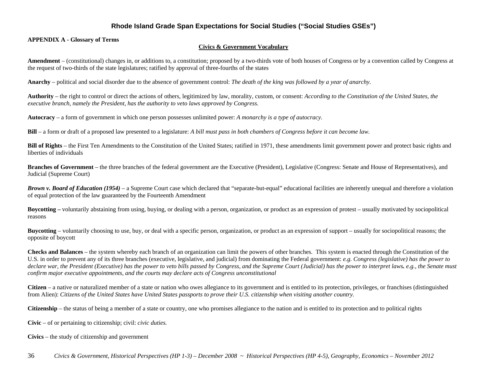#### **APPENDIX A - Glossary of Terms**

#### **Civics & Government Vocabulary**

**Amendment** – (constitutional) changes in, or additions to, a constitution; proposed by a two-thirds vote of both houses of Congress or by a convention called by Congress at the request of two-thirds of the state legislatures; ratified by approval of three-fourths of the states

**Anarchy** – political and social disorder due to the absence of government control: *The death of the king was followed by a year of anarchy.*

**Authority** – the right to control or direct the actions of others, legitimized by law, morality, custom, or consent: *According to the Constitution of the United States, the executive branch, namely the President, has the authority to veto laws approved by Congress.* 

**Autocracy** – a form of government in which one person possesses unlimited power: *A monarchy is a type of autocracy.* 

**Bill** – a form or draft of a proposed law presented to a legislature: *A bill must pass in both chambers of Congress before it can become law.* 

**Bill of Rights** – the First Ten Amendments to the Constitution of the United States; ratified in 1971, these amendments limit government power and protect basic rights and liberties of individuals

**Branches of Government** – the three branches of the federal government are the Executive (President), Legislative (Congress: Senate and House of Representatives), and Judicial (Supreme Court)

*Brown v. Board of Education (1954)* – a Supreme Court case which declared that "separate-but-equal" educational facilities are inherently unequal and therefore a violation of equal protection of the law guaranteed by the Fourteenth Amendment

**Boycotting –** voluntarily abstaining from using, buying, or dealing with a person, organization, or product as an expression of protest – usually motivated by sociopolitical reasons

**Buycotting** – voluntarily choosing to use, buy, or deal with a specific person, organization, or product as an expression of support – usually for sociopolitical reasons; the opposite of boycott

**Checks and Balances** – the system whereby each branch of an organization can limit the powers of other branches. This system is enacted through the Constitution of the U.S. in order to prevent any of its three branches (executive, legislative, and judicial) from dominating the Federal government: *e.g. Congress (legislative) has the power to declare war, the President (Executive) has the power to veto bills passed by Congress, and the Supreme Court (Judicial) has the power to interpret laws. e.g., the Senate must confirm major executive appointments, and the courts may declare acts of Congress unconstitutional*

**Citizen** – a native or naturalized member of a state or nation who owes allegiance to its government and is entitled to its protection, privileges, or franchises (distinguished from Alien): *Citizens of the United States have United States passports to prove their U.S. citizenship when visiting another country.* 

**Citizenship** – the status of being a member of a state or country, one who promises allegiance to the nation and is entitled to its protection and to political rights

**Civic** – of or pertaining to citizenship; civil: *civic duties.*

**Civics** – the study of citizenship and government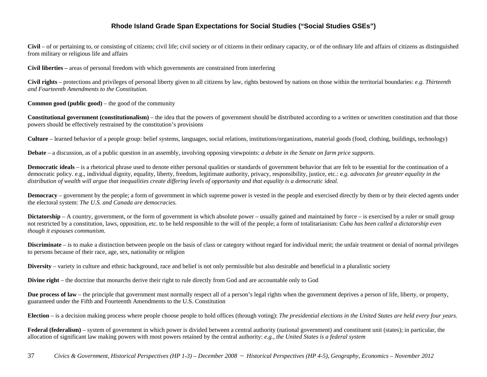**Civil** – of or pertaining to, or consisting of citizens; civil life; civil society or of citizens in their ordinary capacity, or of the ordinary life and affairs of citizens as distinguished from military or religious life and affairs

**Civil liberties –** areas of personal freedom with which governments are constrained from interfering

**Civil rights** – protections and privileges of personal liberty given to all citizens by law, rights bestowed by nations on those within the territorial boundaries: *e.g. Thirteenth and Fourteenth Amendments to the Constitution.*

**Common good (public good)** – the good of the community

**Constitutional government (constitutionalism)** – the idea that the powers of government should be distributed according to a written or unwritten constitution and that those powers should be effectively restrained by the constitution's provisions

**Culture** – learned behavior of a people group: belief systems, languages, social relations, institutions/organizations, material goods (food, clothing, buildings, technology)

**Debate** – a discussion, as of a public question in an assembly, involving opposing viewpoints: *a debate in the Senate on farm price supports.*

**Democratic ideals** – is a rhetorical phrase used to denote either personal qualities or standards of government behavior that are felt to be essential for the continuation of a democratic policy. e.g., individual dignity, equality, liberty, freedom, legitimate authority, privacy, responsibility, justice, etc.: e*.g. advocates for greater equality in the distribution of wealth will argue that inequalities create differing levels of opportunity and that equality is a democratic ideal.*

**Democracy** – government by the people; a form of government in which supreme power is vested in the people and exercised directly by them or by their elected agents under the electoral system: *The U.S. and Canada are democracies.*

**Dictatorship** – A country, government, or the form of government in which absolute power – usually gained and maintained by force – is exercised by a ruler or small group not restricted by a constitution, laws, opposition, etc. to be held responsible to the will of the people; a form of totalitarianism: *Cuba has been called a dictatorship even though it espouses communism.* 

**Discriminate** – is to make a distinction between people on the basis of class or category without regard for individual merit; the unfair treatment or denial of normal privileges to persons because of their race, age, sex, nationality or religion

**Diversity** – variety in culture and ethnic background, race and belief is not only permissible but also desirable and beneficial in a pluralistic society

**Divine right** – the doctrine that monarchs derive their right to rule directly from God and are accountable only to God

**Due process of law** – the principle that government must normally respect all of a person's legal rights when the government deprives a person of life, liberty, or property, guaranteed under the Fifth and Fourteenth Amendments to the U.S. Constitution

**Election** – is a decision making process where people choose people to hold offices (through voting): *The presidential elections in the United States are held every four years.* 

**Federal (federalism)** – system of government in which power is divided between a central authority (national government) and constituent unit (states); in particular, the allocation of significant law making powers with most powers retained by the central authority: *e.g., the United States is a federal system*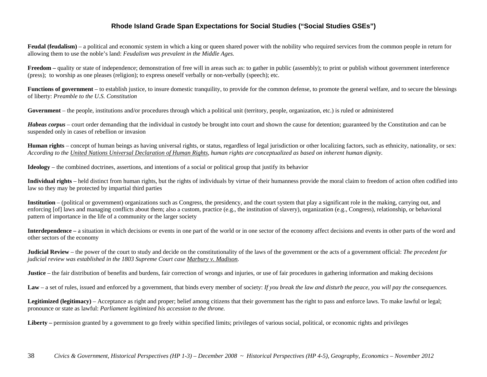**Feudal (feudalism)** – a political and economic system in which a king or queen shared power with the nobility who required services from the common people in return for allowing them to use the noble's land: *Feudalism was prevalent in the Middle Ages.* 

**Freedom** – quality or state of independence; demonstration of free will in areas such as: to gather in public (assembly); to print or publish without government interference (press); to worship as one pleases (religion); to express oneself verbally or non-verbally (speech); etc.

**Functions of government** – to establish justice, to insure domestic tranquility, to provide for the common defense, to promote the general welfare, and to secure the blessings of liberty: *Preamble to the U.S. Constitution*

**Government** – the people, institutions and/or procedures through which a political unit (territory, people, organization, etc.) is ruled or administered

*Habeas corpus* – court order demanding that the individual in custody be brought into court and shown the cause for detention; guaranteed by the Constitution and can be suspended only in cases of rebellion or invasion

**Human rights** – concept of human beings as having universal rights, or status, regardless of legal jurisdiction or other localizing factors, such as ethnicity, nationality, or sex: *According to the United Nations Universal Declaration of Human Rights, human rights are conceptualized as based on inherent human dignity.*

**Ideology** – the combined doctrines, assertions, and intentions of a social or political group that justify its behavior

**Individual rights** – held distinct from human rights, but the rights of individuals by virtue of their humanness provide the moral claim to freedom of action often codified into law so they may be protected by impartial third parties

**Institution** – (political or government) organizations such as Congress, the presidency, and the court system that play a significant role in the making, carrying out, and enforcing [of] laws and managing conflicts about them; also a custom, practice (e.g., the institution of slavery), organization (e.g., Congress), relationship, or behavioral pattern of importance in the life of a community or the larger society

**Interdependence –** a situation in which decisions or events in one part of the world or in one sector of the economy affect decisions and events in other parts of the word and other sectors of the economy

**Judicial Review** – the power of the court to study and decide on the constitutionality of the laws of the government or the acts of a government official: *The precedent for judicial review was established in the 1803 Supreme Court case Marbury v. Madison*.

**Justice** – the fair distribution of benefits and burdens, fair correction of wrongs and injuries, or use of fair procedures in gathering information and making decisions

Law – a set of rules, issued and enforced by a government, that binds every member of society: *If you break the law and disturb the peace, you will pay the consequences*.

**Legitimized (legitimacy)** – Acceptance as right and proper; belief among citizens that their government has the right to pass and enforce laws. To make lawful or legal; pronounce or state as lawful: *Parliament legitimized his accession to the throne.*

Liberty – permission granted by a government to go freely within specified limits; privileges of various social, political, or economic rights and privileges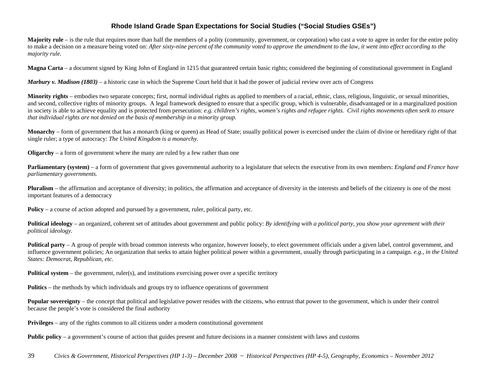**Majority** rule – is the rule that requires more than half the members of a polity (community, government, or corporation) who cast a vote to agree in order for the entire polity to make a decision on a measure being voted on: *After sixty-nine percent of the community voted to approve the amendment to the law, it went into effect according to the majority rule.* 

**Magna Carta** – a document signed by King John of England in 1215 that guaranteed certain basic rights; considered the beginning of constitutional government in England

*Marbury v. Madison (1803)* – a historic case in which the Supreme Court held that it had the power of judicial review over acts of Congress

**Minority rights** – embodies two separate concepts; first, normal individual rights as applied to members of a racial, ethnic, class, religious, linguistic, or sexual minorities, and second, collective rights of minority groups. A legal framework designed to ensure that a specific group, which is vulnerable, disadvantaged or in a marginalized position in society is able to achieve equality and is protected from persecution: *e.g. children's rights, women's rights and refugee rights. Civil rights movements often seek to ensure that individual rights are not denied on the basis of membership in a minority group.*

**Monarchy** – form of government that has a monarch (king or queen) as Head of State; usually political power is exercised under the claim of divine or hereditary right of that single ruler; a type of autocracy: *The United Kingdom is a monarchy.* 

**Oligarchy** – a form of government where the many are ruled by a few rather than one

**Parliamentary** (system) – a form of government that gives governmental authority to a legislature that selects the executive from its own members: *England and France have parliamentary governments.* 

**Pluralism** – the affirmation and acceptance of diversity; in politics, the affirmation and acceptance of diversity in the interests and beliefs of the citizenry is one of the most important features of a democracy

**Policy** – a course of action adopted and pursued by a government, ruler, political party, etc.

**Political ideology** – an organized, coherent set of attitudes about government and public policy: *By identifying with a political party, you show your agreement with their political ideology.*

**Political party** – A group of people with broad common interests who organize, however loosely, to elect government officials under a given label, control government, and influence government policies; An organization that seeks to attain higher political power within a government, usually through participating in a campaign. *e.g., in the United States: Democrat, Republican, etc.* 

**Political system** – the government, ruler(s), and institutions exercising power over a specific territory

**Politics** – the methods by which individuals and groups try to influence operations of government

**Popular sovereignty** – the concept that political and legislative power resides with the citizens, who entrust that power to the government, which is under their control because the people's vote is considered the final authority

**Privileges** – any of the rights common to all citizens under a modern constitutional government

**Public policy** – a government's course of action that guides present and future decisions in a manner consistent with laws and customs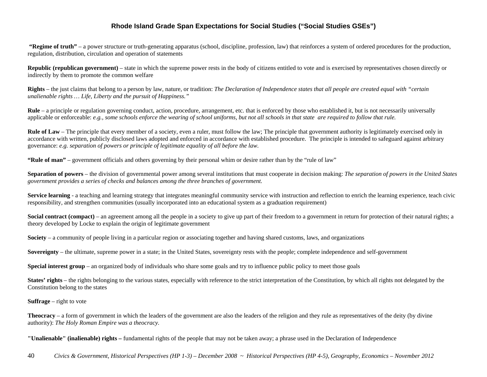**"Regime of truth"** – a power structure or truth-generating apparatus (school, discipline, profession, law) that reinforces a system of ordered procedures for the production, regulation, distribution, circulation and operation of statements

**Republic (republican government)** – state in which the supreme power rests in the body of citizens entitled to vote and is exercised by representatives chosen directly or indirectly by them to promote the common welfare

**Rights** – the just claims that belong to a person by law, nature, or tradition: *The Declaration of Independence states that all people are created equal with "certain unalienable rights … Life, Liberty and the pursuit of Happiness."* 

**Rule** – a principle or regulation governing conduct, action, procedure, arrangement, etc. that is enforced by those who established it, but is not necessarily universally applicable or enforceable: *e.g., some schools enforce the wearing of school uniforms, but not all schools in that state are required to follow that rule.*

**Rule of Law** – The principle that every member of a society, even a ruler, must follow the law; The principle that government authority is legitimately exercised only in accordance with written, publicly disclosed laws adopted and enforced in accordance with established procedure. The principle is intended to safeguard against arbitrary governance: *e.g. separation of powers or principle of legitimate equality of all before the law.*

**"Rule of man"** – government officials and others governing by their personal whim or desire rather than by the "rule of law"

**Separation of powers** – the division of governmental power among several institutions that must cooperate in decision making: *The separation of powers in the United States government provides a series of checks and balances among the three branches of government.* 

**Service learning** - a teaching and learning strategy that integrates meaningful community service with instruction and reflection to enrich the learning experience, teach civic responsibility, and strengthen communities (usually incorporated into an educational system as a graduation requirement)

**Social contract (compact)** – an agreement among all the people in a society to give up part of their freedom to a government in return for protection of their natural rights; a theory developed by Locke to explain the origin of legitimate government

**Society** – a community of people living in a particular region or associating together and having shared customs, laws, and organizations

**Sovereignty** – the ultimate, supreme power in a state; in the United States, sovereignty rests with the people; complete independence and self-government

**Special interest group** – an organized body of individuals who share some goals and try to influence public policy to meet those goals

States' rights – the rights belonging to the various states, especially with reference to the strict interpretation of the Constitution, by which all rights not delegated by the Constitution belong to the states

#### **Suffrage** – right to vote

**Theocracy** – a form of government in which the leaders of the government are also the leaders of the religion and they rule as representatives of the deity (by divine authority): *The Holy Roman Empire was a theocracy.* 

**"Unalienable" (inalienable) rights –** fundamental rights of the people that may not be taken away; a phrase used in the Declaration of Independence

40 *Civics & Government, Historical Perspectives (HP 1-3) – December 2008 ~ Historical Perspectives (HP 4-5), Geography, Economics – November 2012*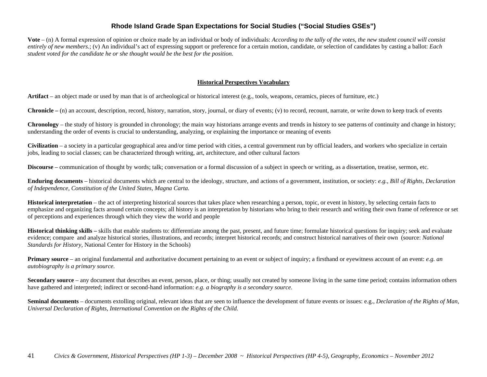**Vote** – (n) A formal expression of opinion or choice made by an individual or body of individuals: *According to the tally of the votes, the new student council will consist entirely of new members.*; (v) An individual's act of expressing support or preference for a certain motion, candidate, or selection of candidates by casting a ballot: *Each student voted for the candidate he or she thought would be the best for the position.*

#### **Historical Perspectives Vocabulary**

**Artifact** – an object made or used by man that is of archeological or historical interest (e.g., tools, weapons, ceramics, pieces of furniture, etc.)

**Chronicle –** (n) an account, description, record, history, narration, story, journal, or diary of events; (v) to record, recount, narrate, or write down to keep track of events

**Chronology** – the study of history is grounded in chronology; the main way historians arrange events and trends in history to see patterns of continuity and change in history; understanding the order of events is crucial to understanding, analyzing, or explaining the importance or meaning of events

**Civilization** – a society in a particular geographical area and/or time period with cities, a central government run by official leaders, and workers who specialize in certain jobs, leading to social classes; can be characterized through writing, art, architecture, and other cultural factors

**Discourse** – communication of thought by words; talk; conversation or a formal discussion of a subject in speech or writing, as a dissertation, treatise, sermon, etc.

**Enduring documents** – historical documents which are central to the ideology, structure, and actions of a government, institution, or society: *e.g., Bill of Rights, Declaration of Independence, Constitution of the United States, Magna Carta.*

**Historical interpretation** – the act of interpreting historical sources that takes place when researching a person, topic, or event in history, by selecting certain facts to emphasize and organizing facts around certain concepts; all history is an interpretation by historians who bring to their research and writing their own frame of reference or set of perceptions and experiences through which they view the world and people

**Historical thinking skills –** skills that enable students to: differentiate among the past, present, and future time; formulate historical questions for inquiry; seek and evaluate evidence; compare and analyze historical stories, illustrations, and records; interpret historical records; and construct historical narratives of their own (source: *National Standards for History,* National Center for History in the Schools)

**Primary source** – an original fundamental and authoritative document pertaining to an event or subject of inquiry; a firsthand or eyewitness account of an event: *e.g. an autobiography is a primary source.*

**Secondary source** – any document that describes an event, person, place, or thing; usually not created by someone living in the same time period; contains information others have gathered and interpreted; indirect or second-hand information: *e.g. a biography is a secondary source.*

**Seminal documents** – documents extolling original, relevant ideas that are seen to influence the development of future events or issues: e.g., *Declaration of the Rights of Man, Universal Declaration of Rights, International Convention on the Rights of the Child.*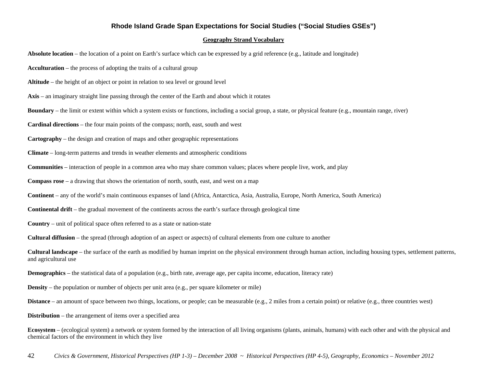#### **Geography Strand Vocabulary**

**Absolute location** – the location of a point on Earth's surface which can be expressed by a grid reference (e.g., latitude and longitude)

**Acculturation** – the process of adopting the traits of a cultural group

**Altitude** – the height of an object or point in relation to sea level or ground level

**Axis** – an imaginary straight line passing through the center of the Earth and about which it rotates

**Boundary** – the limit or extent within which a system exists or functions, including a social group, a state, or physical feature (e.g., mountain range, river)

**Cardinal directions** – the four main points of the compass; north, east, south and west

**Cartography** – the design and creation of maps and other geographic representations

**Climate** – long-term patterns and trends in weather elements and atmospheric conditions

**Communities** – interaction of people in a common area who may share common values; places where people live, work, and play

**Compass rose** – a drawing that shows the orientation of north, south, east, and west on a map

**Continent** – any of the world's main continuous expanses of land (Africa, Antarctica, Asia, Australia, Europe, North America, South America)

**Continental drift** – the gradual movement of the continents across the earth's surface through geological time

**Country** – unit of political space often referred to as a state or nation-state

**Cultural diffusion** – the spread (through adoption of an aspect or aspects) of cultural elements from one culture to another

**Cultural landscape** – the surface of the earth as modified by human imprint on the physical environment through human action, including housing types, settlement patterns, and agricultural use

**Demographics** – the statistical data of a population (e.g., birth rate, average age, per capita income, education, literacy rate)

**Density** – the population or number of objects per unit area (e.g., per square kilometer or mile)

**Distance** – an amount of space between two things, locations, or people; can be measurable (e.g., 2 miles from a certain point) or relative (e.g., three countries west)

**Distribution** – the arrangement of items over a specified area

**Ecosystem** – (ecological system) a network or system formed by the interaction of all living organisms (plants, animals, humans) with each other and with the physical and chemical factors of the environment in which they live

42 *Civics & Government, Historical Perspectives (HP 1-3) – December 2008 ~ Historical Perspectives (HP 4-5), Geography, Economics – November 2012*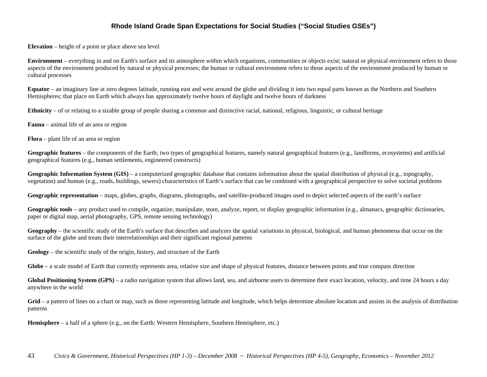**Elevation** – height of a point or place above sea level

**Environment** – everything in and on Earth's surface and its atmosphere within which organisms, communities or objects exist; natural or physical environment refers to those aspects of the environment produced by natural or physical processes; the human or cultural environment refers to those aspects of the environment produced by human or cultural processes

**Equator** – an imaginary line at zero degrees latitude, running east and west around the globe and dividing it into two equal parts known as the Northern and Southern Hemispheres; that place on Earth which always has approximately twelve hours of daylight and twelve hours of darkness

**Ethnicity** – of or relating to a sizable group of people sharing a common and distinctive racial, national, religious, linguistic, or cultural heritage

**Fauna** – animal life of an area or region

**Flora** – plant life of an area or region

**Geographic features** – the components of the Earth; two types of geographical features, namely natural geographical features (e.g., landforms, ecosystems) and artificial geographical features (e.g., human settlements, engineered constructs)

**Geographic Information System (GIS)** – a computerized geographic database that contains information about the spatial distribution of physical (e.g., topography, vegetation) and human (e.g., roads, buildings, sewers) characteristics of Earth's surface that can be combined with a geographical perspective to solve societal problems

**Geographic representation** – maps, globes, graphs, diagrams, photographs, and satellite-produced images used to depict selected aspects of the earth's surface

**Geographic tools** – any product used to compile, organize, manipulate, store, analyze, report, or display geographic information (e.g., almanacs, geographic dictionaries, paper or digital map, aerial photography, GPS, remote sensing technology)

**Geography** – the scientific study of the Earth's surface that describes and analyzes the spatial variations in physical, biological, and human phenomena that occur on the surface of the globe and treats their interrelationships and their significant regional patterns

**Geology** – the scientific study of the origin, history, and structure of the Earth

Globe – a scale model of Earth that correctly represents area, relative size and shape of physical features, distance between points and true compass direction

Global Positioning System (GPS) – a radio navigation system that allows land, sea, and airborne users to determine their exact location, velocity, and time 24 hours a day anywhere in the world

Grid – a pattern of lines on a chart or map, such as those representing latitude and longitude, which helps determine absolute location and assists in the analysis of distribution patterns

**Hemisphere** – a half of a sphere (e.g., on the Earth: Western Hemisphere, Southern Hemisphere, etc.)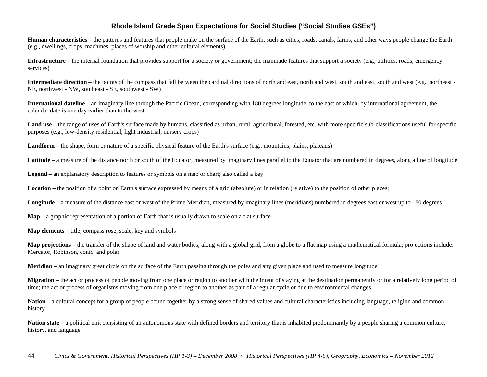**Human characteristics** – the patterns and features that people make on the surface of the Earth, such as cities, roads, canals, farms, and other ways people change the Earth (e.g., dwellings, crops, machines, places of worship and other cultural elements)

**Infrastructure** – the internal foundation that provides support for a society or government; the manmade features that support a society (e.g., utilities, roads, emergency services)

**Intermediate direction** – the points of the compass that fall between the cardinal directions of north and east, north and west, south and east, south and west (e.g., northeast -NE, northwest - NW, southeast - SE, southwest - SW)

**International dateline** – an imaginary line through the Pacific Ocean, corresponding with 180 degrees longitude, to the east of which, by international agreement, the calendar date is one day earlier than to the west

Land use – the range of uses of Earth's surface made by humans, classified as urban, rural, agricultural, forested, etc. with more specific sub-classifications useful for specific purposes (e.g., low-density residential, light industrial, nursery crops)

**Landform** – the shape, form or nature of a specific physical feature of the Earth's surface (e.g., mountains, plains, plateaus)

Latitude – a measure of the distance north or south of the Equator, measured by imaginary lines parallel to the Equator that are numbered in degrees, along a line of longitude

**Legend** – an explanatory description to features or symbols on a map or chart; also called a key

**Location** – the position of a point on Earth's surface expressed by means of a grid (absolute) or in relation (relative) to the position of other places;

Longitude – a measure of the distance east or west of the Prime Meridian, measured by imaginary lines (meridians) numbered in degrees east or west up to 180 degrees

**Map** – a graphic representation of a portion of Earth that is usually drawn to scale on a flat surface

**Map elements** – title, compass rose, scale, key and symbols

**Map projections** – the transfer of the shape of land and water bodies, along with a global grid, from a globe to a flat map using a mathematical formula; projections include: Mercator, Robinson, conic, and polar

**Meridian** – an imaginary great circle on the surface of the Earth passing through the poles and any given place and used to measure longitude

**Migration** – the act or process of people moving from one place or region to another with the intent of staying at the destination permanently or for a relatively long period of time; the act or process of organisms moving from one place or region to another as part of a regular cycle or due to environmental changes

Nation – a cultural concept for a group of people bound together by a strong sense of shared values and cultural characteristics including language, religion and common history

Nation state – a political unit consisting of an autonomous state with defined borders and territory that is inhabited predominantly by a people sharing a common culture, history, and language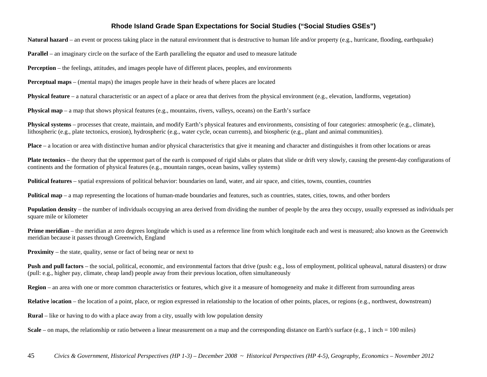**Natural hazard** – an event or process taking place in the natural environment that is destructive to human life and/or property (e.g., hurricane, flooding, earthquake)

**Parallel** – an imaginary circle on the surface of the Earth paralleling the equator and used to measure latitude

**Perception** – the feelings, attitudes, and images people have of different places, peoples, and environments

**Perceptual maps** – (mental maps) the images people have in their heads of where places are located

**Physical feature** – a natural characteristic or an aspect of a place or area that derives from the physical environment (e.g., elevation, landforms, vegetation)

**Physical map** – a map that shows physical features (e.g., mountains, rivers, valleys, oceans) on the Earth's surface

**Physical systems** – processes that create, maintain, and modify Earth's physical features and environments, consisting of four categories: atmospheric (e.g., climate), lithospheric (e.g., plate tectonics, erosion), hydrospheric (e.g., water cycle, ocean currents), and biospheric (e.g., plant and animal communities).

**Place** – a location or area with distinctive human and/or physical characteristics that give it meaning and character and distinguishes it from other locations or areas

**Plate tectonics** – the theory that the uppermost part of the earth is composed of rigid slabs or plates that slide or drift very slowly, causing the present-day configurations of continents and the formation of physical features (e.g., mountain ranges, ocean basins, valley systems)

**Political features** – spatial expressions of political behavior: boundaries on land, water, and air space, and cities, towns, counties, countries

**Political map** – a map representing the locations of human-made boundaries and features, such as countries, states, cities, towns, and other borders

**Population density** – the number of individuals occupying an area derived from dividing the number of people by the area they occupy, usually expressed as individuals per square mile or kilometer

**Prime meridian** – the meridian at zero degrees longitude which is used as a reference line from which longitude each and west is measured; also known as the Greenwich meridian because it passes through Greenwich, England

**Proximity** – the state, quality, sense or fact of being near or next to

**Push and pull factors** – the social, political, economic, and environmental factors that drive (push: e.g., loss of employment, political upheaval, natural disasters) or draw (pull: e.g., higher pay, climate, cheap land) people away from their previous location, often simultaneously

**Region** – an area with one or more common characteristics or features, which give it a measure of homogeneity and make it different from surrounding areas

**Relative** location – the location of a point, place, or region expressed in relationship to the location of other points, places, or regions (e.g., northwest, downstream)

**Rural** – like or having to do with a place away from a city, usually with low population density

**Scale** – on maps, the relationship or ratio between a linear measurement on a map and the corresponding distance on Earth's surface (e.g., 1 inch = 100 miles)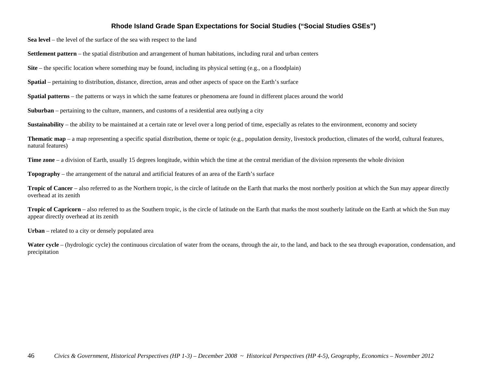**Sea level** – the level of the surface of the sea with respect to the land

**Settlement pattern** – the spatial distribution and arrangement of human habitations, including rural and urban centers

**Site** – the specific location where something may be found, including its physical setting (e.g., on a floodplain)

**Spatial** – pertaining to distribution, distance, direction, areas and other aspects of space on the Earth's surface

**Spatial patterns** – the patterns or ways in which the same features or phenomena are found in different places around the world

**Suburban** – pertaining to the culture, manners, and customs of a residential area outlying a city

**Sustainability** – the ability to be maintained at a certain rate or level over a long period of time, especially as relates to the environment, economy and society

**Thematic map** – a map representing a specific spatial distribution, theme or topic (e.g., population density, livestock production, climates of the world, cultural features, natural features)

**Time zone** – a division of Earth, usually 15 degrees longitude, within which the time at the central meridian of the division represents the whole division

**Topography** – the arrangement of the natural and artificial features of an area of the Earth's surface

**Tropic of Cancer** – also referred to as the Northern tropic, is the circle of latitude on the Earth that marks the most northerly position at which the Sun may appear directly overhead at its zenith

**Tropic of Capricorn** – also referred to as the Southern tropic, is the circle of latitude on the Earth that marks the most southerly latitude on the Earth at which the Sun may appear directly overhead at its zenith

**Urban** – related to a city or densely populated area

Water cycle – (hydrologic cycle) the continuous circulation of water from the oceans, through the air, to the land, and back to the sea through evaporation, condensation, and precipitation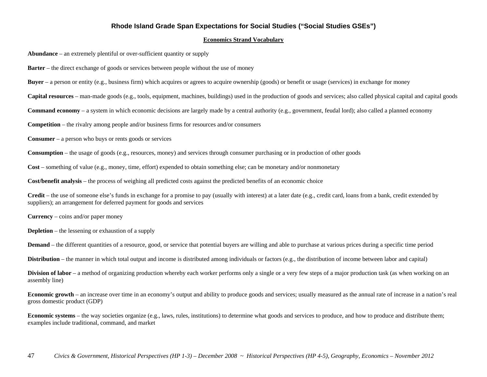#### **Economics Strand Vocabulary**

**Abundance** – an extremely plentiful or over-sufficient quantity or supply

**Barter** – the direct exchange of goods or services between people without the use of money

**Buyer** – a person or entity (e.g., business firm) which acquires or agrees to acquire ownership (goods) or benefit or usage (services) in exchange for money

**Capital resources** – man-made goods (e.g., tools, equipment, machines, buildings) used in the production of goods and services; also called physical capital and capital goods

**Command economy** – a system in which economic decisions are largely made by a central authority (e.g., government, feudal lord); also called a planned economy

**Competition** – the rivalry among people and/or business firms for resources and/or consumers

**Consumer** – a person who buys or rents goods or services

**Consumption** – the usage of goods (e.g., resources, money) and services through consumer purchasing or in production of other goods

**Cost** – something of value (e.g., money, time, effort) expended to obtain something else; can be monetary and/or nonmonetary

**Cost/benefit analysis** – the process of weighing all predicted costs against the predicted benefits of an economic choice

**Credit** – the use of someone else's funds in exchange for a promise to pay (usually with interest) at a later date (e.g., credit card, loans from a bank, credit extended by suppliers); an arrangement for deferred payment for goods and services

**Currency** – coins and/or paper money

**Depletion** – the lessening or exhaustion of a supply

**Demand** – the different quantities of a resource, good, or service that potential buyers are willing and able to purchase at various prices during a specific time period

**Distribution** – the manner in which total output and income is distributed among individuals or factors (e.g., the distribution of income between labor and capital)

**Division of labor** – a method of organizing production whereby each worker performs only a single or a very few steps of a major production task (as when working on an assembly line)

**Economic growth** – an increase over time in an economy's output and ability to produce goods and services; usually measured as the annual rate of increase in a nation's real gross domestic product (GDP)

**Economic systems** – the way societies organize (e.g., laws, rules, institutions) to determine what goods and services to produce, and how to produce and distribute them; examples include traditional, command, and market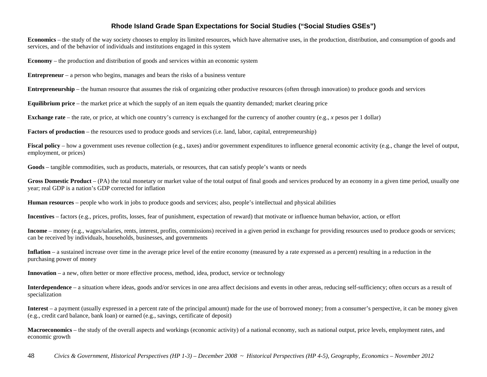**Economics** – the study of the way society chooses to employ its limited resources, which have alternative uses, in the production, distribution, and consumption of goods and services, and of the behavior of individuals and institutions engaged in this system

**Economy** – the production and distribution of goods and services within an economic system

**Entrepreneur** – a person who begins, manages and bears the risks of a business venture

**Entrepreneurship** – the human resource that assumes the risk of organizing other productive resources (often through innovation) to produce goods and services

**Equilibrium price** – the market price at which the supply of an item equals the quantity demanded; market clearing price

**Exchange rate** – the rate, or price, at which one country's currency is exchanged for the currency of another country (e.g., *x* pesos per 1 dollar)

**Factors of production** – the resources used to produce goods and services (i.e. land, labor, capital, entrepreneurship)

**Fiscal policy** – how a government uses revenue collection (e.g., taxes) and/or government expenditures to influence general economic activity (e.g., change the level of output, employment, or prices)

**Goods** – tangible commodities, such as products, materials, or resources, that can satisfy people's wants or needs

**Gross Domestic Product** – (PA) the total monetary or market value of the total output of final goods and services produced by an economy in a given time period, usually one year; real GDP is a nation's GDP corrected for inflation

**Human resources** – people who work in jobs to produce goods and services; also, people's intellectual and physical abilities

**Incentives** – factors (e.g., prices, profits, losses, fear of punishment, expectation of reward) that motivate or influence human behavior, action, or effort

**Income** – money (e.g., wages/salaries, rents, interest, profits, commissions) received in a given period in exchange for providing resources used to produce goods or services; can be received by individuals, households, businesses, and governments

**Inflation** – a sustained increase over time in the average price level of the entire economy (measured by a rate expressed as a percent) resulting in a reduction in the purchasing power of money

**Innovation** – a new, often better or more effective process, method, idea, product, service or technology

**Interdependence** – a situation where ideas, goods and/or services in one area affect decisions and events in other areas, reducing self-sufficiency; often occurs as a result of specialization

**Interest** – a payment (usually expressed in a percent rate of the principal amount) made for the use of borrowed money; from a consumer's perspective, it can be money given (e.g., credit card balance, bank loan) or earned (e.g., savings, certificate of deposit)

**Macroeconomics** – the study of the overall aspects and workings (economic activity) of a national economy, such as national output, price levels, employment rates, and economic growth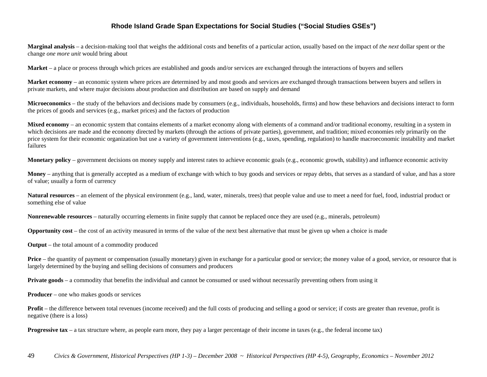**Marginal analysis** – a decision-making tool that weighs the additional costs and benefits of a particular action, usually based on the impact of *the next* dollar spent or the change *one more unit* would bring about

**Market** – a place or process through which prices are established and goods and/or services are exchanged through the interactions of buyers and sellers

**Market economy** – an economic system where prices are determined by and most goods and services are exchanged through transactions between buyers and sellers in private markets, and where major decisions about production and distribution are based on supply and demand

**Microeconomics** – the study of the behaviors and decisions made by consumers (e.g., individuals, households, firms) and how these behaviors and decisions interact to form the prices of goods and services (e.g., market prices) and the factors of production

**Mixed economy** – an economic system that contains elements of a market economy along with elements of a command and/or traditional economy, resulting in a system in which decisions are made and the economy directed by markets (through the actions of private parties), government, and tradition; mixed economies rely primarily on the price system for their economic organization but use a variety of government interventions (e.g., taxes, spending, regulation) to handle macroeconomic instability and market failures

**Monetary policy** – government decisions on money supply and interest rates to achieve economic goals (e.g., economic growth, stability) and influence economic activity

**Money** – anything that is generally accepted as a medium of exchange with which to buy goods and services or repay debts, that serves as a standard of value, and has a store of value; usually a form of currency

**Natural resources** – an element of the physical environment (e.g., land, water, minerals, trees) that people value and use to meet a need for fuel, food, industrial product or something else of value

**Nonrenewable resources** – naturally occurring elements in finite supply that cannot be replaced once they are used (e.g., minerals, petroleum)

**Opportunity cost** – the cost of an activity measured in terms of the value of the next best alternative that must be given up when a choice is made

**Output** – the total amount of a commodity produced

**Price** – the quantity of payment or compensation (usually monetary) given in exchange for a particular good or service; the money value of a good, service, or resource that is largely determined by the buying and selling decisions of consumers and producers

**Private goods** – a commodity that benefits the individual and cannot be consumed or used without necessarily preventing others from using it

**Producer** – one who makes goods or services

**Profit** – the difference between total revenues (income received) and the full costs of producing and selling a good or service; if costs are greater than revenue, profit is negative (there is a loss)

**Progressive tax** – a tax structure where, as people earn more, they pay a larger percentage of their income in taxes (e.g., the federal income tax)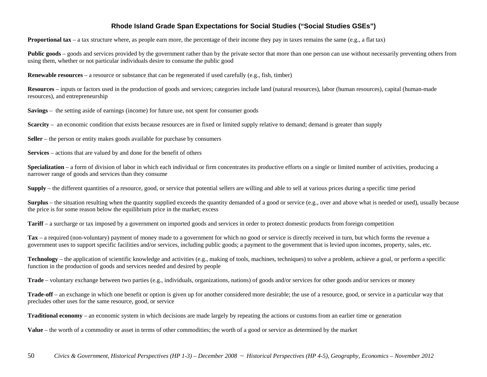**Proportional tax** – a tax structure where, as people earn more, the percentage of their income they pay in taxes remains the same (e.g., a flat tax)

**Public goods** – goods and services provided by the government rather than by the private sector that more than one person can use without necessarily preventing others from using them, whether or not particular individuals desire to consume the public good

**Renewable resources** – a resource or substance that can be regenerated if used carefully (e.g., fish, timber)

**Resources** – inputs or factors used in the production of goods and services; categories include land (natural resources), labor (human resources), capital (human-made resources), and entrepreneurship

**Savings** – the setting aside of earnings (income) for future use, not spent for consumer goods

**Scarcity** – an economic condition that exists because resources are in fixed or limited supply relative to demand; demand is greater than supply

**Seller** – the person or entity makes goods available for purchase by consumers

**Services** – actions that are valued by and done for the benefit of others

**Specialization** – a form of division of labor in which each individual or firm concentrates its productive efforts on a single or limited number of activities, producing a narrower range of goods and services than they consume

**Supply** – the different quantities of a resource, good, or service that potential sellers are willing and able to sell at various prices during a specific time period

**Surplus** – the situation resulting when the quantity supplied exceeds the quantity demanded of a good or service (e.g., over and above what is needed or used), usually because the price is for some reason below the equilibrium price in the market; excess

**Tariff** – a surcharge or tax imposed by a government on imported goods and services in order to protect domestic products from foreign competition

**Tax** – a required (non-voluntary) payment of money made to a government for which no good or service is directly received in turn, but which forms the revenue a government uses to support specific facilities and/or services, including public goods; a payment to the government that is levied upon incomes, property, sales, etc.

**Technology** – the application of scientific knowledge and activities (e.g., making of tools, machines, techniques) to solve a problem, achieve a goal, or perform a specific function in the production of goods and services needed and desired by people

**Trade** – voluntary exchange between two parties (e.g., individuals, organizations, nations) of goods and/or services for other goods and/or services or money

**Trade-off** – an exchange in which one benefit or option is given up for another considered more desirable; the use of a resource, good, or service in a particular way that precludes other uses for the same resource, good, or service

**Traditional economy** – an economic system in which decisions are made largely by repeating the actions or customs from an earlier time or generation

**Value** – the worth of a commodity or asset in terms of other commodities; the worth of a good or service as determined by the market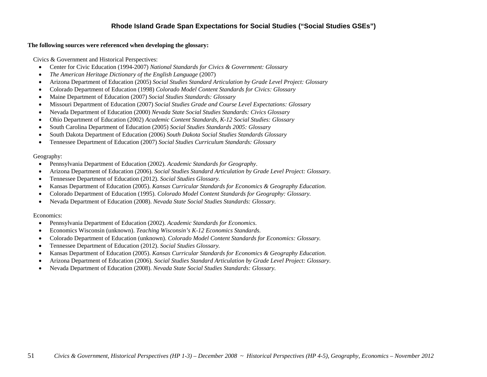#### **The following sources were referenced when developing the glossary:**

Civics & Government and Historical Perspectives:

- $\bullet$ Center for Civic Education (1994-2007) *National Standards for Civics & Government: Glossary*
- $\bullet$ *The American Heritage Dictionary of the English Language* (2007)
- $\bullet$ Arizona Department of Education (2005) *Social Studies Standard Articulation by Grade Level Project: Glossary*
- $\bullet$ Colorado Department of Education (1998) *Colorado Model Content Standards for Civics: Glossary*
- $\bullet$ Maine Department of Education (2007) *Social Studies Standards: Glossary*
- $\bullet$ Missouri Department of Education (2007) *Social Studies Grade and Course Level Expectations: Glossary*
- $\bullet$ Nevada Department of Education (2000) *Nevada State Social Studies Standards: Civics Glossary*
- $\bullet$ Ohio Department of Education (2002) *Academic Content Standards, K-12 Social Studies: Glossary*
- $\bullet$ South Carolina Department of Education (2005) *Social Studies Standards 2005: Glossary*
- $\bullet$ South Dakota Department of Education (2006) *South Dakota Social Studies Standards Glossary*
- e Tennessee Department of Education (2007) *Social Studies Curriculum Standards: Glossary*

#### Geography:

- $\bullet$ Pennsylvania Department of Education (2002). *Academic Standards for Geography*.
- $\bullet$ Arizona Department of Education (2006). *Social Studies Standard Articulation by Grade Level Project: Glossary*.
- $\bullet$ Tennessee Department of Education (2012). *Social Studies Glossary.*
- $\bullet$ Kansas Department of Education (2005). *Kansas Curricular Standards for Economics & Geography Education.*
- $\bullet$ Colorado Department of Education (1995). *Colorado Model Content Standards for Geography: Glossary.*
- $\bullet$ Nevada Department of Education (2008). *Nevada State Social Studies Standards: Glossary.*

#### Economics:

- $\bullet$ Pennsylvania Department of Education (2002). *Academic Standards for Economics*.
- $\bullet$ Economics Wisconsin (unknown). *Teaching Wisconsin's K-12 Economics Standards*.
- $\bullet$ Colorado Department of Education (unknown). *Colorado Model Content Standards for Economics: Glossary.*
- $\bullet$ Tennessee Department of Education (2012). *Social Studies Glossary.*
- $\bullet$ Kansas Department of Education (2005). *Kansas Curricular Standards for Economics & Geography Education.*
- $\bullet$ Arizona Department of Education (2006). *Social Studies Standard Articulation by Grade Level Project: Glossary*.
- $\bullet$ Nevada Department of Education (2008). *Nevada State Social Studies Standards: Glossary.*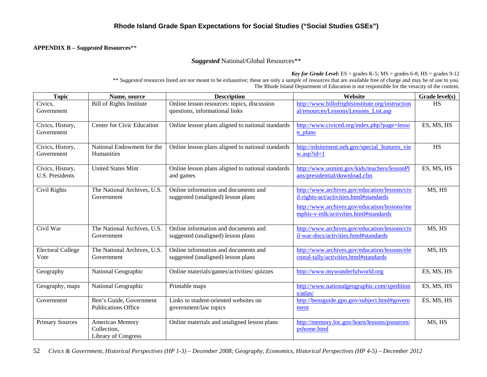#### **APPENDIX B –** *Suggested* **Resources**\*\*

#### *Suggested* National/Global Resources\*\*

*Key for Grade Level:*  $ES =$  grades  $K-5$ ;  $MS =$  grades  $6-8$ ;  $HS =$  grades  $9-12$ 

\*\* *Suggested* resources listed are *not* meant to be exhaustive; these are only a *sample* of resources that are available free of charge and may be of use to you. The Rhode Island Department of Education is *not* responsible for the veracity of the content.

| <b>Topic</b>                               | Name, source                                                        | <b>Description</b>                                                            | Website                                                                                                                                                                           | Grade level(s) |
|--------------------------------------------|---------------------------------------------------------------------|-------------------------------------------------------------------------------|-----------------------------------------------------------------------------------------------------------------------------------------------------------------------------------|----------------|
| Civics,<br>Government                      | <b>Bill of Rights Institute</b>                                     | Online lesson resources: topics, discussion<br>questions, informational links | http://www.billofrightsinstitute.org/instruction<br>al/resources/Lessons/Lessons List.asp                                                                                         | HS             |
| Civics, History,<br>Government             | Center for Civic Education                                          | Online lesson plans aligned to national standards                             | http://www.civiced.org/index.php?page=lesso<br>n plans                                                                                                                            | ES, MS, HS     |
| Civics, History,<br>Government             | National Endowment for the<br>Humanities                            | Online lesson plans aligned to national standards                             | http://edsitement.neh.gov/special features vie<br>$w.$ asp?id=1                                                                                                                   | HS             |
| Civics, History,<br><b>U.S. Presidents</b> | <b>United States Mint</b>                                           | Online lesson plans aligned to national standards<br>and games                | http://www.usmint.gov/kids/teachers/lessonPl<br>ans/presidential/download.cfm                                                                                                     | ES, MS, HS     |
| Civil Rights                               | The National Archives, U.S.<br>Government                           | Online information and documents and<br>suggested (unaligned) lesson plans    | http://www.archives.gov/education/lessons/civ<br>il-rights-act/activities.html#standards<br>http://www.archives.gov/education/lessons/me<br>mphis-v-mlk/activities.html#standards | MS, HS         |
| Civil War                                  | The National Archives, U.S.<br>Government                           | Online information and documents and<br>suggested (unaligned) lesson plans    | http://www.archives.gov/education/lessons/civ<br>il-war-docs/activities.html#standards                                                                                            | MS, HS         |
| <b>Electoral College</b><br>Vote           | The National Archives, U.S.<br>Government                           | Online information and documents and<br>suggested (unaligned) lesson plans    | http://www.archives.gov/education/lessons/ele<br>ctoral-tally/activities.html#standards                                                                                           | MS, HS         |
| Geography                                  | National Geographic                                                 | Online materials/games/activities/ quizzes                                    | http://www.mywonderfulworld.org                                                                                                                                                   | ES, MS, HS     |
| Geography, maps                            | National Geographic                                                 | Printable maps                                                                | http://www.nationalgeographic.com/xpedition<br>s/atlas/                                                                                                                           | ES, MS, HS     |
| Government                                 | Ben's Guide, Government<br><b>Publications Office</b>               | Links to student-oriented websites on<br>government/law topics                | http://bensguide.gpo.gov/subject.html#govern<br>ment                                                                                                                              | ES, MS, HS     |
| <b>Primary Sources</b>                     | <b>American Memory</b><br>Collection,<br><b>Library of Congress</b> | Online materials and unaligned lesson plans                                   | http://memory.loc.gov/learn/lessons/psources/<br>pshome.html                                                                                                                      | MS, HS         |

52 *Civics & Government, Historical Perspectives (HP 1-3) – December 2008; Geography, Economics, Historical Perspectives (HP 4-5) – December 2012*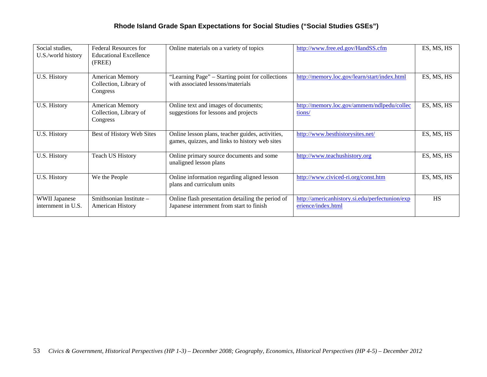| Social studies,<br>U.S./world history      | Federal Resources for<br><b>Educational Excellence</b><br>(FREE) | Online materials on a variety of topics                                                            | http://www.free.ed.gov/HandSS.cfm                                    | ES, MS, HS |
|--------------------------------------------|------------------------------------------------------------------|----------------------------------------------------------------------------------------------------|----------------------------------------------------------------------|------------|
| U.S. History                               | <b>American Memory</b><br>Collection, Library of<br>Congress     | "Learning Page" – Starting point for collections<br>with associated lessons/materials              | http://memory.loc.gov/learn/start/index.html                         | ES, MS, HS |
| U.S. History                               | American Memory<br>Collection, Library of<br>Congress            | Online text and images of documents;<br>suggestions for lessons and projects                       | http://memory.loc.gov/ammem/ndlpedu/collec<br>tions/                 | ES, MS, HS |
| U.S. History                               | Best of History Web Sites                                        | Online lesson plans, teacher guides, activities,<br>games, quizzes, and links to history web sites | http://www.besthistorysites.net/                                     | ES, MS, HS |
| U.S. History                               | <b>Teach US History</b>                                          | Online primary source documents and some<br>unaligned lesson plans                                 | http://www.teachushistory.org                                        | ES, MS, HS |
| U.S. History                               | We the People                                                    | Online information regarding aligned lesson<br>plans and curriculum units                          | http://www.civiced-ri.org/const.htm                                  | ES, MS, HS |
| <b>WWII Japanese</b><br>internment in U.S. | Smithsonian Institute -<br><b>American History</b>               | Online flash presentation detailing the period of<br>Japanese internment from start to finish      | http://americanhistory.si.edu/perfectunion/exp<br>erience/index.html | <b>HS</b>  |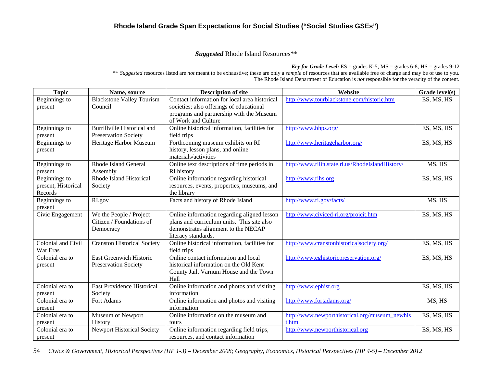#### *Suggested* Rhode Island Resources\*\*

*Key for Grade Level:*  $ES = \text{grades } K-5$ ;  $MS = \text{grades } 6-8$ ;  $HS = \text{grades } 9-12$ \*\* *Suggested* resources listed are *not* meant to be exhaustive; these are only a *sample* of resources that are available free of charge and may be of use to you. The Rhode Island Department of Education is *not* responsible for the veracity of the content.

| <b>Topic</b>        | Name, source                       | <b>Description of site</b>                    | Website                                          | Grade level(s) |
|---------------------|------------------------------------|-----------------------------------------------|--------------------------------------------------|----------------|
| Beginnings to       | <b>Blackstone Valley Tourism</b>   | Contact information for local area historical | http://www.tourblackstone.com/historic.htm       | ES, MS, HS     |
| present             | Council                            | societies; also offerings of educational      |                                                  |                |
|                     |                                    | programs and partnership with the Museum      |                                                  |                |
|                     |                                    | of Work and Culture                           |                                                  |                |
| Beginnings to       | Burrillville Historical and        | Online historical information, facilities for | http://www.bhps.org/                             | ES, MS, HS     |
| present             | <b>Preservation Society</b>        | field trips                                   |                                                  |                |
| Beginnings to       | Heritage Harbor Museum             | Forthcoming museum exhibits on RI             | http://www.heritageharbor.org/                   | ES, MS, HS     |
| present             |                                    | history, lesson plans, and online             |                                                  |                |
|                     |                                    | materials/activities                          |                                                  |                |
| Beginnings to       | <b>Rhode Island General</b>        | Online text descriptions of time periods in   | http://www.rilin.state.ri.us/RhodeIslandHistory/ | MS, HS         |
| present             | Assembly                           | RI history                                    |                                                  |                |
| Beginnings to       | Rhode Island Historical            | Online information regarding historical       | http://www.rihs.org                              | ES, MS, HS     |
| present, Historical | Society                            | resources, events, properties, museums, and   |                                                  |                |
| Records             |                                    | the library                                   |                                                  |                |
| Beginnings to       | RI.gov                             | Facts and history of Rhode Island             | http://www.ri.gov/facts/                         | MS, HS         |
| present             |                                    |                                               |                                                  |                |
| Civic Engagement    | We the People / Project            | Online information regarding aligned lesson   | http://www.civiced-ri.org/projcit.htm            | ES, MS, HS     |
|                     | Citizen / Foundations of           | plans and curriculum units. This site also    |                                                  |                |
|                     | Democracy                          | demonstrates alignment to the NECAP           |                                                  |                |
|                     |                                    | literacy standards.                           |                                                  |                |
| Colonial and Civil  | <b>Cranston Historical Society</b> | Online historical information, facilities for | http://www.cranstonhistoricalsociety.org/        | ES, MS, HS     |
| War Eras            |                                    | field trips                                   |                                                  |                |
| Colonial era to     | <b>East Greenwich Historic</b>     | Online contact information and local          | http://www.eghistoricpreservation.org/           | ES, MS, HS     |
| present             | <b>Preservation Society</b>        | historical information on the Old Kent        |                                                  |                |
|                     |                                    | County Jail, Varnum House and the Town        |                                                  |                |
|                     |                                    | Hall                                          |                                                  |                |
| Colonial era to     | <b>East Providence Historical</b>  | Online information and photos and visiting    | http://www.ephist.org                            | ES, MS, HS     |
| present             | Society                            | information                                   |                                                  |                |
| Colonial era to     | Fort Adams                         | Online information and photos and visiting    | http://www.fortadams.org/                        | MS, HS         |
| present             |                                    | information                                   |                                                  |                |
| Colonial era to     | Museum of Newport                  | Online information on the museum and          | http://www.newporthistorical.org/museum_newhis   | ES, MS, HS     |
| present             | History                            | tours                                         | t.htm                                            |                |
| Colonial era to     | <b>Newport Historical Society</b>  | Online information regarding field trips,     | http://www.newporthistorical.org                 | ES, MS, HS     |
| present             |                                    | resources, and contact information            |                                                  |                |

54 *Civics & Government, Historical Perspectives (HP 1-3) – December 2008; Geography, Economics, Historical Perspectives (HP 4-5) – December 2012*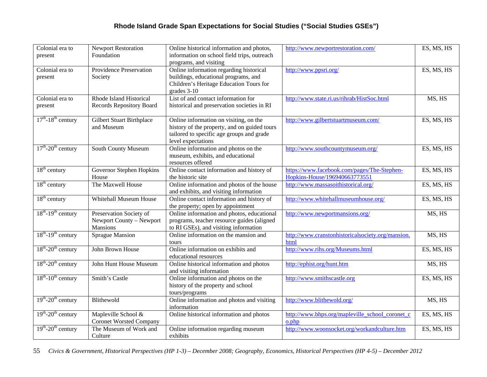| Colonial era to                     | <b>Newport Restoration</b>                                      | Online historical information and photos,                                                                                                                 | http://www.newportrestoration.com/                                           | ES, MS, HS |
|-------------------------------------|-----------------------------------------------------------------|-----------------------------------------------------------------------------------------------------------------------------------------------------------|------------------------------------------------------------------------------|------------|
| present                             | Foundation                                                      | information on school field trips, outreach<br>programs, and visiting                                                                                     |                                                                              |            |
| Colonial era to<br>present          | Providence Preservation<br>Society                              | Online information regarding historical<br>buildings, educational programs, and<br>Children's Heritage Education Tours for<br>grades 3-10                 | http://www.ppsri.org/                                                        | ES, MS, HS |
| Colonial era to<br>present          | Rhode Island Historical<br><b>Records Repository Board</b>      | List of and contact information for<br>historical and preservation societies in RI                                                                        | http://www.state.ri.us/rihrab/HistSoc.html                                   | MS, HS     |
| $17th - 18th$ century               | <b>Gilbert Stuart Birthplace</b><br>and Museum                  | Online information on visiting, on the<br>history of the property, and on guided tours<br>tailored to specific age groups and grade<br>level expectations | http://www.gilbertstuartmuseum.com/                                          | ES, MS, HS |
| $17th - 20th$ century               | South County Museum                                             | Online information and photos on the<br>museum, exhibits, and educational<br>resources offered                                                            | http://www.southcountymuseum.org/                                            | ES, MS, HS |
| $18th$ century                      | <b>Governor Stephen Hopkins</b><br>House                        | Online contact information and history of<br>the historic site                                                                                            | https://www.facebook.com/pages/The-Stephen-<br>Hopkins-House/196940663773551 | ES, MS, HS |
| $18th$ century                      | The Maxwell House                                               | Online information and photos of the house<br>and exhibits, and visiting information                                                                      | http://www.massasoithistorical.org/                                          | ES, MS, HS |
| $18th$ century                      | <b>Whitehall Museum House</b>                                   | Online contact information and history of<br>the property; open by appointment                                                                            | http://www.whitehallmuseumhouse.org/                                         | ES, MS, HS |
| $18^{th}$ -19 <sup>th</sup> century | Preservation Society of<br>Newport County - Newport<br>Mansions | Online information and photos, educational<br>programs, teacher resource guides (aligned<br>to RI GSEs), and visiting information                         | http://www.newportmansions.org/                                              | MS, HS     |
| $18^{th}$ -19 <sup>th</sup> century | Sprague Mansion                                                 | Online information on the mansion and<br>tours                                                                                                            | http://www.cranstonhistoricalsociety.org/mansion.<br>html                    | MS, HS     |
| $18^{th}$ -20 <sup>th</sup> century | John Brown House                                                | Online information on exhibits and<br>educational resources                                                                                               | http://www.rihs.org/Museums.html                                             | ES, MS, HS |
| $18^{th}$ -20 <sup>th</sup> century | John Hunt House Museum                                          | Online historical information and photos<br>and visiting information                                                                                      | http://ephist.org/hunt.htm                                                   | MS, HS     |
| $18^{th}$ - $10^{th}$ century       | Smith's Castle                                                  | Online information and photos on the<br>history of the property and school<br>tours/programs                                                              | http://www.smithscastle.org                                                  | ES, MS, HS |
| $19th$ -20 <sup>th</sup> century    | Blithewold                                                      | Online information and photos and visiting<br>information                                                                                                 | http://www.blithewold.org/                                                   | MS, HS     |
| $19th$ -20 <sup>th</sup> century    | Mapleville School &<br><b>Coronet Worsted Company</b>           | Online historical information and photos                                                                                                                  | http://www.bhps.org/mapleville_school_coronet_c<br>o.php                     | ES, MS, HS |
| $19^{th}$ -20 <sup>th</sup> century | The Museum of Work and<br>Culture                               | Online information regarding museum<br>exhibits                                                                                                           | http://www.woonsocket.org/workandculture.htm                                 | ES, MS, HS |